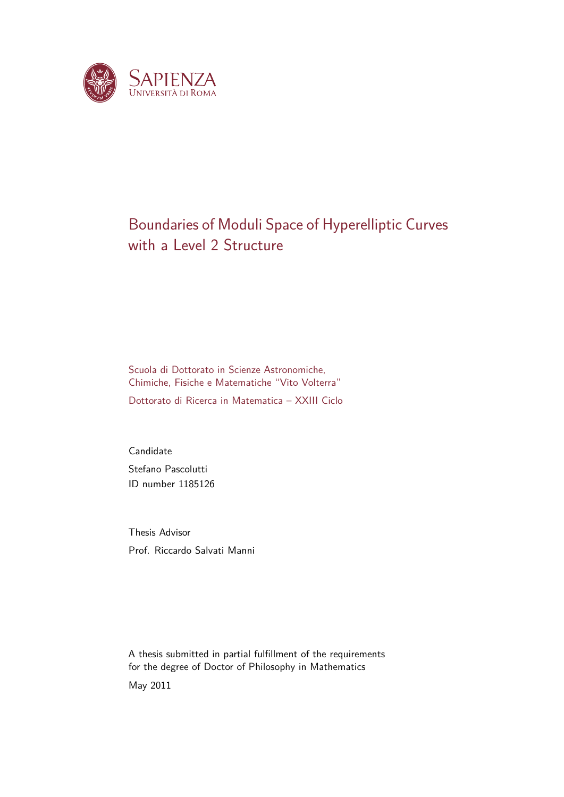

## Boundaries of Moduli Space of Hyperelliptic Curves with a Level 2 Structure

Scuola di Dottorato in Scienze Astronomiche, Chimiche, Fisiche e Matematiche "Vito Volterra" Dottorato di Ricerca in Matematica – XXIII Ciclo

Candidate Stefano Pascolutti ID number 1185126

Thesis Advisor Prof. Riccardo Salvati Manni

A thesis submitted in partial fulfillment of the requirements for the degree of Doctor of Philosophy in Mathematics May 2011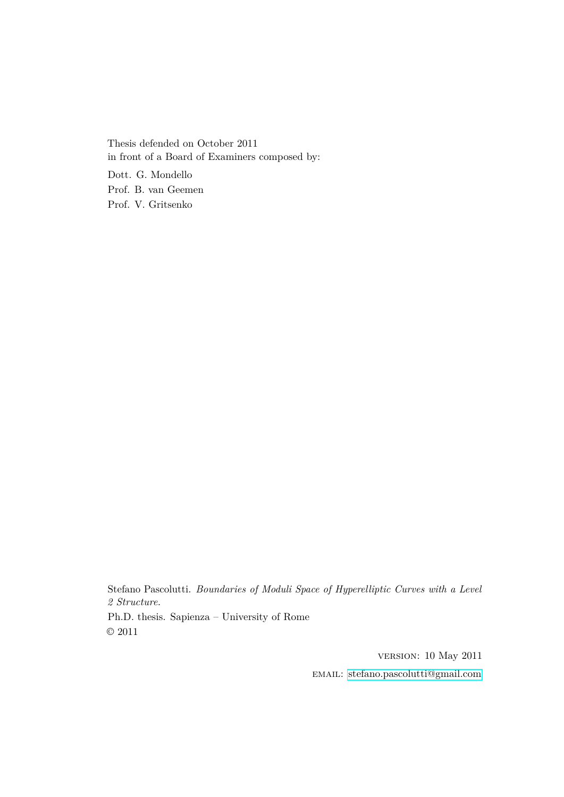Thesis defended on October 2011 in front of a Board of Examiners composed by:

Dott. G. Mondello Prof. B. van Geemen Prof. V. Gritsenko

Stefano Pascolutti. *Boundaries of Moduli Space of Hyperelliptic Curves with a Level 2 Structure.*

Ph.D. thesis. Sapienza – University of Rome © 2011

> version: 10 May 2011 email: [stefano.pascolutti@gmail.com](mailto:stefano.pascolutti@gmail.com)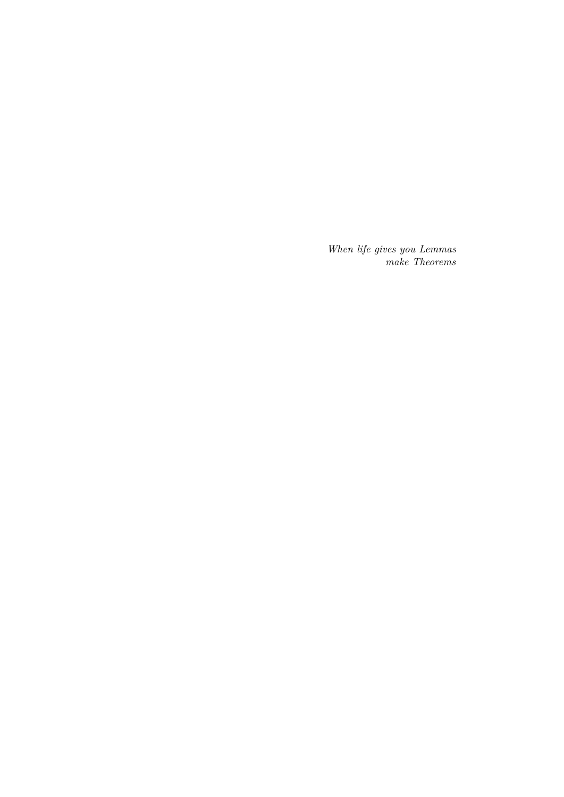*When life gives you Lemmas make Theorems*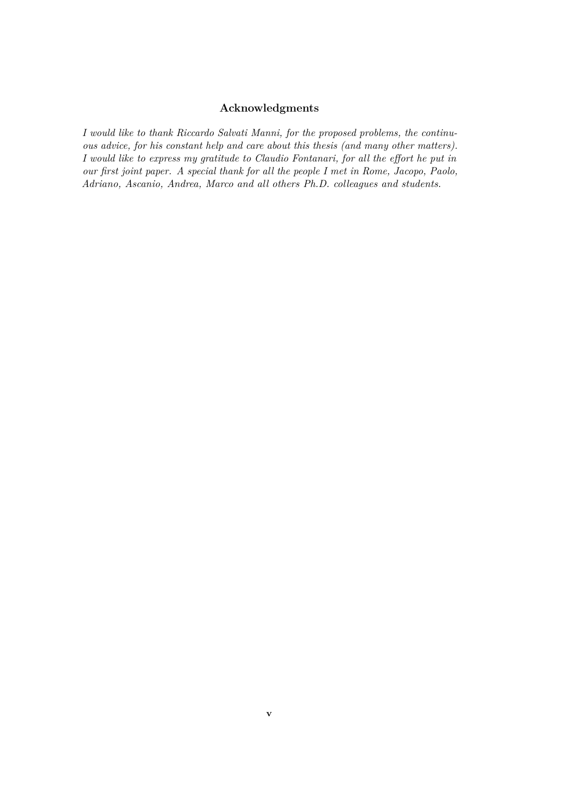#### **Acknowledgments**

*I would like to thank Riccardo Salvati Manni, for the proposed problems, the continuous advice, for his constant help and care about this thesis (and many other matters). I would like to express my gratitude to Claudio Fontanari, for all the effort he put in our first joint paper. A special thank for all the people I met in Rome, Jacopo, Paolo, Adriano, Ascanio, Andrea, Marco and all others Ph.D. colleagues and students.*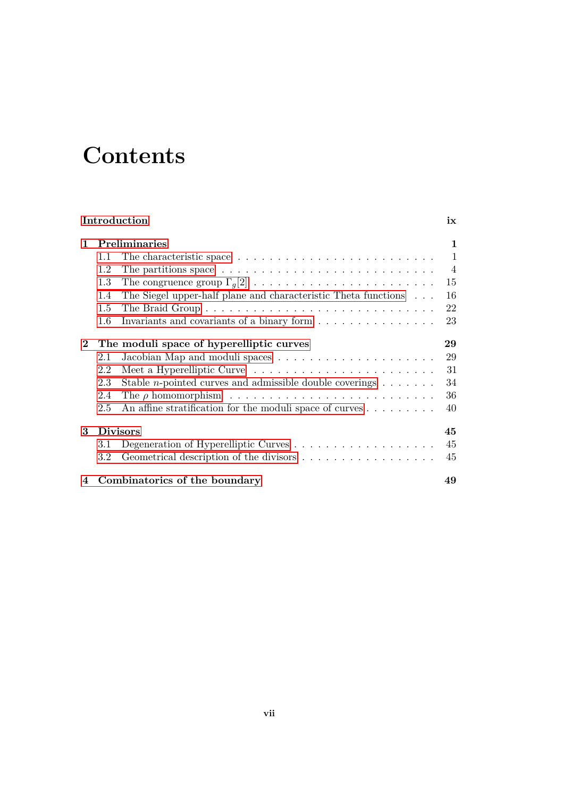# **Contents**

|                                                      | Introduction                          |                                                                                            |                |  |  |
|------------------------------------------------------|---------------------------------------|--------------------------------------------------------------------------------------------|----------------|--|--|
| $\mathbf{1}$                                         | <b>Preliminaries</b>                  |                                                                                            |                |  |  |
|                                                      | 1.1                                   |                                                                                            | $\mathbf{1}$   |  |  |
|                                                      | 1.2                                   | The partitions space $\dots \dots \dots \dots \dots \dots \dots \dots \dots \dots$         | $\overline{4}$ |  |  |
|                                                      | 1.3                                   | The congruence group $\Gamma_q[2] \ldots \ldots \ldots \ldots \ldots \ldots \ldots \ldots$ | 15             |  |  |
|                                                      | 1.4                                   | The Siegel upper-half plane and characteristic Theta functions                             | 16             |  |  |
|                                                      | 1.5                                   |                                                                                            | 22             |  |  |
|                                                      | 1.6                                   | Invariants and covariants of a binary form                                                 | 23             |  |  |
| $\bf{2}$<br>The moduli space of hyperelliptic curves |                                       |                                                                                            | 29             |  |  |
|                                                      | 2.1                                   |                                                                                            | 29             |  |  |
|                                                      | 2.2                                   |                                                                                            | 31             |  |  |
|                                                      | 2.3                                   | Stable <i>n</i> -pointed curves and admissible double coverings $\dots \dots$              | 34             |  |  |
|                                                      | 2.4                                   |                                                                                            | 36             |  |  |
|                                                      | 2.5                                   | An affine stratification for the moduli space of curves $\dots \dots$                      | 40             |  |  |
| 3                                                    | <b>Divisors</b>                       |                                                                                            |                |  |  |
|                                                      | 3.1                                   |                                                                                            | 45             |  |  |
|                                                      | $3.2\,$                               |                                                                                            | 45             |  |  |
|                                                      | 4 Combinatorics of the boundary<br>49 |                                                                                            |                |  |  |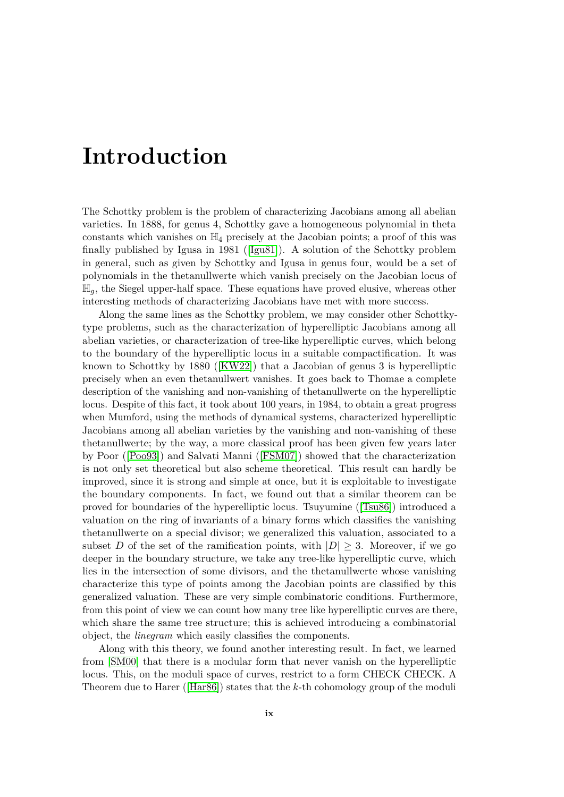# <span id="page-8-0"></span>**Introduction**

The Schottky problem is the problem of characterizing Jacobians among all abelian varieties. In 1888, for genus 4, Schottky gave a homogeneous polynomial in theta constants which vanishes on  $\mathbb{H}_4$  precisely at the Jacobian points; a proof of this was finally published by Igusa in 1981 ([\[Igu81\]](#page-71-0)). A solution of the Schottky problem in general, such as given by Schottky and Igusa in genus four, would be a set of polynomials in the thetanullwerte which vanish precisely on the Jacobian locus of H*g*, the Siegel upper-half space. These equations have proved elusive, whereas other interesting methods of characterizing Jacobians have met with more success.

Along the same lines as the Schottky problem, we may consider other Schottkytype problems, such as the characterization of hyperelliptic Jacobians among all abelian varieties, or characterization of tree-like hyperelliptic curves, which belong to the boundary of the hyperelliptic locus in a suitable compactification. It was known to Schottky by 1880 ([\[KW22\]](#page-71-1)) that a Jacobian of genus 3 is hyperelliptic precisely when an even thetanullwert vanishes. It goes back to Thomae a complete description of the vanishing and non-vanishing of thetanullwerte on the hyperelliptic locus. Despite of this fact, it took about 100 years, in 1984, to obtain a great progress when Mumford, using the methods of dynamical systems, characterized hyperelliptic Jacobians among all abelian varieties by the vanishing and non-vanishing of these thetanullwerte; by the way, a more classical proof has been given few years later by Poor ([\[Poo93\]](#page-71-2)) and Salvati Manni ([\[FSM07\]](#page-70-0)) showed that the characterization is not only set theoretical but also scheme theoretical. This result can hardly be improved, since it is strong and simple at once, but it is exploitable to investigate the boundary components. In fact, we found out that a similar theorem can be proved for boundaries of the hyperelliptic locus. Tsuyumine ([\[Tsu86\]](#page-72-0)) introduced a valuation on the ring of invariants of a binary forms which classifies the vanishing thetanullwerte on a special divisor; we generalized this valuation, associated to a subset *D* of the set of the ramification points, with  $|D| \geq 3$ . Moreover, if we go deeper in the boundary structure, we take any tree-like hyperelliptic curve, which lies in the intersection of some divisors, and the thetanullwerte whose vanishing characterize this type of points among the Jacobian points are classified by this generalized valuation. These are very simple combinatoric conditions. Furthermore, from this point of view we can count how many tree like hyperelliptic curves are there, which share the same tree structure; this is achieved introducing a combinatorial object, the *linegram* which easily classifies the components.

Along with this theory, we found another interesting result. In fact, we learned from [\[SM00\]](#page-71-3) that there is a modular form that never vanish on the hyperelliptic locus. This, on the moduli space of curves, restrict to a form CHECK CHECK. A Theorem due to Harer ([\[Har86\]](#page-71-4)) states that the *k*-th cohomology group of the moduli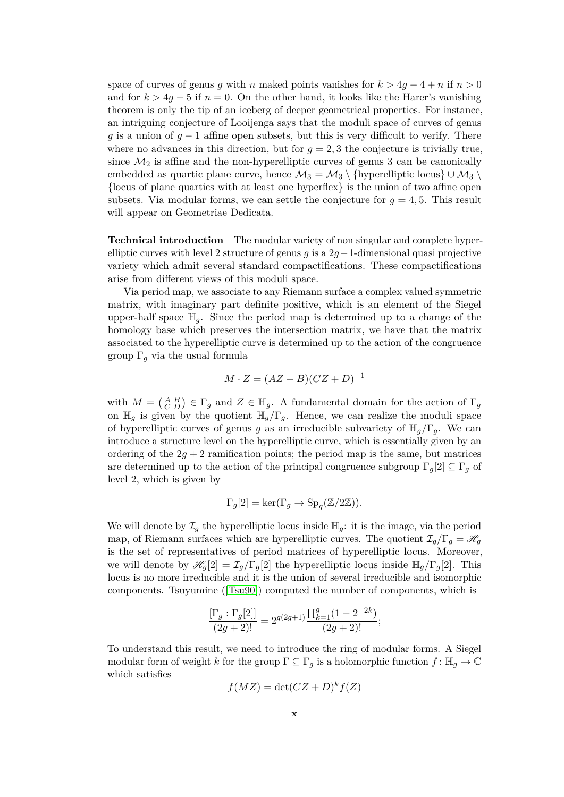space of curves of genus *g* with *n* maked points vanishes for  $k > 4g - 4 + n$  if  $n > 0$ and for  $k > 4g - 5$  if  $n = 0$ . On the other hand, it looks like the Harer's vanishing theorem is only the tip of an iceberg of deeper geometrical properties. For instance, an intriguing conjecture of Looijenga says that the moduli space of curves of genus *g* is a union of  $g - 1$  affine open subsets, but this is very difficult to verify. There where no advances in this direction, but for  $g = 2, 3$  the conjecture is trivially true, since  $\mathcal{M}_2$  is affine and the non-hyperelliptic curves of genus 3 can be canonically embedded as quartic plane curve, hence  $\mathcal{M}_3 = \mathcal{M}_3 \setminus \{\text{hyperelliptic locus}\}\cup \mathcal{M}_3 \setminus$ {locus of plane quartics with at least one hyperflex} is the union of two affine open subsets. Via modular forms, we can settle the conjecture for  $g = 4, 5$ . This result will appear on Geometriae Dedicata.

**Technical introduction** The modular variety of non singular and complete hyperelliptic curves with level 2 structure of genus *g* is a 2*g*−1-dimensional quasi projective variety which admit several standard compactifications. These compactifications arise from different views of this moduli space.

Via period map, we associate to any Riemann surface a complex valued symmetric matrix, with imaginary part definite positive, which is an element of the Siegel upper-half space  $\mathbb{H}_q$ . Since the period map is determined up to a change of the homology base which preserves the intersection matrix, we have that the matrix associated to the hyperelliptic curve is determined up to the action of the congruence group Γ*<sup>g</sup>* via the usual formula

$$
M \cdot Z = (AZ + B)(CZ + D)^{-1}
$$

with  $M = \begin{pmatrix} A & B \\ C & D \end{pmatrix} \in \Gamma_g$  and  $Z \in \mathbb{H}_g$ . A fundamental domain for the action of  $\Gamma_g$ on  $\mathbb{H}_g$  is given by the quotient  $\mathbb{H}_g/\Gamma_g$ . Hence, we can realize the moduli space of hyperelliptic curves of genus *g* as an irreducible subvariety of  $\mathbb{H}_q/\Gamma_q$ . We can introduce a structure level on the hyperelliptic curve, which is essentially given by an ordering of the  $2q + 2$  ramification points; the period map is the same, but matrices are determined up to the action of the principal congruence subgroup  $\Gamma_q[2] \subseteq \Gamma_q$  of level 2, which is given by

$$
\Gamma_g[2] = \ker(\Gamma_g \to \text{Sp}_g(\mathbb{Z}/2\mathbb{Z})).
$$

We will denote by  $\mathcal{I}_q$  the hyperelliptic locus inside  $\mathbb{H}_q$ : it is the image, via the period map, of Riemann surfaces which are hyperelliptic curves. The quotient  $\mathcal{I}_q/\Gamma_q = \mathcal{H}_q$ is the set of representatives of period matrices of hyperelliptic locus. Moreover, we will denote by  $\mathscr{H}_q[2] = \mathcal{I}_q/\Gamma_q[2]$  the hyperelliptic locus inside  $\mathbb{H}_q/\Gamma_q[2]$ . This locus is no more irreducible and it is the union of several irreducible and isomorphic components. Tsuyumine ([\[Tsu90\]](#page-72-1)) computed the number of components, which is

$$
\frac{[\Gamma_g:\Gamma_g[2]]}{(2g+2)!} = 2^{g(2g+1)} \frac{\prod_{k=1}^g (1 - 2^{-2k})}{(2g+2)!};
$$

To understand this result, we need to introduce the ring of modular forms. A Siegel modular form of weight *k* for the group  $\Gamma \subseteq \Gamma_g$  is a holomorphic function  $f : \mathbb{H}_g \to \mathbb{C}$ which satisfies

$$
f(MZ) = \det(CZ + D)^k f(Z)
$$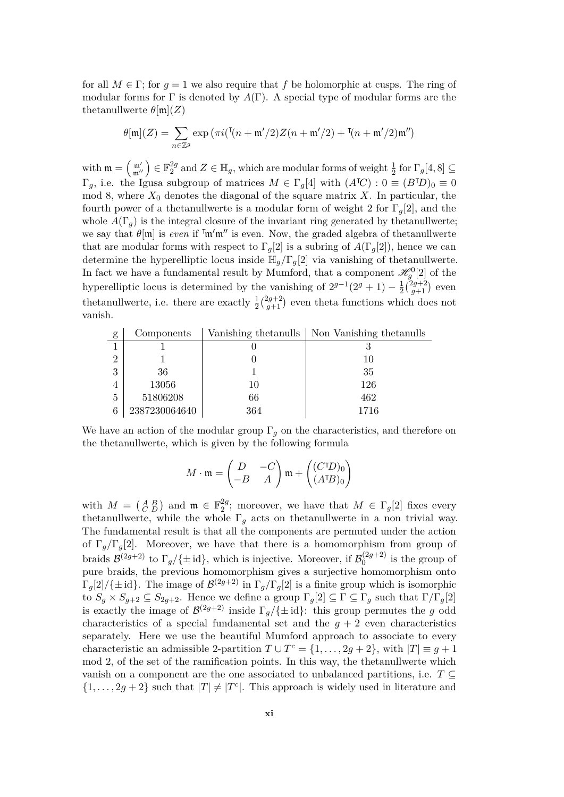for all  $M \in \Gamma$ ; for  $q = 1$  we also require that f be holomorphic at cusps. The ring of modular forms for  $\Gamma$  is denoted by  $A(\Gamma)$ . A special type of modular forms are the thetanullwerte  $\theta$ [m](*Z*)

$$
\theta[\mathfrak{m}](Z)=\sum_{n\in\mathbb{Z}^g}\exp\big(\pi i(\mathsf{T}(n+\mathfrak{m}'/2)Z(n+\mathfrak{m}'/2)+\mathsf{T}(n+\mathfrak{m}'/2)\mathfrak{m}''\big)
$$

with  $\mathfrak{m} = \left(\begin{smallmatrix} \mathfrak{m}' \\ \mathfrak{m}'' \end{smallmatrix}\right) \in \mathbb{F}_2^{2g}$  $2^g$  and  $Z \in \mathbb{H}_g$ , which are modular forms of weight  $\frac{1}{2}$  for  $\Gamma_g[4, 8] \subseteq$  $\Gamma_g$ , i.e. the Igusa subgroup of matrices  $M \in \Gamma_g[4]$  with  $(A^{\dagger}C) : 0 \equiv (B^{\dagger}D)_0 \equiv 0$ mod 8, where  $X_0$  denotes the diagonal of the square matrix X. In particular, the fourth power of a thetanullwerte is a modular form of weight 2 for  $\Gamma_q[2]$ , and the whole  $A(\Gamma_q)$  is the integral closure of the invariant ring generated by thetanullwerte; we say that  $\theta$ [m] is *even* if  $\mathbb{m}'\mathbb{m}''$  is even. Now, the graded algebra of thetanullwerte that are modular forms with respect to  $\Gamma_q[2]$  is a subring of  $A(\Gamma_q[2])$ , hence we can determine the hyperelliptic locus inside  $\mathbb{H}_g/\Gamma_g[2]$  via vanishing of thetanullwerte. In fact we have a fundamental result by Mumford, that a component  $\mathscr{H}^0_g[2]$  of the hyperelliptic locus is determined by the vanishing of  $2^{g-1}(2^g + 1) - \frac{1}{2}$  $rac{1}{2}$  $rac{2g+2}{g+1}$  $\binom{2g+2}{g+1}$  even thetanullwerte, i.e. there are exactly  $\frac{1}{2} \binom{2g+2}{g+1}$  $\binom{2g+2}{g+1}$  even theta functions which does not vanish.

| g              | Components    |     | Vanishing the tanulls   Non Vanishing the tanulls |
|----------------|---------------|-----|---------------------------------------------------|
|                |               |     |                                                   |
| $\overline{2}$ |               |     | 10                                                |
| 3              | 36            |     | 35                                                |
| 4              | 13056         | 10  | 126                                               |
| $\overline{5}$ | 51806208      | 66  | 462                                               |
| 6              | 2387230064640 | 364 | 1716                                              |

We have an action of the modular group  $\Gamma_q$  on the characteristics, and therefore on the thetanullwerte, which is given by the following formula

$$
M \cdot \mathfrak{m} = \begin{pmatrix} D & -C \\ -B & A \end{pmatrix} \mathfrak{m} + \begin{pmatrix} (C^{\dagger}D)_0 \\ (A^{\dagger}B)_0 \end{pmatrix}
$$

with  $M = \begin{pmatrix} A & B \\ C & D \end{pmatrix}$  and  $\mathfrak{m} \in \mathbb{F}_2^{2g}$  $2^{2g}$ ; moreover, we have that  $M \in \Gamma_g[2]$  fixes every thetanullwerte, while the whole  $\Gamma_q$  acts on thetanullwerte in a non trivial way. The fundamental result is that all the components are permuted under the action of  $\Gamma_q/\Gamma_q[2]$ . Moreover, we have that there is a homomorphism from group of braids  $\mathcal{B}^{(2g+2)}$  to  $\Gamma_g/\{\pm \text{id}\},\$  which is injective. Moreover, if  $\mathcal{B}_0^{(2g+2)}$  $\int_0^{(2g+2)}$  is the group of pure braids, the previous homomorphism gives a surjective homomorphism onto  $\Gamma_g[2]/\{\pm \text{id}\}.$  The image of  $\mathcal{B}^{(2g+2)}$  in  $\Gamma_g/\Gamma_g[2]$  is a finite group which is isomorphic to  $S_g \times S_{g+2} \subseteq S_{2g+2}$ . Hence we define a group  $\Gamma_g[2] \subseteq \Gamma \subseteq \Gamma_g$  such that  $\Gamma/\Gamma_g[2]$ is exactly the image of  $\mathcal{B}^{(2g+2)}$  inside  $\Gamma_g/\{\pm \text{id}\}$ : this group permutes the *g* odd characteristics of a special fundamental set and the  $q + 2$  even characteristics separately. Here we use the beautiful Mumford approach to associate to every characteristic an admissible 2-partition  $T \cup T^c = \{1, \ldots, 2g + 2\}$ , with  $|T| \equiv g + 1$ mod 2, of the set of the ramification points. In this way, the thetanullwerte which vanish on a component are the one associated to unbalanced partitions, i.e.  $T \subseteq$  $\{1, \ldots, 2g + 2\}$  such that  $|T| \neq |T^c|$ . This approach is widely used in literature and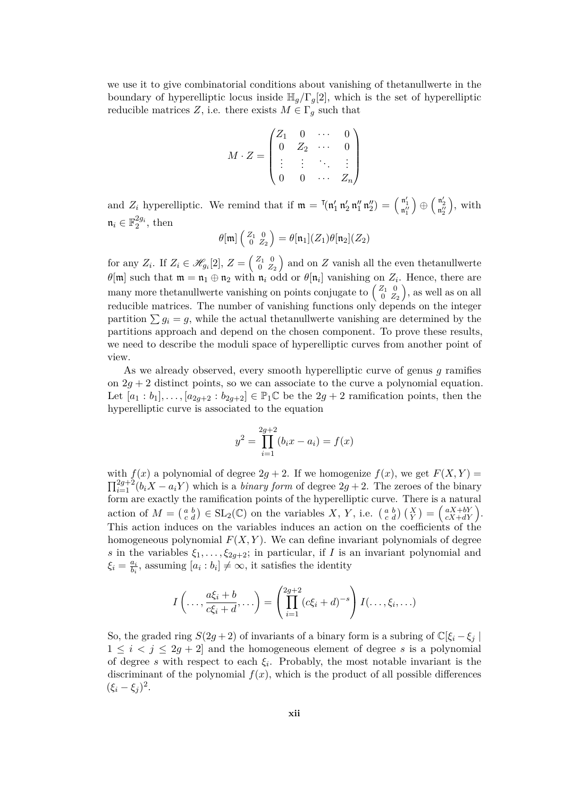we use it to give combinatorial conditions about vanishing of thetanullwerte in the boundary of hyperelliptic locus inside  $\mathbb{H}_q/\Gamma_q[2]$ , which is the set of hyperelliptic reducible matrices *Z*, i.e. there exists  $M \in \Gamma_g$  such that

$$
M\cdot Z=\begin{pmatrix}Z_1&0&\cdots&0\\0&Z_2&\cdots&0\\\vdots&\vdots&\ddots&\vdots\\0&0&\cdots&Z_n\end{pmatrix}
$$

and  $Z_i$  hyperelliptic. We remind that if  $\mathfrak{m} = \mathfrak{m}(\mathfrak{n}'_1 \mathfrak{n}'_2 \mathfrak{n}''_1 \mathfrak{n}''_2) = \begin{pmatrix} \mathfrak{n}'_1 \\ \mathfrak{n}''_1 \end{pmatrix}$  $\Big) \, \oplus \, \Big( \begin{smallmatrix} \mathfrak{n}'_2 \\ \mathfrak{n}''_2 \end{smallmatrix}$  , with  $\mathfrak{n}_i \in \mathbb{F}_2^{2g_i}$ , then

$$
\theta[\mathfrak{m}]\left(\begin{smallmatrix} Z_1 & 0 \\ 0 & Z_2 \end{smallmatrix}\right) = \theta[\mathfrak{n}_1](Z_1)\theta[\mathfrak{n}_2](Z_2)
$$

for any  $Z_i$ . If  $Z_i \in \mathscr{H}_{g_i}[2], Z = \begin{pmatrix} Z_1 & 0 \\ 0 & Z \end{pmatrix}$  $\begin{pmatrix} Z_1 & 0 \\ 0 & Z_2 \end{pmatrix}$  and on  $Z$  vanish all the even thetanullwerte  $\theta[\mathfrak{m}]$  such that  $\mathfrak{m} = \mathfrak{n}_1 \oplus \mathfrak{n}_2$  with  $\mathfrak{n}_i$  odd or  $\theta[\mathfrak{n}_i]$  vanishing on  $Z_i$ . Hence, there are many more thetanullwerte vanishing on points conjugate to  $\begin{pmatrix} Z_1 & 0 \\ 0 & Z \end{pmatrix}$  $\begin{pmatrix} Z_1 & 0 \\ 0 & Z_2 \end{pmatrix}$ , as well as on all reducible matrices. The number of vanishing functions only depends on the integer partition  $\sum g_i = g$ , while the actual thetanullwerte vanishing are determined by the partitions approach and depend on the chosen component. To prove these results, we need to describe the moduli space of hyperelliptic curves from another point of view.

As we already observed, every smooth hyperelliptic curve of genus *g* ramifies on  $2g + 2$  distinct points, so we can associate to the curve a polynomial equation. Let  $[a_1 : b_1], \ldots, [a_{2g+2} : b_{2g+2}] \in \mathbb{P}_1 \mathbb{C}$  be the  $2g + 2$  ramification points, then the hyperelliptic curve is associated to the equation

$$
y^{2} = \prod_{i=1}^{2g+2} (b_{i}x - a_{i}) = f(x)
$$

with  $f(x)$  a polynomial of degree  $2g + 2$ . If we homogenize  $f(x)$ , we get  $F(X, Y) =$  $\prod_{i=1}^{2g+2} (b_i X - a_i Y)$  which is a *binary form* of degree  $2g + 2$ . The zeroes of the binary form are exactly the ramification points of the hyperelliptic curve. There is a natural action of  $M = \begin{pmatrix} a & b \\ c & d \end{pmatrix} \in SL_2(\mathbb{C})$  on the variables  $X, Y$ , i.e.  $\begin{pmatrix} a & b \\ c & d \end{pmatrix} \begin{pmatrix} X \\ Y \end{pmatrix} = \begin{pmatrix} aX + bY \\ cX + dY \end{pmatrix}$ . This action induces on the variables induces an action on the coefficients of the homogeneous polynomial  $F(X, Y)$ . We can define invariant polynomials of degree *s* in the variables  $\xi_1, \ldots, \xi_{2q+2}$ ; in particular, if *I* is an invariant polynomial and ξ*i* =  $\frac{a_i}{b_i}$  $\frac{a_i}{b_i}$ , assuming  $[a_i : b_i] \neq \infty$ , it satisfies the identity

$$
I\left(\ldots,\frac{a\xi_i+b}{c\xi_i+d},\ldots\right)=\left(\prod_{i=1}^{2g+2}(c\xi_i+d)^{-s}\right)I(\ldots,\xi_i,\ldots)
$$

So, the graded ring  $S(2g+2)$  of invariants of a binary form is a subring of  $\mathbb{C}[\xi_i-\xi_j]$  $1 \leq i \leq j \leq 2g + 2$  and the homogeneous element of degree *s* is a polynomial of degree *s* with respect to each  $\xi_i$ . Probably, the most notable invariant is the discriminant of the polynomial  $f(x)$ , which is the product of all possible differences  $(\xi_i - \xi_j)^2$ .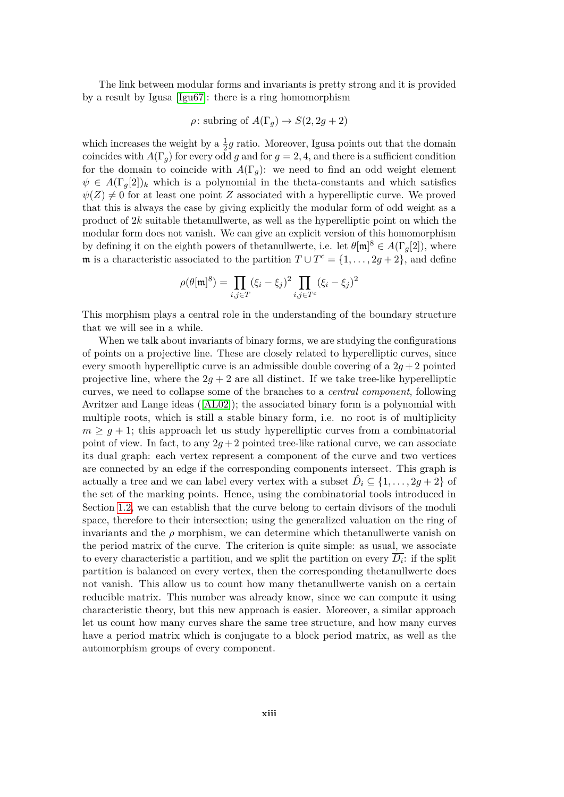The link between modular forms and invariants is pretty strong and it is provided by a result by Igusa [\[Igu67\]](#page-71-5): there is a ring homomorphism

$$
\rho
$$
: subring of  $A(\Gamma_g) \to S(2, 2g + 2)$ 

which increases the weight by a  $\frac{1}{2}g$  ratio. Moreover, Igusa points out that the domain coincides with  $A(\Gamma_g)$  for every odd g and for  $g = 2, 4$ , and there is a sufficient condition for the domain to coincide with  $A(\Gamma_q)$ : we need to find an odd weight element  $\psi \in A(\Gamma_q[2])_k$  which is a polynomial in the theta-constants and which satisfies  $\psi(Z) \neq 0$  for at least one point *Z* associated with a hyperelliptic curve. We proved that this is always the case by giving explicitly the modular form of odd weight as a product of 2*k* suitable thetanullwerte, as well as the hyperelliptic point on which the modular form does not vanish. We can give an explicit version of this homomorphism by defining it on the eighth powers of thetanullwerte, i.e. let  $\theta[\mathfrak{m}]^8 \in A(\Gamma_g[2])$ , where m is a characteristic associated to the partition  $T \cup T^c = \{1, \ldots, 2g + 2\}$ , and define

$$
\rho(\theta[\mathfrak{m}]^8) = \prod_{i,j \in T} (\xi_i - \xi_j)^2 \prod_{i,j \in T^c} (\xi_i - \xi_j)^2
$$

This morphism plays a central role in the understanding of the boundary structure that we will see in a while.

When we talk about invariants of binary forms, we are studying the configurations of points on a projective line. These are closely related to hyperelliptic curves, since every smooth hyperelliptic curve is an admissible double covering of a  $2g + 2$  pointed projective line, where the  $2q + 2$  are all distinct. If we take tree-like hyperelliptic curves, we need to collapse some of the branches to a *central component*, following Avritzer and Lange ideas ([\[AL02\]](#page-70-1)); the associated binary form is a polynomial with multiple roots, which is still a stable binary form, i.e. no root is of multiplicity  $m \geq q+1$ ; this approach let us study hyperelliptic curves from a combinatorial point of view. In fact, to any  $2q+2$  pointed tree-like rational curve, we can associate its dual graph: each vertex represent a component of the curve and two vertices are connected by an edge if the corresponding components intersect. This graph is actually a tree and we can label every vertex with a subset  $\hat{D}_i \subseteq \{1, \ldots, 2g + 2\}$  of the set of the marking points. Hence, using the combinatorial tools introduced in Section [1.2,](#page-19-0) we can establish that the curve belong to certain divisors of the moduli space, therefore to their intersection; using the generalized valuation on the ring of invariants and the  $\rho$  morphism, we can determine which thetanullwerte vanish on the period matrix of the curve. The criterion is quite simple: as usual, we associate to every characteristic a partition, and we split the partition on every  $\overline{D_i}$ : if the split partition is balanced on every vertex, then the corresponding thetanullwerte does not vanish. This allow us to count how many thetanullwerte vanish on a certain reducible matrix. This number was already know, since we can compute it using characteristic theory, but this new approach is easier. Moreover, a similar approach let us count how many curves share the same tree structure, and how many curves have a period matrix which is conjugate to a block period matrix, as well as the automorphism groups of every component.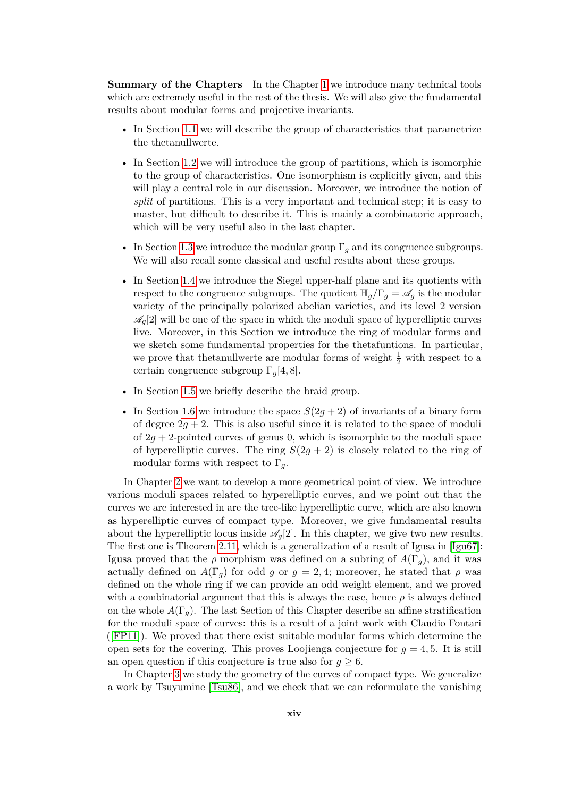**Summary of the Chapters** In the Chapter [1](#page-16-0) we introduce many technical tools which are extremely useful in the rest of the thesis. We will also give the fundamental results about modular forms and projective invariants.

- In Section [1.1](#page-16-1) we will describe the group of characteristics that parametrize the thetanullwerte.
- In Section [1.2](#page-19-0) we will introduce the group of partitions, which is isomorphic to the group of characteristics. One isomorphism is explicitly given, and this will play a central role in our discussion. Moreover, we introduce the notion of *split* of partitions. This is a very important and technical step; it is easy to master, but difficult to describe it. This is mainly a combinatoric approach, which will be very useful also in the last chapter.
- In Section [1.3](#page-30-0) we introduce the modular group  $\Gamma_q$  and its congruence subgroups. We will also recall some classical and useful results about these groups.
- In Section [1.4](#page-31-0) we introduce the Siegel upper-half plane and its quotients with respect to the congruence subgroups. The quotient  $\mathbb{H}_q/\Gamma_q = \mathscr{A}_q$  is the modular variety of the principally polarized abelian varieties, and its level 2 version  $\mathscr{A}_q[2]$  will be one of the space in which the moduli space of hyperelliptic curves live. Moreover, in this Section we introduce the ring of modular forms and we sketch some fundamental properties for the thetafuntions. In particular, we prove that the<br>tanullwerte are modular forms of weight  $\frac{1}{2}$  with respect to a certain congruence subgroup Γ*g*[4*,* 8].
- In Section [1.5](#page-37-0) we briefly describe the braid group.
- In Section [1.6](#page-38-0) we introduce the space  $S(2g + 2)$  of invariants of a binary form of degree  $2g + 2$ . This is also useful since it is related to the space of moduli of  $2g + 2$ -pointed curves of genus 0, which is isomorphic to the moduli space of hyperelliptic curves. The ring  $S(2g + 2)$  is closely related to the ring of modular forms with respect to  $\Gamma_q$ .

In Chapter [2](#page-44-0) we want to develop a more geometrical point of view. We introduce various moduli spaces related to hyperelliptic curves, and we point out that the curves we are interested in are the tree-like hyperelliptic curve, which are also known as hyperelliptic curves of compact type. Moreover, we give fundamental results about the hyperelliptic locus inside  $\mathscr{A}_q[2]$ . In this chapter, we give two new results. The first one is Theorem [2.11,](#page-52-0) which is a generalization of a result of Igusa in [\[Igu67\]](#page-71-5): Igusa proved that the  $\rho$  morphism was defined on a subring of  $A(\Gamma_q)$ , and it was actually defined on  $A(\Gamma_g)$  for odd *g* or  $g = 2, 4$ ; moreover, he stated that *ρ* was defined on the whole ring if we can provide an odd weight element, and we proved with a combinatorial argument that this is always the case, hence  $\rho$  is always defined on the whole  $A(\Gamma_q)$ . The last Section of this Chapter describe an affine stratification for the moduli space of curves: this is a result of a joint work with Claudio Fontari ([\[FP11\]](#page-70-2)). We proved that there exist suitable modular forms which determine the open sets for the covering. This proves Loojienga conjecture for  $q = 4, 5$ . It is still an open question if this conjecture is true also for  $q \geq 6$ .

In Chapter [3](#page-60-0) we study the geometry of the curves of compact type. We generalize a work by Tsuyumine [\[Tsu86\]](#page-72-0), and we check that we can reformulate the vanishing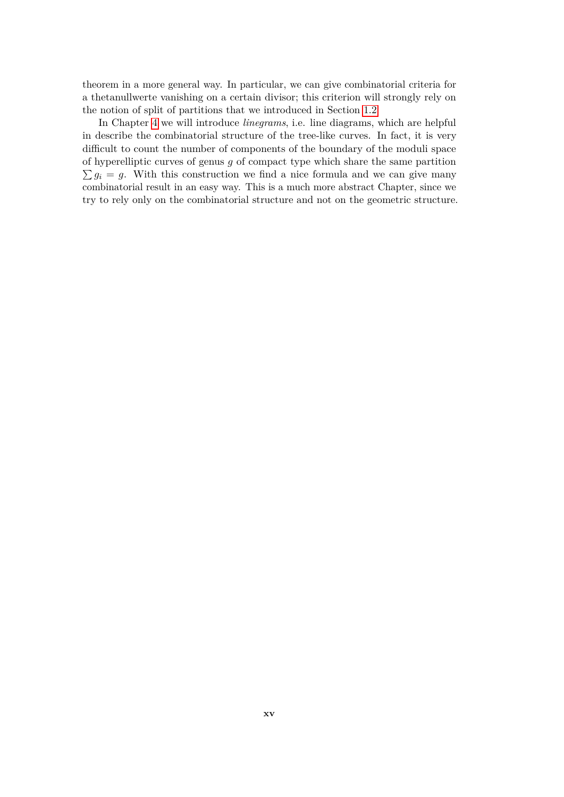theorem in a more general way. In particular, we can give combinatorial criteria for a thetanullwerte vanishing on a certain divisor; this criterion will strongly rely on the notion of split of partitions that we introduced in Section [1.2](#page-19-0)

In Chapter [4](#page-64-0) we will introduce *linegrams*, i.e. line diagrams, which are helpful in describe the combinatorial structure of the tree-like curves. In fact, it is very difficult to count the number of components of the boundary of the moduli space of hyperelliptic curves of genus *g* of compact type which share the same partition  $\sum g_i = g$ . With this construction we find a nice formula and we can give many combinatorial result in an easy way. This is a much more abstract Chapter, since we try to rely only on the combinatorial structure and not on the geometric structure.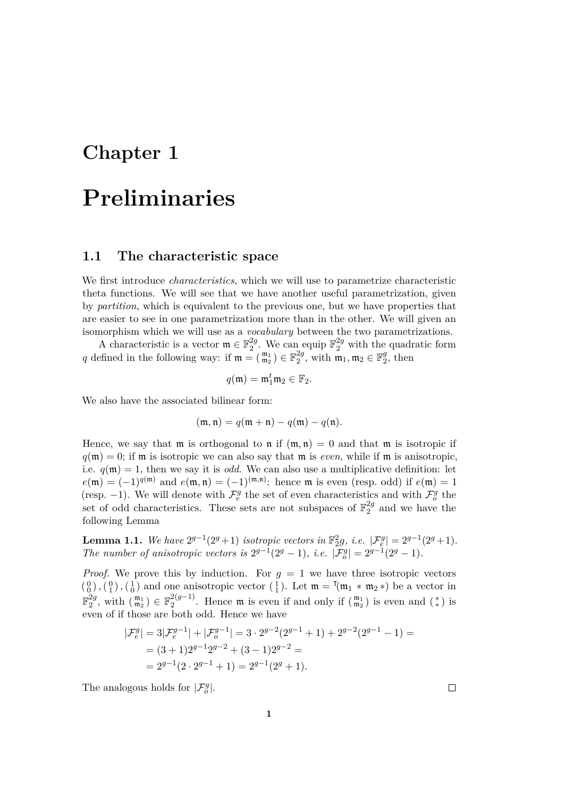### <span id="page-16-0"></span>**Chapter 1**

## **Preliminaries**

#### <span id="page-16-1"></span>**1.1 The characteristic space**

We first introduce *characteristics*, which we will use to parametrize characteristic theta functions. We will see that we have another useful parametrization, given by *partition*, which is equivalent to the previous one, but we have properties that are easier to see in one parametrization more than in the other. We will given an isomorphism which we will use as a *vocabulary* between the two parametrizations.

A characteristic is a vector  $\mathfrak{m} \in \mathbb{F}_2^{2g}$  $2^2$ . We can equip  $\mathbb{F}_2^{2g}$  with the quadratic form q defined in the following way: if  $\mathfrak{m} = \begin{pmatrix} \mathfrak{m}_1 \\ \mathfrak{m}_2 \end{pmatrix} \in \mathbb{F}_2^{2g}$  $\frac{2g}{2}$ , with  $\mathfrak{m}_1, \mathfrak{m}_2 \in \mathbb{F}_2^g$  $2^g$ , then

$$
q(\mathfrak{m})=\mathfrak{m}_1^t\mathfrak{m}_2\in\mathbb{F}_2.
$$

We also have the associated bilinear form:

$$
(\mathfrak{m},\mathfrak{n})=q(\mathfrak{m}+\mathfrak{n})-q(\mathfrak{m})-q(\mathfrak{n}).
$$

Hence, we say that  $m$  is orthogonal to  $n$  if  $(m, n) = 0$  and that  $m$  is isotropic if  $q(\mathfrak{m}) = 0$ ; if  $\mathfrak{m}$  is isotropic we can also say that  $\mathfrak{m}$  is *even*, while if  $\mathfrak{m}$  is anisotropic, i.e.  $q(\mathfrak{m}) = 1$ , then we say it is *odd*. We can also use a multiplicative definition: let  $e(\mathfrak{m}) = (-1)^{q(\mathfrak{m})}$  and  $e(\mathfrak{m}, \mathfrak{n}) = (-1)^{(\mathfrak{m}, \mathfrak{n})}$ : hence  $\mathfrak{m}$  is even (resp. odd) if  $e(\mathfrak{m}) = 1$ (resp. -1). We will denote with  $\mathcal{F}_{e}^{g}$  the set of even characteristics and with  $\mathcal{F}_{o}^{g}$  the set of odd characteristics. These sets are not subspaces of  $\mathbb{F}_2^{2g}$  $\frac{2g}{2}$  and we have the following Lemma

**Lemma 1.1.** We have  $2^{g-1}(2^g + 1)$  isotropic vectors in  $\mathbb{F}_2^2g$ , i.e.  $|\mathcal{F}_e^g| = 2^{g-1}(2^g + 1)$ *. The number of anisotropic vectors is*  $2^{g-1}(2^g - 1)$ *, i.e.*  $|\mathcal{F}^g_o| = 2^{g-1}(2^g - 1)$ *.* 

*Proof.* We prove this by induction. For  $g = 1$  we have three isotropic vectors  $\binom{0}{0}$ ,  $\binom{0}{1}$ ,  $\binom{1}{0}$  and one anisotropic vector  $\binom{1}{1}$ . Let  $\mathfrak{m} = \mathfrak{m}_1 * \mathfrak{m}_2 *$  be a vector in  $\mathbb{F}_2^{2g}$  $_{2}^{2g}$ , with  $\binom{m_1}{m_2}$  ∈  $\mathbb{F}_2^{2(g-1)}$  $2^{2(g-1)}$ . Hence **m** is even if and only if  $\begin{pmatrix} \mathfrak{m}_1 \\ \mathfrak{m}_2 \end{pmatrix}$  is even and  $\begin{pmatrix} * \\ * \end{pmatrix}$  is even of if those are both odd. Hence we have

$$
\begin{aligned} |\mathcal{F}_e^g| &= 3|\mathcal{F}_e^{g-1}| + |\mathcal{F}_o^{g-1}| = 3 \cdot 2^{g-2}(2^{g-1}+1) + 2^{g-2}(2^{g-1}-1) = \\ &= (3+1)2^{g-1}2^{g-2} + (3-1)2^{g-2} = \\ &= 2^{g-1}(2 \cdot 2^{g-1}+1) = 2^{g-1}(2^g+1). \end{aligned}
$$

The analogous holds for  $|\mathcal{F}_o^g|$ .

 $\Box$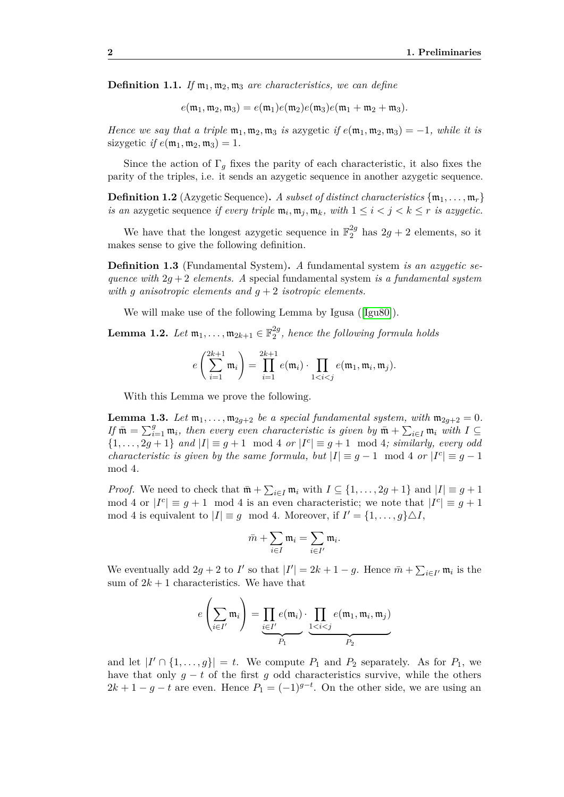**Definition 1.1.** *If*  $m_1, m_2, m_3$  *are characteristics, we can define* 

 $e(\mathfrak{m}_1, \mathfrak{m}_2, \mathfrak{m}_3) = e(\mathfrak{m}_1)e(\mathfrak{m}_2)e(\mathfrak{m}_3)e(\mathfrak{m}_1 + \mathfrak{m}_2 + \mathfrak{m}_3).$ 

*Hence we say that a triple*  $\mathfrak{m}_1, \mathfrak{m}_2, \mathfrak{m}_3$  *is* azygetic *if*  $e(\mathfrak{m}_1, \mathfrak{m}_2, \mathfrak{m}_3) = -1$ *, while it is* sizygetic *if*  $e(\mathfrak{m}_1, \mathfrak{m}_2, \mathfrak{m}_3) = 1$ .

Since the action of  $\Gamma_g$  fixes the parity of each characteristic, it also fixes the parity of the triples, i.e. it sends an azygetic sequence in another azygetic sequence.

**Definition 1.2** (Azygetic Sequence). A subset of distinct characteristics  $\{\mathfrak{m}_1, \ldots, \mathfrak{m}_r\}$ *is an azygetic sequence if every triple*  $\mathfrak{m}_i, \mathfrak{m}_j, \mathfrak{m}_k$ *, with*  $1 \leq i < j < k \leq r$  *is azygetic.* 

We have that the longest azygetic sequence in  $\mathbb{F}_2^{2g}$  has  $2g + 2$  elements, so it makes sense to give the following definition.

**Definition 1.3** (Fundamental System)**.** *A* fundamental system *is an azygetic sequence with* 2*g* + 2 *elements. A* special fundamental system *is a fundamental system with g anisotropic elements and g* + 2 *isotropic elements.*

We will make use of the following Lemma by Igusa ([\[Igu80\]](#page-71-6)).

 $\textbf{Lemma 1.2.} \ \textit{Let} \ \mathfrak{m}_1, \ldots, \mathfrak{m}_{2k+1} \in \mathbb{F}_2^{2g}$ 2 *, hence the following formula holds*

$$
e\left(\sum_{i=1}^{2k+1}\mathfrak{m}_i\right)=\prod_{i=1}^{2k+1}e(\mathfrak{m}_i)\cdot\prod_{1
$$

With this Lemma we prove the following.

<span id="page-17-0"></span>**Lemma 1.3.** Let  $\mathfrak{m}_1, \ldots, \mathfrak{m}_{2g+2}$  be a special fundamental system, with  $\mathfrak{m}_{2g+2} = 0$ . *If*  $\bar{\mathfrak{m}} = \sum_{i=1}^{g} \mathfrak{m}_i$ , then every even characteristic is given by  $\bar{\mathfrak{m}} + \sum_{i \in I} \mathfrak{m}_i$  with  $I \subseteq$  $\{1, \ldots, 2g+1\}$  and  $|I| \equiv g+1 \mod 4$  or  $|I^c| \equiv g+1 \mod 4$ ; similarly, every odd *characteristic is given by the same formula, but*  $|I| \equiv g - 1 \mod 4$  *or*  $|I^c| \equiv g - 1$ mod 4*.*

*Proof.* We need to check that  $\bar{\mathfrak{m}}$  +  $\sum_{i\in I} \mathfrak{m}_i$  with  $I \subseteq \{1, \ldots, 2g+1\}$  and  $|I| \equiv g+1$ mod 4 or  $|I^c| \equiv g + 1 \mod 4$  is an even characteristic; we note that  $|I^c| \equiv g + 1$ mod 4 is equivalent to  $|I| \equiv g \mod 4$ . Moreover, if  $I' = \{1, \ldots, g\} \triangle I$ ,

$$
\bar{m} + \sum_{i \in I} \mathfrak{m}_i = \sum_{i \in I'} \mathfrak{m}_i.
$$

We eventually add  $2g + 2$  to *I'* so that  $|I'| = 2k + 1 - g$ . Hence  $\bar{m} + \sum_{i \in I'} m_i$  is the sum of  $2k + 1$  characteristics. We have that

$$
e\left(\sum_{i\in I'}\mathfrak{m}_i\right)=\underbrace{\prod_{i\in I'}e(\mathfrak{m}_i)}_{P_1}\cdot\underbrace{\prod_{1\leq i\leq j}e(\mathfrak{m}_1,\mathfrak{m}_i,\mathfrak{m}_j)}_{P_2}
$$

and let  $|I' \cap \{1, ..., g\}| = t$ . We compute  $P_1$  and  $P_2$  separately. As for  $P_1$ , we have that only  $g - t$  of the first g odd characteristics survive, while the others  $2k + 1 - g - t$  are even. Hence  $P_1 = (-1)^{g-t}$ . On the other side, we are using an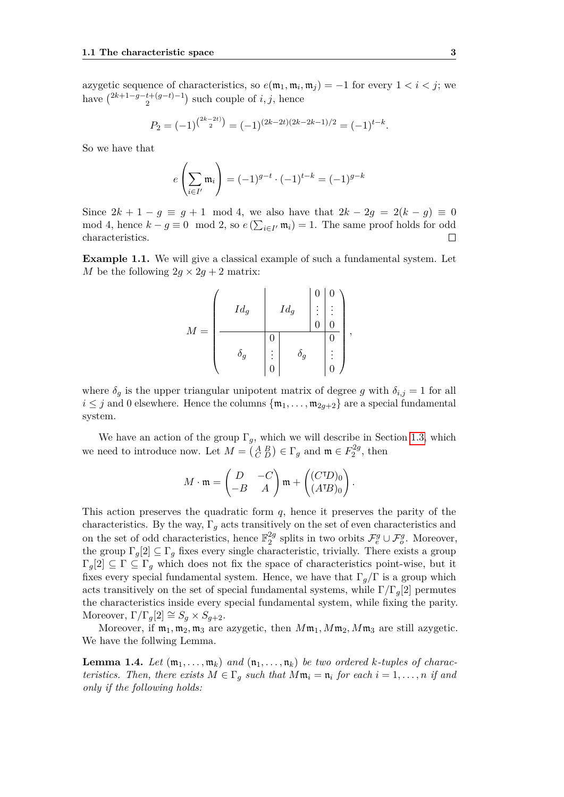azygetic sequence of characteristics, so  $e(\mathfrak{m}_1, \mathfrak{m}_i, \mathfrak{m}_j) = -1$  for every  $1 < i < j$ ; we have  $\binom{2k+1-g-t+(g-t)-1}{2}$  $i^{+(g-t)-1}_{2}$  such couple of *i*, *j*, hence

$$
P_2 = (-1)^{\binom{2k-2t}{2}} = (-1)^{(2k-2t)(2k-2k-1)/2} = (-1)^{t-k}.
$$

So we have that

$$
e\left(\sum_{i\in I'} \mathfrak{m}_i\right) = (-1)^{g-t} \cdot (-1)^{t-k} = (-1)^{g-k}
$$

Since  $2k + 1 - g \equiv g + 1 \mod 4$ , we also have that  $2k - 2g = 2(k - g) \equiv 0$ mod 4, hence  $k - g \equiv 0 \mod 2$ , so  $e\left(\sum_{i \in I'} \mathfrak{m}_i\right) = 1$ . The same proof holds for odd characteristics.  $\Box$ 

<span id="page-18-0"></span>**Example 1.1.** We will give a classical example of such a fundamental system. Let *M* be the following  $2g \times 2g + 2$  matrix:

$$
M = \left(\begin{array}{c|c} & Id_g & & 0 & 0 \\ & Id_g & & \vdots & \vdots \\ \hline & & & 0 & 0 \\ \hline & & & 0 & 0 \\ & & & & 0 \\ \end{array}\right), \quad \delta_g = \left(\begin{array}{c|c} & 0 & 0 & 0 \\ \vdots & & \vdots & \vdots \\ \hline & & 0 & 0 \\ \hline & & & 0 \\ \end{array}\right),
$$

where  $\delta_q$  is the upper triangular unipotent matrix of degree g with  $\delta_{i,j} = 1$  for all  $i \leq j$  and 0 elsewhere. Hence the columns  $\{\mathfrak{m}_1, \ldots, \mathfrak{m}_{2q+2}\}$  are a special fundamental system.

We have an action of the group  $\Gamma_g$ , which we will describe in Section [1.3,](#page-30-0) which we need to introduce now. Let  $M = \begin{pmatrix} A & B \\ C & D \end{pmatrix} \in \Gamma_g$  and  $\mathfrak{m} \in F_2^{2g}$  $i_2^{2g}$ , then

$$
M \cdot \mathfrak{m} = \begin{pmatrix} D & -C \\ -B & A \end{pmatrix} \mathfrak{m} + \begin{pmatrix} (C^{\dagger}D)_0 \\ (A^{\dagger}B)_0 \end{pmatrix}.
$$

This action preserves the quadratic form  $q$ , hence it preserves the parity of the characteristics. By the way,  $\Gamma_q$  acts transitively on the set of even characteristics and on the set of odd characteristics, hence  $\mathbb{F}_2^{2g}$  $2^g$  splits in two orbits  $\mathcal{F}^g_e \cup \mathcal{F}^g_o$ . Moreover, the group  $\Gamma_q[2] \subseteq \Gamma_q$  fixes every single characteristic, trivially. There exists a group  $\Gamma_g[2] \subseteq \Gamma \subseteq \Gamma_g$  which does not fix the space of characteristics point-wise, but it fixes every special fundamental system. Hence, we have that  $\Gamma_g/\Gamma$  is a group which acts transitively on the set of special fundamental systems, while  $\Gamma/\Gamma_q[2]$  permutes the characteristics inside every special fundamental system, while fixing the parity. Moreover,  $\Gamma/\Gamma_g[2] \cong S_g \times S_{g+2}$ .

Moreover, if  $m_1, m_2, m_3$  are azygetic, then  $Mm_1, Mm_2, Mm_3$  are still azygetic. We have the follwing Lemma.

**Lemma 1.4.** Let  $(\mathfrak{m}_1, \ldots, \mathfrak{m}_k)$  and  $(\mathfrak{n}_1, \ldots, \mathfrak{n}_k)$  be two ordered *k*-tuples of charac*teristics. Then, there exists*  $M \in \Gamma_g$  *such that*  $M\mathfrak{m}_i = \mathfrak{n}_i$  *for each*  $i = 1, \ldots, n$  *if and only if the following holds:*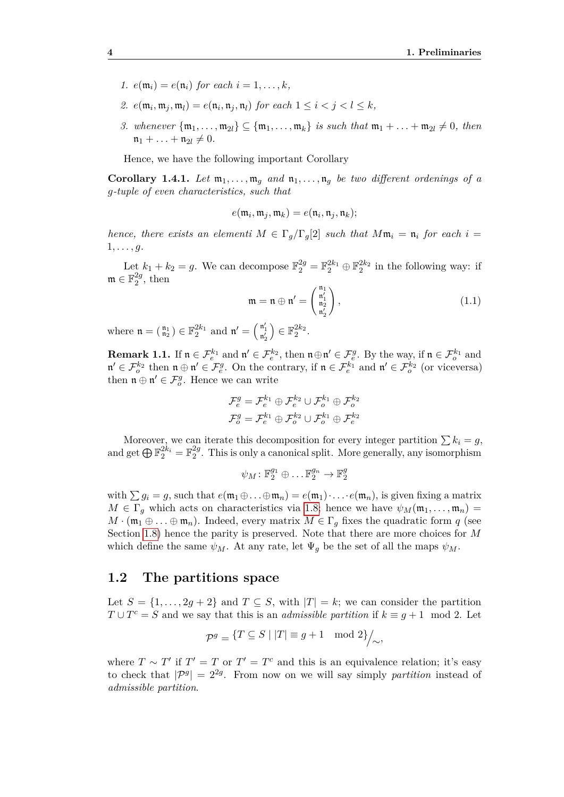- *1.*  $e(\mathfrak{m}_i) = e(\mathfrak{n}_i)$  *for each*  $i = 1, ..., k$ *,*
- *2.*  $e(\mathfrak{m}_i, \mathfrak{m}_j, \mathfrak{m}_l) = e(\mathfrak{n}_i, \mathfrak{n}_j, \mathfrak{n}_l)$  *for each*  $1 \leq i < j < l \leq k$ *,*
- *3. whenever*  $\{\mathfrak{m}_1, \ldots, \mathfrak{m}_{2l}\} \subseteq \{\mathfrak{m}_1, \ldots, \mathfrak{m}_k\}$  *is such that*  $\mathfrak{m}_1 + \ldots + \mathfrak{m}_{2l} \neq 0$ , then  $n_1 + \ldots + n_{2l} \neq 0.$

Hence, we have the following important Corollary

**Corollary 1.4.1.** Let  $\mathfrak{m}_1, \ldots, \mathfrak{m}_q$  and  $\mathfrak{n}_1, \ldots, \mathfrak{n}_q$  be two different ordenings of a *g-tuple of even characteristics, such that*

$$
e(\mathfrak{m}_i, \mathfrak{m}_j, \mathfrak{m}_k) = e(\mathfrak{n}_i, \mathfrak{n}_j, \mathfrak{n}_k);
$$

*hence, there exists an elementi*  $M \in \Gamma_q/\Gamma_q[2]$  *such that*  $M\mathfrak{m}_i = \mathfrak{n}_i$  *for each*  $i =$ 1*, . . . , g.*

Let  $k_1 + k_2 = g$ . We can decompose  $\mathbb{F}_2^{2g} = \mathbb{F}_2^{2k_1} \oplus \mathbb{F}_2^{2k_2}$  in the following way: if  $\mathfrak{m} \in \mathbb{F}_2^{2g}$  $2^2$ , then

$$
\mathfrak{m} = \mathfrak{n} \oplus \mathfrak{n}' = \begin{pmatrix} \mathfrak{n}_1 \\ \mathfrak{n}_1' \\ \mathfrak{n}_2' \end{pmatrix},\tag{1.1}
$$

where  $\mathfrak{n} = \begin{pmatrix} \mathfrak{n}_1 \\ \mathfrak{n}_2 \end{pmatrix} \in \mathbb{F}_2^{2k_1}$  and  $\mathfrak{n}' = \begin{pmatrix} \mathfrak{n}'_1 \\ \mathfrak{n}'_2 \end{pmatrix}$  $\Big) \in \mathbb{F}_2^{2k_2}.$ 

**Remark 1.1.** If  $\mathfrak{n} \in \mathcal{F}_e^{k_1}$  and  $\mathfrak{n}' \in \mathcal{F}_e^{k_2}$ , then  $\mathfrak{n} \oplus \mathfrak{n}' \in \mathcal{F}_e^{g}$ . By the way, if  $\mathfrak{n} \in \mathcal{F}_o^{k_1}$  and  $\mathfrak{n}' \in \mathcal{F}_o^{k_2}$  then  $\mathfrak{n} \oplus \mathfrak{n}' \in \mathcal{F}_e^{g}$ . On the contrary, if  $\mathfrak{n} \in \mathcal{F}_e^{k_1}$  and  $\mathfrak{n}' \in \mathcal{F}_o^{k_2}$  (or viceversa) then  $\mathfrak{n} \oplus \mathfrak{n}' \in \mathcal{F}_o^g$ . Hence we can write

$$
\mathcal{F}_e^g = \mathcal{F}_e^{k_1} \oplus \mathcal{F}_e^{k_2} \cup \mathcal{F}_o^{k_1} \oplus \mathcal{F}_o^{k_2}
$$

$$
\mathcal{F}_o^g = \mathcal{F}_e^{k_1} \oplus \mathcal{F}_o^{k_2} \cup \mathcal{F}_o^{k_1} \oplus \mathcal{F}_e^{k_2}
$$

Moreover, we can iterate this decomposition for every integer partition  $\sum k_i = g$ , and get  $\bigoplus \mathbb{F}_2^{2k_i} = \mathbb{F}_2^{2g}$  $_2^{2g}$ . This is only a canonical split. More generally, any isomorphism

$$
\psi_M\colon \mathbb{F}_2^{g_1}\oplus\ldots\mathbb{F}_2^{g_n}\to\mathbb{F}_2^g
$$

with  $\sum g_i = g$ , such that  $e(\mathfrak{m}_1 \oplus \ldots \oplus \mathfrak{m}_n) = e(\mathfrak{m}_1) \cdot \ldots \cdot e(\mathfrak{m}_n)$ , is given fixing a matrix  $M \in \Gamma_g$  which acts on characteristics via [1.8;](#page-34-0) hence we have  $\psi_M(\mathfrak{m}_1, \ldots, \mathfrak{m}_n)$  =  $M \cdot (\mathfrak{m}_1 \oplus \ldots \oplus \mathfrak{m}_n)$ . Indeed, every matrix  $M \in \Gamma_g$  fixes the quadratic form *q* (see Section [1.8\)](#page-34-0) hence the parity is preserved. Note that there are more choices for *M* which define the same  $\psi_M$ . At any rate, let  $\Psi_g$  be the set of all the maps  $\psi_M$ .

#### <span id="page-19-0"></span>**1.2 The partitions space**

Let  $S = \{1, \ldots, 2g + 2\}$  and  $T \subseteq S$ , with  $|T| = k$ ; we can consider the partition  $T \cup T^c = S$  and we say that this is an *admissible partition* if  $k \equiv g + 1 \mod 2$ . Let

$$
\mathcal{P}^g = \{ T \subseteq S \mid |T| \equiv g+1 \mod 2 \} /_{\sim},
$$

where  $T \sim T'$  if  $T' = T$  or  $T' = T^c$  and this is an equivalence relation; it's easy to check that  $|\mathcal{P}^g| = 2^{2g}$ . From now on we will say simply *partition* instead of *admissible partition*.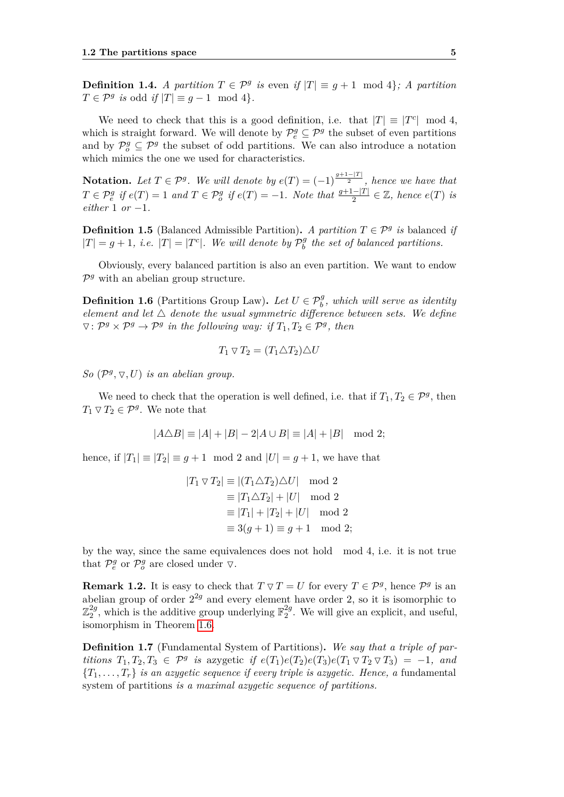**Definition 1.4.** *A partition*  $T \in \mathcal{P}^g$  *is* even *if*  $|T| \equiv g + 1 \mod 4$ *; A partition*  $T \in \mathcal{P}^g$  *is* odd *if*  $|T| \equiv g - 1 \mod 4$ *.* 

We need to check that this is a good definition, i.e. that  $|T| \equiv |T^c| \mod 4$ , which is straight forward. We will denote by  $\mathcal{P}^g_e \subseteq \mathcal{P}^g$  the subset of even partitions and by  $\mathcal{P}_{o}^{g} \subseteq \mathcal{P}^{g}$  the subset of odd partitions. We can also introduce a notation which mimics the one we used for characteristics.

**Notation.** Let  $T \in \mathcal{P}^g$ . We will denote by  $e(T) = (-1)^{\frac{g+1-|T|}{2}}$ , hence we have that  $T \in \mathcal{P}^g_e$  if  $e(T) = 1$  and  $T \in \mathcal{P}^g_o$  if  $e(T) = -1$ . Note that  $\frac{g+1-|T|}{2} \in \mathbb{Z}$ , hence  $e(T)$  is *either* 1 *or* −1*.*

**Definition 1.5** (Balanced Admissible Partition). *A partition*  $T \in \mathcal{P}^g$  *is* balanced *if*  $|T| = g + 1$ , *i.e.*  $|T| = |T^c|$ . We will denote by  $\mathcal{P}_b^g$ *b the set of balanced partitions.*

Obviously, every balanced partition is also an even partition. We want to endow  $\mathcal{P}^g$  with an abelian group structure.

**Definition 1.6** (Partitions Group Law). Let  $U \in \mathcal{P}_{b}^{g}$ , which will serve as identity *element and let*  $\Delta$  *denote the usual symmetric difference between sets. We define*  $\nabla: \mathcal{P}^g \times \mathcal{P}^g \rightarrow \mathcal{P}^g$  in the following way: if  $T_1, T_2 \in \mathcal{P}^g$ , then

$$
T_1 \triangledown T_2 = (T_1 \triangle T_2) \triangle U
$$

*So*  $(\mathcal{P}^g, \nabla, U)$  *is an abelian group.* 

We need to check that the operation is well defined, i.e. that if  $T_1, T_2 \in \mathcal{P}^g$ , then  $T_1 \triangledown T_2 \in \mathcal{P}^g$ . We note that

$$
|A \triangle B| \equiv |A| + |B| - 2|A \cup B| \equiv |A| + |B| \mod 2;
$$

hence, if  $|T_1| \equiv |T_2| \equiv g+1 \mod 2$  and  $|U|=g+1$ , we have that

$$
|T_1 \nabla T_2| \equiv |(T_1 \triangle T_2) \triangle U| \mod 2
$$
  
\n
$$
\equiv |T_1 \triangle T_2| + |U| \mod 2
$$
  
\n
$$
\equiv |T_1| + |T_2| + |U| \mod 2
$$
  
\n
$$
\equiv 3(g+1) \equiv g+1 \mod 2;
$$

by the way, since the same equivalences does not hold mod 4, i.e. it is not true that  $\mathcal{P}_e^g$  or  $\mathcal{P}_o^g$  are closed under  $\nabla$ .

**Remark 1.2.** It is easy to check that  $T \triangledown T = U$  for every  $T \in \mathcal{P}^g$ , hence  $\mathcal{P}^g$  is an abelian group of order  $2^{2g}$  and every element have order 2, so it is isomorphic to  $\mathbb{Z}_2^{2g}$  $_2^{2g}$ , which is the additive group underlying  $\mathbb{F}_2^{2g}$  $_{2}^{2g}$ . We will give an explicit, and useful, isomorphism in Theorem [1.6.](#page-21-0)

**Definition 1.7** (Fundamental System of Partitions)**.** *We say that a triple of partitions*  $T_1, T_2, T_3 \in \mathcal{P}^g$  *is* azygetic *if*  $e(T_1)e(T_2)e(T_3)e(T_1 \nabla T_2 \nabla T_3) = -1$ *, and*  ${T_1, \ldots, T_r}$  *is an azygetic sequence if every triple is azygetic. Hence, a fundamental* system of partitions *is a maximal azygetic sequence of partitions.*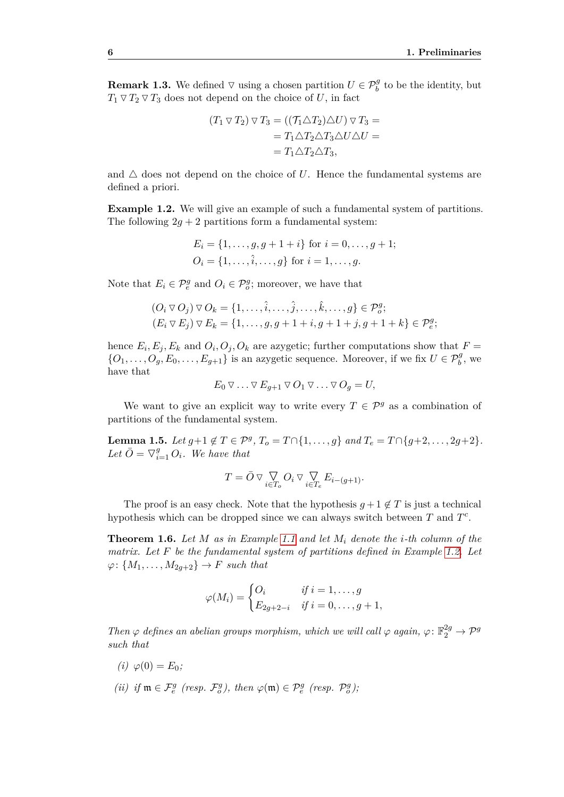**Remark 1.3.** We defined  $\nabla$  using a chosen partition  $U \in \mathcal{P}_b^g$  to be the identity, but  $T_1 \nabla T_2 \nabla T_3$  does not depend on the choice of *U*, in fact

$$
(T_1 \triangledown T_2) \triangledown T_3 = ((\mathcal{T}_1 \triangle T_2) \triangle U) \triangledown T_3 =
$$
  
=  $T_1 \triangle T_2 \triangle T_3 \triangle U \triangle U =$   
=  $T_1 \triangle T_2 \triangle T_3$ ,

and  $\triangle$  does not depend on the choice of U. Hence the fundamental systems are defined a priori.

<span id="page-21-1"></span>**Example 1.2.** We will give an example of such a fundamental system of partitions. The following  $2g + 2$  partitions form a fundamental system:

$$
E_i = \{1, \dots, g, g + 1 + i\} \text{ for } i = 0, \dots, g + 1; O_i = \{1, \dots, \hat{i}, \dots, g\} \text{ for } i = 1, \dots, g.
$$

Note that  $E_i \in \mathcal{P}^g_e$  and  $O_i \in \mathcal{P}^g_o$ ; moreover, we have that

$$
(O_i \triangledown O_j) \triangledown O_k = \{1, \ldots, \hat{i}, \ldots, \hat{j}, \ldots, \hat{k}, \ldots, g\} \in \mathcal{P}_o^g;
$$
  

$$
(E_i \triangledown E_j) \triangledown E_k = \{1, \ldots, g, g+1+i, g+1+j, g+1+k\} \in \mathcal{P}_e^g;
$$

hence  $E_i, E_j, E_k$  and  $O_i, O_j, O_k$  are azygetic; further computations show that  $F =$  $\{O_1, \ldots, O_g, E_0, \ldots, E_{g+1}\}\$ is an azygetic sequence. Moreover, if we fix  $U \in \mathcal{P}_{b}^g$ , we have that

$$
E_0 \nabla \ldots \nabla E_{g+1} \nabla O_1 \nabla \ldots \nabla O_g = U,
$$

We want to give an explicit way to write every  $T \in \mathcal{P}^g$  as a combination of partitions of the fundamental system.

<span id="page-21-2"></span>**Lemma 1.5.** *Let*  $g+1 \notin T \in \mathcal{P}^g$ ,  $T_o = T \cap \{1, \ldots, g\}$  *and*  $T_e = T \cap \{g+2, \ldots, 2g+2\}$ *.* Let  $\overline{O} = \nabla_{i=1}^g O_i$ . We have that

$$
T = \bar{O} \vee \bigvee_{i \in T_o} O_i \vee \bigvee_{i \in T_e} E_{i - (g+1)}.
$$

The proof is an easy check. Note that the hypothesis  $g + 1 \notin T$  is just a technical hypothesis which can be dropped since we can always switch between *T* and *T c* .

<span id="page-21-0"></span>**Theorem 1.6.** *Let M as in Example [1.1](#page-18-0) and let M<sup>i</sup> denote the i-th column of the matrix. Let F be the fundamental system of partitions defined in Example [1.2.](#page-21-1) Let*  $\varphi: \{M_1, \ldots, M_{2q+2}\} \to F$  *such that* 

$$
\varphi(M_i) = \begin{cases} O_i & \text{if } i = 1, \dots, g \\ E_{2g+2-i} & \text{if } i = 0, \dots, g+1, \end{cases}
$$

*Then*  $\varphi$  *defines an abelian groups morphism, which we will call*  $\varphi$  *again,*  $\varphi$ :  $\mathbb{F}_2^{2g} \to \mathcal{P}^g$ *such that*

- $(i) \varphi(0) = E_0;$
- *(ii) if*  $\mathfrak{m} \in \mathcal{F}_e^g$  *(resp.*  $\mathcal{F}_o^g$ *), then*  $\varphi(\mathfrak{m}) \in \mathcal{P}_e^g$  *(resp.*  $\mathcal{P}_o^g$ *)*;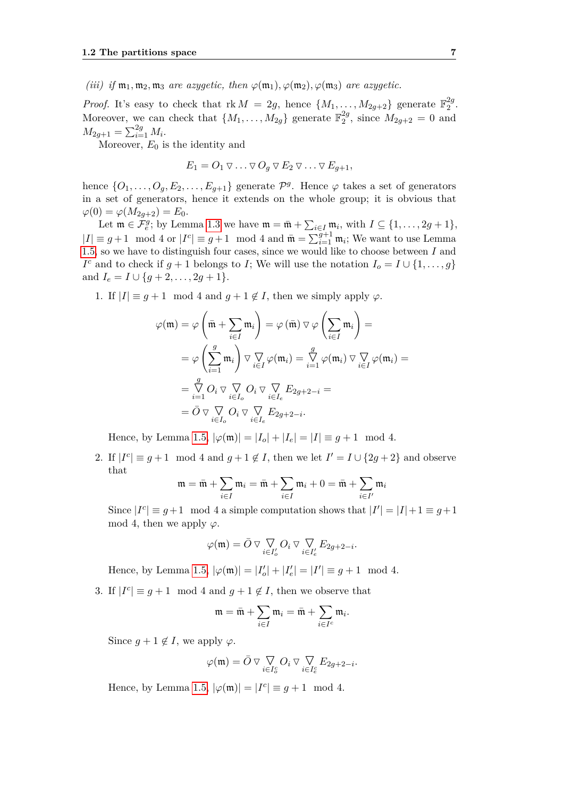*(iii) if*  $m_1, m_2, m_3$  *are azygetic, then*  $\varphi(m_1), \varphi(m_2), \varphi(m_3)$  *are azygetic.* 

*Proof.* It's easy to check that  $rk M = 2g$ , hence  $\{M_1, \ldots, M_{2g+2}\}\$  generate  $\mathbb{F}_2^{2g}$  $\frac{2g}{2}$ . Moreover, we can check that  $\{M_1, \ldots, M_{2g}\}$  generate  $\mathbb{F}_2^{2g}$  $_{2}^{2g}$ , since  $M_{2g+2} = 0$  and  $M_{2g+1} = \sum_{i=1}^{2g} M_i$ .

Moreover, *E*<sup>0</sup> is the identity and

$$
E_1 = O_1 \triangledown \ldots \triangledown O_g \triangledown E_2 \triangledown \ldots \triangledown E_{g+1},
$$

hence  $\{O_1, \ldots, O_g, E_2, \ldots, E_{g+1}\}\$  generate  $\mathcal{P}^g$ . Hence  $\varphi$  takes a set of generators in a set of generators, hence it extends on the whole group; it is obvious that  $\varphi(0) = \varphi(M_{2q+2}) = E_0.$ 

Let  $\mathfrak{m} \in \mathcal{F}_{e}^g$ ; by Lemma [1.3](#page-17-0) we have  $\mathfrak{m} = \bar{\mathfrak{m}} + \sum_{i \in I} \mathfrak{m}_i$ , with  $I \subseteq \{1, \ldots, 2g + 1\}$ ,  $|I| \equiv g+1 \mod 4$  or  $|I^c| \equiv g+1 \mod 4$  and  $\bar{\mathfrak{m}} = \sum_{i=1}^{g+1} \mathfrak{m}_i$ ; We want to use Lemma [1.5,](#page-21-2) so we have to distinguish four cases, since we would like to choose between *I* and *I*<sup>c</sup> and to check if  $g + 1$  belongs to *I*; We will use the notation  $I_o = I \cup \{1, \ldots, g\}$ and  $I_e = I \cup \{g + 2, \ldots, 2g + 1\}.$ 

1. If  $|I| \equiv g + 1 \mod 4$  and  $g + 1 \notin I$ , then we simply apply  $\varphi$ .

$$
\varphi(\mathfrak{m}) = \varphi\left(\bar{\mathfrak{m}} + \sum_{i \in I} \mathfrak{m}_i\right) = \varphi\left(\bar{\mathfrak{m}}\right) \nabla \varphi\left(\sum_{i \in I} \mathfrak{m}_i\right) =
$$
  
\n
$$
= \varphi\left(\sum_{i=1}^g \mathfrak{m}_i\right) \nabla \nabla \varphi(\mathfrak{m}_i) = \sum_{i=1}^g \varphi(\mathfrak{m}_i) \nabla \nabla \varphi(\mathfrak{m}_i) =
$$
  
\n
$$
= \sum_{i=1}^g O_i \nabla \nabla \nabla \partial_i \nabla \nabla_{i \in I_e} E_{2g+2-i} =
$$
  
\n
$$
= \bar{O} \nabla \nabla \nabla \partial_i \nabla \nabla_{i \in I_e} E_{2g+2-i}.
$$

Hence, by Lemma [1.5,](#page-21-2)  $|\varphi(\mathfrak{m})| = |I_o| + |I_e| = |I| \equiv g + 1 \mod 4$ .

2. If  $|I^c| \equiv g+1 \mod 4$  and  $g+1 \notin I$ , then we let  $I' = I \cup \{2g+2\}$  and observe that

$$
\mathfrak{m} = \bar{\mathfrak{m}} + \sum_{i \in I} \mathfrak{m}_i = \bar{\mathfrak{m}} + \sum_{i \in I} \mathfrak{m}_i + 0 = \bar{\mathfrak{m}} + \sum_{i \in I'} \mathfrak{m}_i
$$

Since  $|I^c| \equiv g+1 \mod 4$  a simple computation shows that  $|I'| = |I|+1 \equiv g+1$ mod 4, then we apply  $\varphi$ .

$$
\varphi(\mathfrak{m}) = \bar{O} \vee \bigvee_{i \in I'_o} O_i \vee \bigvee_{i \in I'_e} E_{2g+2-i}.
$$

Hence, by Lemma [1.5,](#page-21-2)  $|\varphi(\mathfrak{m})| = |I'_o| + |I'_e| = |I'| \equiv g + 1 \mod 4$ .

3. If  $|I^c| \equiv g + 1 \mod 4$  and  $g + 1 \notin I$ , then we observe that

$$
\mathfrak{m}=\bar{\mathfrak{m}}+\sum_{i\in I}\mathfrak{m}_i=\bar{\mathfrak{m}}+\sum_{i\in I^c}\mathfrak{m}_i.
$$

Since  $g + 1 \notin I$ , we apply  $\varphi$ .

$$
\varphi(\mathfrak{m})=\bar{O}\triangledown{\mathop{\bigtriangledown\bigtriangledown}}_{i\in I_{o}^{c}}O_{i}\triangledown{\mathop{\bigtriangledown\bigtriangledown}}_{i\in I_{e}^{c}}E_{2g+2-i}.
$$

Hence, by Lemma [1.5,](#page-21-2)  $|\varphi(\mathfrak{m})| = |I^c| \equiv g + 1 \mod 4$ .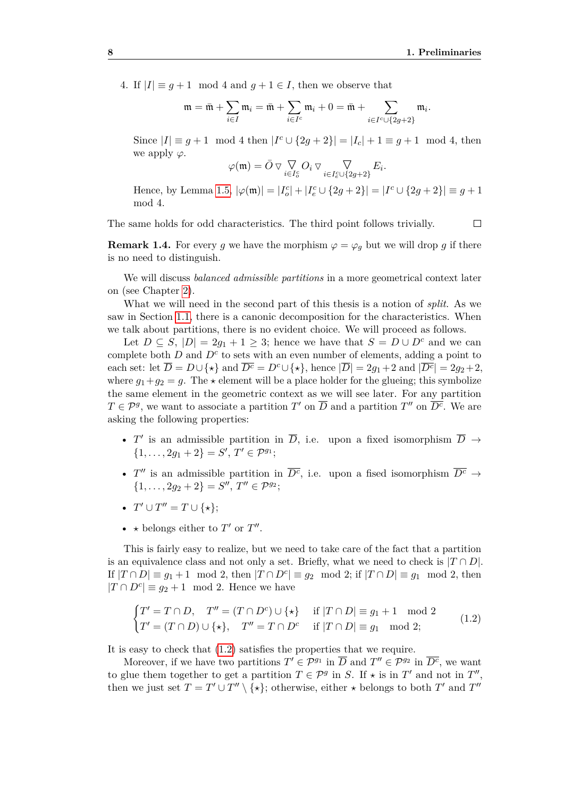$\Box$ 

4. If  $|I| \equiv q+1 \mod 4$  and  $q+1 \in I$ , then we observe that

$$
\mathfrak{m}=\bar{\mathfrak{m}}+\sum_{i\in I}\mathfrak{m}_i=\bar{\mathfrak{m}}+\sum_{i\in I^c}\mathfrak{m}_i+0=\bar{\mathfrak{m}}+\sum_{i\in I^c\cup\{2g+2\}}\mathfrak{m}_i.
$$

Since  $|I| \equiv g + 1 \mod 4$  then  $|I^c \cup \{2g + 2\}| = |I_c| + 1 \equiv g + 1 \mod 4$ , then we apply *ϕ*.

$$
\varphi(\mathfrak{m}) = \bar{O} \vee \bigvee_{i \in I_o^c} O_i \vee \bigvee_{i \in I_e^c \cup \{2g+2\}} E_i.
$$

Hence, by Lemma [1.5,](#page-21-2)  $|\varphi(\mathfrak{m})| = |I_o^c| + |I_e^c \cup \{2g + 2\}| = |I^c \cup \{2g + 2\}| \equiv g + 1$ mod 4.

The same holds for odd characteristics. The third point follows trivially.

**Remark 1.4.** For every *g* we have the morphism  $\varphi = \varphi_q$  but we will drop *g* if there is no need to distinguish.

We will discuss *balanced admissible partitions* in a more geometrical context later on (see Chapter [2\)](#page-44-0).

What we will need in the second part of this thesis is a notion of *split*. As we saw in Section [1.1,](#page-16-1) there is a canonic decomposition for the characteristics. When we talk about partitions, there is no evident choice. We will proceed as follows.

Let  $D \subseteq S$ ,  $|D| = 2g_1 + 1 \geq 3$ ; hence we have that  $S = D \cup D^c$  and we can complete both  $D$  and  $D^c$  to sets with an even number of elements, adding a point to each set: let  $\overline{D} = D \cup \{ \star \}$  and  $\overline{D^c} = D^c \cup \{ \star \},$  hence  $|\overline{D}| = 2g_1 + 2$  and  $|\overline{D^c}| = 2g_2 + 2$ , where  $g_1+g_2 = g$ . The  $\star$  element will be a place holder for the glueing; this symbolize the same element in the geometric context as we will see later. For any partition  $T \in \mathcal{P}^g$ , we want to associate a partition *T*<sup>'</sup> on  $\overline{D}$  and a partition *T*<sup>''</sup> on  $\overline{D^c}$ . We are asking the following properties:

- *T'* is an admissible partition in  $\overline{D}$ , i.e. upon a fixed isomorphism  $\overline{D} \rightarrow$  $\{1, \ldots, 2g_1 + 2\} = S', T' \in \mathcal{P}^{g_1};$
- *T*<sup>*u*</sup> is an admissible partition in  $\overline{D^c}$ , i.e. upon a fised isomorphism  $\overline{D^c} \rightarrow$  $\{1, \ldots, 2g_2 + 2\} = S''$ ,  $T'' \in \mathcal{P}^{g_2}$ ;
- $T' \cup T'' = T \cup \{*\};$
- $\star$  belongs either to *T'* or *T"*.

This is fairly easy to realize, but we need to take care of the fact that a partition is an equivalence class and not only a set. Briefly, what we need to check is  $|T \cap D|$ . If  $|T \cap D| \equiv g_1 + 1 \mod 2$ , then  $|T \cap D^c| \equiv g_2 \mod 2$ ; if  $|T \cap D| \equiv g_1 \mod 2$ , then  $|T \cap D^c| \equiv g_2 + 1 \mod 2$ . Hence we have

<span id="page-23-0"></span>
$$
\begin{cases}\nT' = T \cap D, & T'' = (T \cap D^c) \cup \{\star\} \quad \text{if } |T \cap D| \equiv g_1 + 1 \mod 2 \\
T' = (T \cap D) \cup \{\star\}, & T'' = T \cap D^c \quad \text{if } |T \cap D| \equiv g_1 \mod 2;\n\end{cases}
$$
\n(1.2)

It is easy to check that [\(1.2\)](#page-23-0) satisfies the properties that we require.

Moreover, if we have two partitions  $T' \in \mathcal{P}^{g_1}$  in  $\overline{D}$  and  $T'' \in \mathcal{P}^{g_2}$  in  $\overline{D^c}$ , we want to glue them together to get a partition  $T \in \mathcal{P}^g$  in *S*. If  $\star$  is in  $T'$  and not in  $T''$ , then we just set  $T = T' \cup T'' \setminus {\star}$ ; otherwise, either  $\star$  belongs to both  $T'$  and  $T''$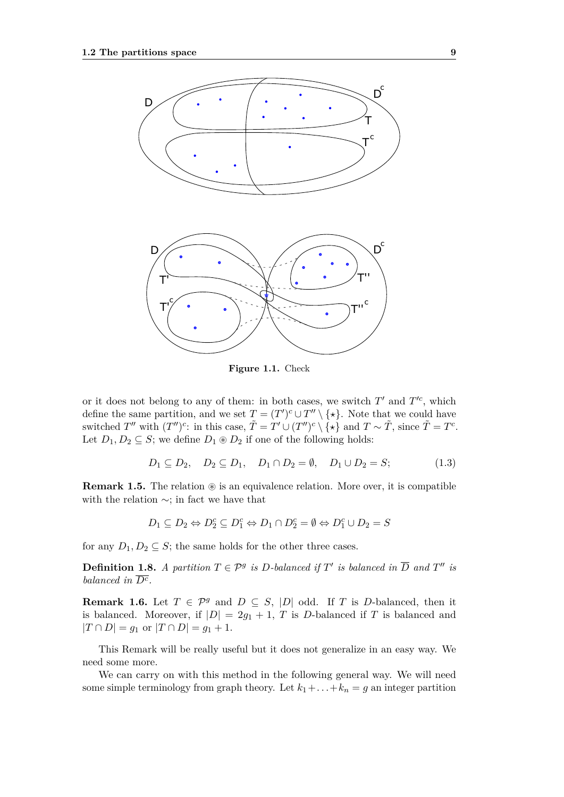

**Figure 1.1.** Check

or it does not belong to any of them: in both cases, we switch  $T'$  and  $T'^c$ , which define the same partition, and we set  $T = (T')^c \cup T'' \setminus {\{\star\}}$ . Note that we could have switched *T*<sup>*n*</sup> with  $(T'')^c$ : in this case,  $\tilde{T} = T' \cup (T'')^c \setminus {\star}$  and  $T \sim \tilde{T}$ , since  $\tilde{T} = T^c$ . Let  $D_1, D_2 \subseteq S$ ; we define  $D_1 \otimes D_2$  if one of the following holds:

$$
D_1 \subseteq D_2, \quad D_2 \subseteq D_1, \quad D_1 \cap D_2 = \emptyset, \quad D_1 \cup D_2 = S; \tag{1.3}
$$

**Remark 1.5.** The relation  $\otimes$  is an equivalence relation. More over, it is compatible with the relation ∼; in fact we have that

$$
D_1 \subseteq D_2 \Leftrightarrow D_2^c \subseteq D_1^c \Leftrightarrow D_1 \cap D_2^c = \emptyset \Leftrightarrow D_1^c \cup D_2 = S
$$

for any  $D_1, D_2 \subseteq S$ ; the same holds for the other three cases.

**Definition 1.8.** *A partition*  $T \in \mathcal{P}^g$  *is D*-balanced if  $T'$  *is balanced in*  $\overline{D}$  *and*  $T''$  *is balanced in*  $\overline{D^c}$ .

**Remark 1.6.** Let  $T \in \mathcal{P}^g$  and  $D \subseteq S$ , |D| odd. If *T* is *D*-balanced, then it is balanced. Moreover, if  $|D| = 2g_1 + 1$ , *T* is *D*-balanced if *T* is balanced and  $|T \cap D| = g_1$  or  $|T \cap D| = g_1 + 1$ .

This Remark will be really useful but it does not generalize in an easy way. We need some more.

We can carry on with this method in the following general way. We will need some simple terminology from graph theory. Let  $k_1 + \ldots + k_n = g$  an integer partition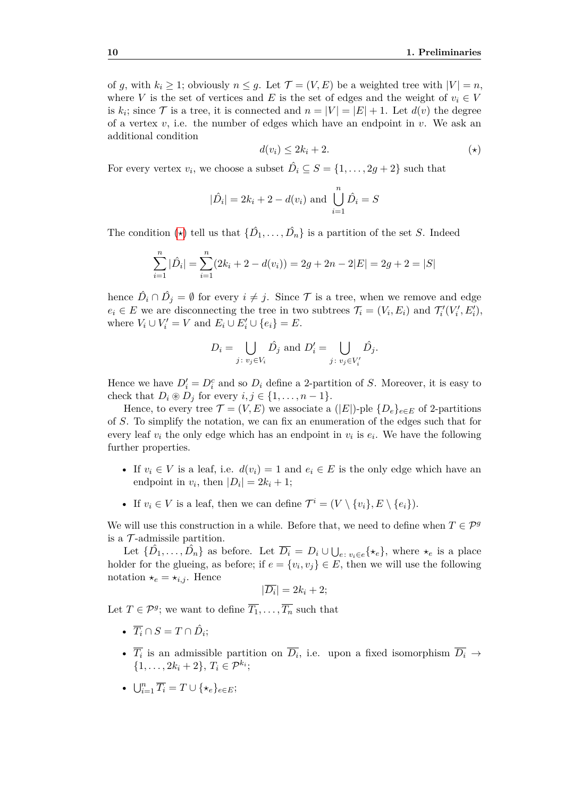of *g*, with  $k_i \geq 1$ ; obviously  $n \leq g$ . Let  $\mathcal{T} = (V, E)$  be a weighted tree with  $|V| = n$ , where *V* is the set of vertices and *E* is the set of edges and the weight of  $v_i \in V$ is  $k_i$ ; since  $\mathcal T$  is a tree, it is connected and  $n = |V| = |E| + 1$ . Let  $d(v)$  the degree of a vertex  $v$ , i.e. the number of edges which have an endpoint in  $v$ . We ask an additional condition

<span id="page-25-1"></span><span id="page-25-0"></span>
$$
d(v_i) \le 2k_i + 2. \tag{(*)}
$$

For every vertex  $v_i$ , we choose a subset  $\hat{D}_i \subseteq S = \{1, \ldots, 2g + 2\}$  such that

$$
|\hat{D}_i| = 2k_i + 2 - d(v_i)
$$
 and  $\bigcup_{i=1}^n \hat{D}_i = S$ 

The condition  $(\star)$  tell us that  $\{\hat{D}_1, \ldots, \hat{D}_n\}$  is a partition of the set *S*. Indeed

$$
\sum_{i=1}^{n} |\hat{D}_i| = \sum_{i=1}^{n} (2k_i + 2 - d(v_i)) = 2g + 2n - 2|E| = 2g + 2 = |S|
$$

hence  $\hat{D}_i \cap \hat{D}_j = \emptyset$  for every  $i \neq j$ . Since  $\mathcal T$  is a tree, when we remove and edge  $e_i \in E$  we are disconnecting the tree in two subtrees  $\mathcal{T}_i = (V_i, E_i)$  and  $\mathcal{T}'_i(V'_i, E'_i)$ , where  $V_i \cup V'_i = V$  and  $E_i \cup E'_i \cup \{e_i\} = E$ .

$$
D_i = \bigcup_{j \colon v_j \in V_i} \hat{D}_j \text{ and } D'_i = \bigcup_{j \colon v_j \in V'_i} \hat{D}_j.
$$

Hence we have  $D_i' = D_i^c$  and so  $D_i$  define a 2-partition of *S*. Moreover, it is easy to check that  $D_i \otimes D_j$  for every  $i, j \in \{1, \ldots, n-1\}.$ 

Hence, to every tree  $\mathcal{T} = (V, E)$  we associate a (|E|)-ple  $\{D_e\}_{e \in E}$  of 2-partitions of *S*. To simplify the notation, we can fix an enumeration of the edges such that for every leaf  $v_i$  the only edge which has an endpoint in  $v_i$  is  $e_i$ . We have the following further properties.

- If  $v_i \in V$  is a leaf, i.e.  $d(v_i) = 1$  and  $e_i \in E$  is the only edge which have an endpoint in  $v_i$ , then  $|D_i| = 2k_i + 1$ ;
- If  $v_i \in V$  is a leaf, then we can define  $\mathcal{T}^i = (V \setminus \{v_i\}, E \setminus \{e_i\}).$

We will use this construction in a while. Before that, we need to define when  $T \in \mathcal{P}^g$ is a  $\mathcal T$ -admissile partition.

Let  $\{\hat{D}_1, \ldots, \hat{D}_n\}$  as before. Let  $\overline{D_i} = D_i \cup \bigcup_{e \colon v_i \in e} {\{\star_e\}}$ , where  $\star_e$  is a place holder for the glueing, as before; if  $e = \{v_i, v_j\} \in E$ , then we will use the following notation  $\star_e = \star_{i,j}$ . Hence

$$
|\overline{D_i}| = 2k_i + 2;
$$

Let  $T \in \mathcal{P}^g$ ; we want to define  $\overline{T_1}, \ldots, \overline{T_n}$  such that

- $\overline{T_i} \cap S = T \cap \hat{D_i}$ ;
- $\overline{T_i}$  is an admissible partition on  $\overline{D_i}$ , i.e. upon a fixed isomorphism  $\overline{D_i} \rightarrow$  $\{1, \ldots, 2k_i + 2\}, T_i \in \mathcal{P}^{k_i};$
- $\bigcup_{i=1}^{n} \overline{T_i} = T \cup \{\star_e\}_{e \in E};$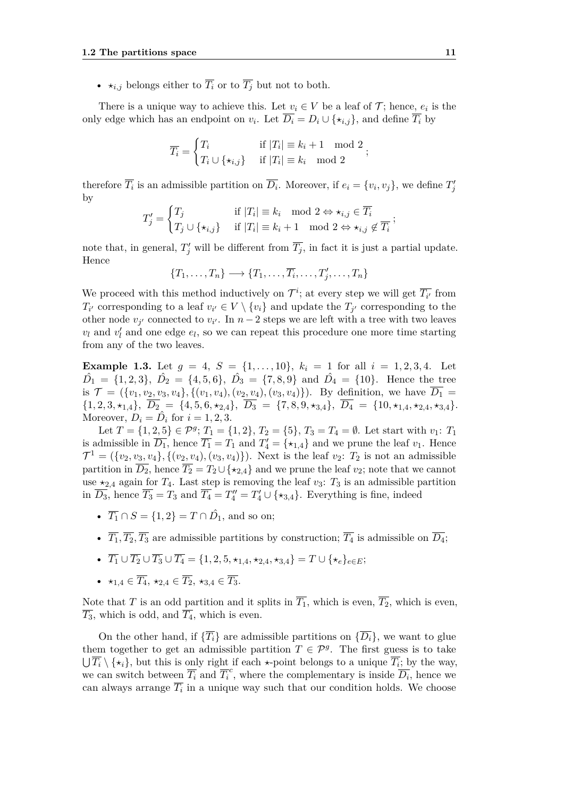•  $\star_{i,j}$  belongs either to  $\overline{T_i}$  or to  $\overline{T_j}$  but not to both.

There is a unique way to achieve this. Let  $v_i \in V$  be a leaf of  $\mathcal{T}$ ; hence,  $e_i$  is the only edge which has an endpoint on  $v_i$ . Let  $\overline{D_i} = D_i \cup \{\star_{i,j}\}\$ , and define  $\overline{T_i}$  by

$$
\overline{T_i} = \begin{cases} T_i & \text{if } |T_i| \equiv k_i + 1 \mod 2 \\ T_i \cup \{\star_{i,j}\} & \text{if } |T_i| \equiv k_i \mod 2 \end{cases};
$$

therefore  $\overline{T_i}$  is an admissible partition on  $\overline{D_i}$ . Moreover, if  $e_i = \{v_i, v_j\}$ , we define  $T'_j$ by

$$
T'_j = \begin{cases} T_j & \text{if } |T_i| \equiv k_i \mod 2 \Leftrightarrow \star_{i,j} \in \overline{T_i} \\ T_j \cup \{\star_{i,j}\} & \text{if } |T_i| \equiv k_i + 1 \mod 2 \Leftrightarrow \star_{i,j} \notin \overline{T_i} \end{cases};
$$

note that, in general,  $T'_{j}$  will be different from  $\overline{T_{j}}$ , in fact it is just a partial update. Hence

 $\{T_1, \ldots, T_n\} \longrightarrow \{T_1, \ldots, \overline{T_i}, \ldots, T'_j, \ldots, T_n\}$ 

We proceed with this method inductively on  $\mathcal{T}^i$ ; at every step we will get  $\overline{T_{i'}}$  from  $T_{i'}$  corresponding to a leaf  $v_{i'} \in V \setminus \{v_i\}$  and update the  $T_{j'}$  corresponding to the other node  $v_{j'}$  connected to  $v_{i'}$ . In  $n-2$  steps we are left with a tree with two leaves  $v_l$  and  $v'_l$  and one edge  $e_l$ , so we can repeat this procedure one more time starting from any of the two leaves.

**Example 1.3.** Let  $g = 4$ ,  $S = \{1, \ldots, 10\}$ ,  $k_i = 1$  for all  $i = 1, 2, 3, 4$ . Let  $\hat{D}_1 = \{1, 2, 3\}, \ \hat{D}_2 = \{4, 5, 6\}, \ \hat{D}_3 = \{7, 8, 9\} \text{ and } \hat{D}_4 = \{10\}.$  Hence the tree is  $\mathcal{T} = (\{v_1, v_2, v_3, v_4\}, \{(v_1, v_4), (v_2, v_4), (v_3, v_4)\})$ . By definition, we have  $\overline{D_1}$  $\{1,2,3,\star_{1,4}\},\ \overline{D_2} = \{4,5,6,\star_{2,4}\},\ \overline{D_3} = \{7,8,9,\star_{3,4}\},\ \overline{D_4} = \{10,\star_{1,4},\star_{2,4},\star_{3,4}\}.$ Moreover,  $D_i = \hat{D}_i$  for  $i = 1, 2, 3$ .

Let  $T = \{1, 2, 5\} \in \mathcal{P}^g$ ;  $T_1 = \{1, 2\}$ ,  $T_2 = \{5\}$ ,  $T_3 = T_4 = \emptyset$ . Let start with  $v_1$ :  $T_1$ is admissible in  $\overline{D_1}$ , hence  $\overline{T_1} = T_1$  and  $T_4' = \{\star_{1,4}\}\$ and we prune the leaf  $v_1$ . Hence  $\mathcal{T}^1 = (\{v_2, v_3, v_4\}, \{(v_2, v_4), (v_3, v_4)\})$ . Next is the leaf  $v_2$ :  $T_2$  is not an admissible partition in  $\overline{D_2}$ , hence  $\overline{T_2} = T_2 \cup \{*_2, _4\}$  and we prune the leaf  $v_2$ ; note that we cannot use  $\star_{2,4}$  again for  $T_4$ . Last step is removing the leaf  $v_3$ :  $T_3$  is an admissible partition in  $\overline{D_3}$ , hence  $\overline{T_3} = T_3$  and  $\overline{T_4} = T_4'' = T_4' \cup \{\star_{3,4}\}.$  Everything is fine, indeed

- $\overline{T_1} \cap S = \{1, 2\} = T \cap \hat{D_1}$ , and so on;
- $\overline{T_1}, \overline{T_2}, \overline{T_3}$  are admissible partitions by construction;  $\overline{T_4}$  is admissible on  $\overline{D_4}$ ;
- $\overline{T_1} \cup \overline{T_2} \cup \overline{T_3} \cup \overline{T_4} = \{1, 2, 5, \star_{1,4}, \star_{2,4}, \star_{3,4}\} = T \cup \{\star_e\}_{e \in E};$
- $\star_{1,4} \in \overline{T_4}, \star_{2,4} \in \overline{T_2}, \star_{3,4} \in \overline{T_3}.$

Note that *T* is an odd partition and it splits in  $\overline{T_1}$ , which is even,  $\overline{T_2}$ , which is even,  $\overline{T_3}$ , which is odd, and  $\overline{T_4}$ , which is even.

On the other hand, if  $\{\overline{T_i}\}\$  are admissible partitions on  $\{\overline{D_i}\}\$ , we want to glue them together to get an admissible partition  $T \in \mathcal{P}^g$ . The first guess is to take  $\bigcup T_i \setminus \{*_i\}$ , but this is only right if each  $\star$ -point belongs to a unique  $T_i$ ; by the way, we can switch between  $\overline{T_i}$  and  $\overline{T_i}^c$ , where the complementary is inside  $\overline{D_i}$ , hence we can always arrange  $\overline{T_i}$  in a unique way such that our condition holds. We choose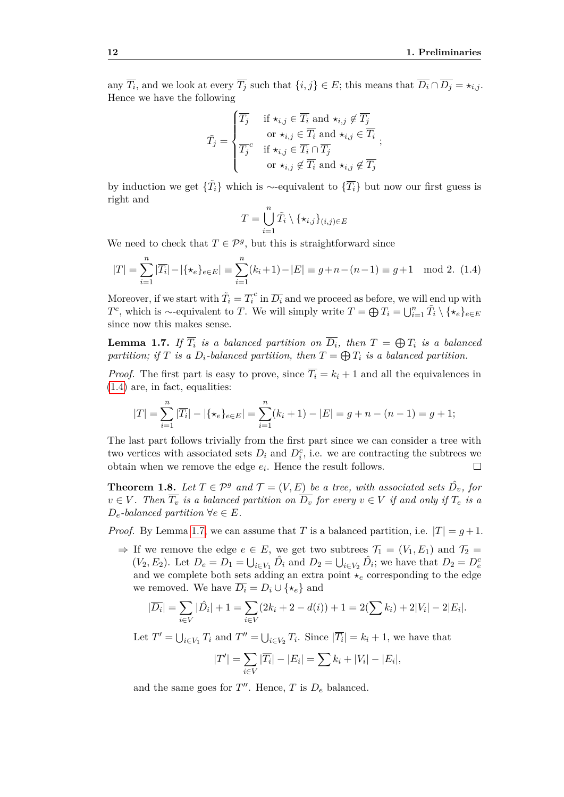any  $\overline{T_i}$ , and we look at every  $\overline{T_j}$  such that  $\{i, j\} \in E$ ; this means that  $\overline{D_i} \cap \overline{D_j} = \star_{i,j}$ . Hence we have the following

$$
\tilde{T}_j = \begin{cases}\n\overline{T_j} & \text{if } \star_{i,j} \in \overline{T_i} \text{ and } \star_{i,j} \notin \overline{T_j} \\
& \text{or } \star_{i,j} \in \overline{T_i} \text{ and } \star_{i,j} \in \overline{T_i} \\
\overline{T_j}^c & \text{if } \star_{i,j} \in \overline{T_i} \cap \overline{T_j} \\
& \text{or } \star_{i,j} \notin \overline{T_i} \text{ and } \star_{i,j} \notin \overline{T_j}\n\end{cases};
$$

by induction we get  $\{\tilde{T}_i\}$  which is ∼-equivalent to  $\{\overline{T}_i\}$  but now our first guess is right and

$$
T = \bigcup_{i=1}^n \tilde{T}_i \setminus \{\star_{i,j}\}_{(i,j) \in E}
$$

We need to check that  $T \in \mathcal{P}^g$ , but this is straightforward since

$$
|T| = \sum_{i=1}^{n} |\overline{T_i}| - |\{\star_e\}_{e \in E}| \equiv \sum_{i=1}^{n} (k_i + 1) - |E| \equiv g + n - (n - 1) \equiv g + 1 \mod 2. \tag{1.4}
$$

Moreover, if we start with  $\tilde{T}_i = \overline{T_i}^c$  in  $\overline{D_i}$  and we proceed as before, we will end up with *T*<sup>c</sup>, which is ∼-equivalent to *T*. We will simply write  $T = \bigoplus T_i = \bigcup_{i=1}^n \tilde{T}_i \setminus {\{\star_e\}}_{e \in E}$ since now this makes sense.

<span id="page-27-0"></span>**Lemma 1.7.** If  $\overline{T_i}$  is a balanced partition on  $\overline{D_i}$ , then  $T = \bigoplus T_i$  is a balanced *partition; if T is a*  $D_i$ *-balanced partition, then*  $T = \bigoplus T_i$  *is a balanced partition.* 

*Proof.* The first part is easy to prove, since  $\overline{T_i} = k_i + 1$  and all the equivalences in [\(1.4\)](#page-25-1) are, in fact, equalities:

$$
|T| = \sum_{i=1}^{n} |\overline{T_i}| - |\{\star_e\}_{e \in E}| = \sum_{i=1}^{n} (k_i + 1) - |E| = g + n - (n - 1) = g + 1;
$$

The last part follows trivially from the first part since we can consider a tree with two vertices with associated sets  $D_i$  and  $D_i^c$ , i.e. we are contracting the subtrees we obtain when we remove the edge  $e_i$ . Hence the result follows.  $\Box$ 

**Theorem 1.8.** Let  $T \in \mathcal{P}^g$  and  $\mathcal{T} = (V, E)$  be a tree, with associated sets  $\hat{D}_v$ , for  $v \in V$ . Then  $\overline{T_v}$  *is a balanced partition on*  $\overline{D_v}$  *for every*  $v \in V$  *if and only if*  $T_e$  *is a*  $D_e$ *-balanced partition*  $\forall e \in E$ *.* 

*Proof.* By Lemma [1.7,](#page-27-0) we can assume that *T* is a balanced partition, i.e.  $|T| = g + 1$ .

 $\Rightarrow$  If we remove the edge  $e \in E$ , we get two subtrees  $\mathcal{T}_1 = (V_1, E_1)$  and  $\mathcal{T}_2 =$  $(V_2, E_2)$ . Let  $D_e = D_1 = \bigcup_{i \in V_1} \hat{D}_i$  and  $D_2 = \bigcup_{i \in V_2} \hat{D}_i$ ; we have that  $D_2 = D_e^c$ and we complete both sets adding an extra point  $\star_e$  corresponding to the edge we removed. We have  $\overline{D_i} = D_i \cup \{*_e\}$  and

$$
|\overline{D_i}| = \sum_{i \in V} |\hat{D_i}| + 1 = \sum_{i \in V} (2k_i + 2 - d(i)) + 1 = 2(\sum k_i) + 2|V_i| - 2|E_i|.
$$

Let  $T' = \bigcup_{i \in V_1} T_i$  and  $T'' = \bigcup_{i \in V_2} T_i$ . Since  $|\overline{T_i}| = k_i + 1$ , we have that

$$
|T'| = \sum_{i \in V} |\overline{T_i}| - |E_i| = \sum k_i + |V_i| - |E_i|,
$$

and the same goes for  $T''$ . Hence,  $T$  is  $D_e$  balanced.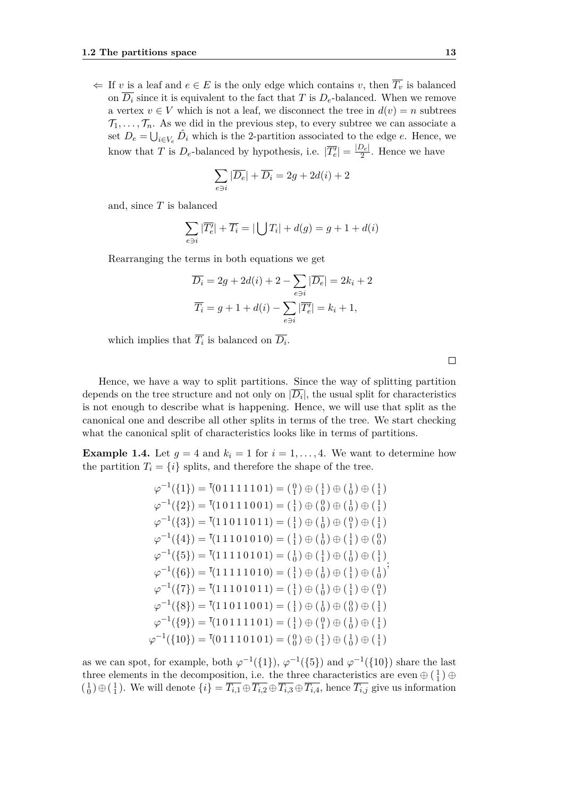$\Leftarrow$  If *v* is a leaf and *e* ∈ *E* is the only edge which contains *v*, then  $\overline{T_v}$  is balanced on  $\overline{D_i}$  since it is equivalent to the fact that *T* is  $D_e$ -balanced. When we remove a vertex  $v \in V$  which is not a leaf, we disconnect the tree in  $d(v) = n$  subtrees  $\mathcal{T}_1, \ldots, \mathcal{T}_n$ . As we did in the previous step, to every subtree we can associate a set  $D_e = \bigcup_{i \in V_e} \hat{D}_i$  which is the 2-partition associated to the edge *e*. Hence, we know that *T* is  $D_e$ -balanced by hypothesis, i.e.  $|\overline{T_e'}| = \frac{|D_e|}{2}$  $\frac{\mathcal{Q}_{e|}}{2}$ . Hence we have

$$
\sum_{e \ni i} |\overline{D_e}| + \overline{D_i} = 2g + 2d(i) + 2
$$

and, since *T* is balanced

$$
\sum_{e \ni i} |\overline{T'_e}| + \overline{T_i} = |\bigcup T_i| + d(g) = g + 1 + d(i)
$$

Rearranging the terms in both equations we get

$$
\overline{D_i} = 2g + 2d(i) + 2 - \sum_{e \ni i} |\overline{D_e}| = 2k_i + 2
$$

$$
\overline{T_i} = g + 1 + d(i) - \sum_{e \ni i} |\overline{T'_e}| = k_i + 1,
$$

which implies that  $T_i$  is balanced on  $D_i$ .

Hence, we have a way to split partitions. Since the way of splitting partition depends on the tree structure and not only on  $|D_i|$ , the usual split for characteristics is not enough to describe what is happening. Hence, we will use that split as the canonical one and describe all other splits in terms of the tree. We start checking what the canonical split of characteristics looks like in terms of partitions.

**Example 1.4.** Let  $g = 4$  and  $k_i = 1$  for  $i = 1, \ldots, 4$ . We want to determine how the partition  $T_i = \{i\}$  splits, and therefore the shape of the tree.

$$
\varphi^{-1}(\{1\}) = \mathbf{I}(01111101) = \begin{pmatrix} 0 \\ 1 \end{pmatrix} \oplus \begin{pmatrix} 1 \\ 1 \end{pmatrix} \oplus \begin{pmatrix} 1 \\ 1 \end{pmatrix}
$$
  
\n
$$
\varphi^{-1}(\{2\}) = \mathbf{I}(10111001) = \begin{pmatrix} 1 \\ 1 \end{pmatrix} \oplus \begin{pmatrix} 0 \\ 0 \end{pmatrix} \oplus \begin{pmatrix} 1 \\ 0 \end{pmatrix} \oplus \begin{pmatrix} 1 \\ 1 \end{pmatrix}
$$
  
\n
$$
\varphi^{-1}(\{3\}) = \mathbf{I}(11011011) = \begin{pmatrix} 1 \\ 1 \end{pmatrix} \oplus \begin{pmatrix} 1 \\ 0 \end{pmatrix} \oplus \begin{pmatrix} 1 \\ 1 \end{pmatrix}
$$
  
\n
$$
\varphi^{-1}(\{4\}) = \mathbf{I}(11101010) = \begin{pmatrix} 1 \\ 1 \end{pmatrix} \oplus \begin{pmatrix} 1 \\ 0 \end{pmatrix} \oplus \begin{pmatrix} 1 \\ 1 \end{pmatrix} \oplus \begin{pmatrix} 0 \\ 0 \end{pmatrix}
$$
  
\n
$$
\varphi^{-1}(\{5\}) = \mathbf{I}(11110101) = \begin{pmatrix} 1 \\ 0 \end{pmatrix} \oplus \begin{pmatrix} 1 \\ 1 \end{pmatrix} \oplus \begin{pmatrix} 1 \\ 0 \end{pmatrix} \oplus \begin{pmatrix} 1 \\ 1 \end{pmatrix}
$$
  
\n
$$
\varphi^{-1}(\{6\}) = \mathbf{I}(11110101) = \begin{pmatrix} 1 \\ 1 \end{pmatrix} \oplus \begin{pmatrix} 1 \\ 0 \end{pmatrix} \oplus \begin{pmatrix} 1 \\ 1 \end{pmatrix} \oplus \begin{pmatrix} 0 \\ 1 \end{pmatrix}
$$
  
\n
$$
\varphi^{-1}(\{8\}) = \mathbf{I}(1101101) = \begin{pmatrix} 1 \\ 1 \end{pmatrix} \oplus \begin{pmatrix} 1 \\ 0 \end{pmatrix} \oplus \begin{pmatrix} 1 \\ 1 \end{pmatrix}
$$
  
\n
$$
\varphi^{-1}(\{9\}) = \mathbf{
$$

as we can spot, for example, both  $\varphi^{-1}(\{1\}), \varphi^{-1}(\{5\})$  and  $\varphi^{-1}(\{10\})$  share the last three elements in the decomposition, i.e. the three characteristics are even  $\oplus$   $(\frac{1}{1})$   $\oplus$  $\binom{1}{0} \oplus \binom{1}{1}$ . We will denote  $\{i\} = \overline{T_{i,1}} \oplus \overline{T_{i,2}} \oplus \overline{T_{i,3}} \oplus \overline{T_{i,4}}$ , hence  $\overline{T_{i,j}}$  give us information

 $\Box$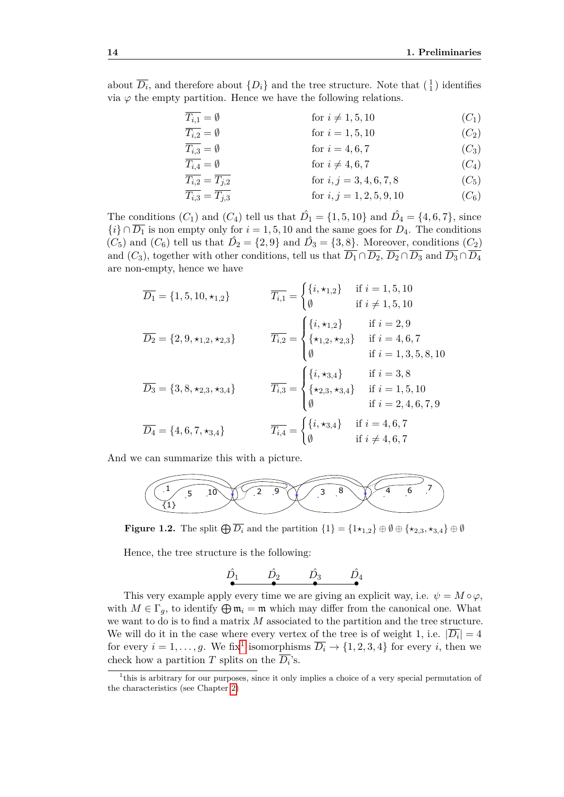about  $\overline{D_i}$ , and therefore about  $\{D_i\}$  and the tree structure. Note that  $\begin{pmatrix} 1 \\ 1 \end{pmatrix}$  identifies via  $\varphi$  the empty partition. Hence we have the following relations.

| $\overline{T_{i,1}} = \emptyset$          | for $i \neq 1, 5, 10$      | ( $C_1$ ) |
|-------------------------------------------|----------------------------|-----------|
| $\overline{T_{i,2}} = \emptyset$          | for $i = 1, 5, 10$         | ( $C_2$ ) |
| $\overline{T_{i,3}} = \emptyset$          | for $i = 4, 6, 7$          | ( $C_3$ ) |
| $\overline{T_{i,4}} = \emptyset$          | for $i \neq 4, 6, 7$       | ( $C_4$ ) |
| $\overline{T_{i,2}} = \overline{T_{j,2}}$ | for $i, j = 3, 4, 6, 7, 8$ | ( $C_5$ ) |

$$
\overline{T_{i,3}} = \overline{T_{j,3}} \qquad \text{for } i, j = 1, 2, 5, 9, 10 \qquad (C_6)
$$

The conditions  $(C_1)$  and  $(C_4)$  tell us that  $\hat{D}_1 = \{1, 5, 10\}$  and  $\hat{D}_4 = \{4, 6, 7\}$ , since  $\{i\} \cap \overline{D_1}$  is non empty only for  $i = 1, 5, 10$  and the same goes for  $D_4$ . The conditions  $(C_5)$  and  $(C_6)$  tell us that  $\hat{D_2} = \{2, 9\}$  and  $\hat{D_3} = \{3, 8\}$ . Moreover, conditions  $(C_2)$ and  $(C_3)$ , together with other conditions, tell us that  $\overline{D_1} \cap \overline{D_2}$ ,  $\overline{D_2} \cap \overline{D_3}$  and  $\overline{D_3} \cap \overline{D_4}$ are non-empty, hence we have

$$
\overline{D_1} = \{1, 5, 10, \star_{1,2}\} \qquad \overline{T_{i,1}} = \begin{cases} \{i, \star_{1,2}\} & \text{if } i = 1, 5, 10 \\ \emptyset & \text{if } i \neq 1, 5, 10 \end{cases}
$$
\n
$$
\overline{D_2} = \{2, 9, \star_{1,2}, \star_{2,3}\} \qquad \overline{T_{i,2}} = \begin{cases} \{i, \star_{1,2}\} & \text{if } i = 2, 9 \\ \{\star_{1,2}, \star_{2,3}\} & \text{if } i = 4, 6, 7 \\ \emptyset & \text{if } i = 1, 3, 5, 8, 10 \end{cases}
$$
\n
$$
\overline{D_3} = \{3, 8, \star_{2,3}, \star_{3,4}\} \qquad \overline{T_{i,3}} = \begin{cases} \{i, \star_{3,4}\} & \text{if } i = 3, 8 \\ \{\star_{2,3}, \star_{3,4}\} & \text{if } i = 1, 5, 10 \\ \emptyset & \text{if } i = 2, 4, 6, 7, 9 \end{cases}
$$
\n
$$
\overline{D_4} = \{4, 6, 7, \star_{3,4}\} \qquad \overline{T_{i,4}} = \begin{cases} \{i, \star_{3,4}\} & \text{if } i = 4, 6, 7 \\ \emptyset & \text{if } i \neq 4, 6, 7 \end{cases}
$$

And we can summarize this with a picture.



**Figure 1.2.** The split  $\bigoplus \overline{D_i}$  and the partition  $\{1\} = \{1\star_{1,2}\}\oplus \emptyset \oplus \{\star_{2,3},\star_{3,4}\}\oplus \emptyset$ 

Hence, the tree structure is the following:

$$
\stackrel{\hat{D_1}}{\bullet} \stackrel{\hat{D_2}}{\bullet} \stackrel{\hat{D_3}}{\bullet} \stackrel{\hat{D_4}}{\bullet}
$$

This very example apply every time we are giving an explicit way, i.e.  $\psi = M \circ \varphi$ , with  $M \in \Gamma_q$ , to identify  $\bigoplus \mathfrak{m}_i = \mathfrak{m}$  which may differ from the canonical one. What we want to do is to find a matrix *M* associated to the partition and the tree structure. We will do it in the case where every vertex of the tree is of weight 1, i.e.  $|\overline{D_i}| = 4$ for every  $i = 1, \ldots, g$  $i = 1, \ldots, g$  $i = 1, \ldots, g$ . We fix<sup>1</sup> isomorphisms  $\overline{D_i} \to \{1, 2, 3, 4\}$  for every *i*, then we check how a partition  $T$  splits on the  $D_i$ 's.

<span id="page-29-0"></span><sup>&</sup>lt;sup>1</sup>this is arbitrary for our purposes, since it only implies a choice of a very special permutation of the characteristics (see Chapter [2\)](#page-44-0)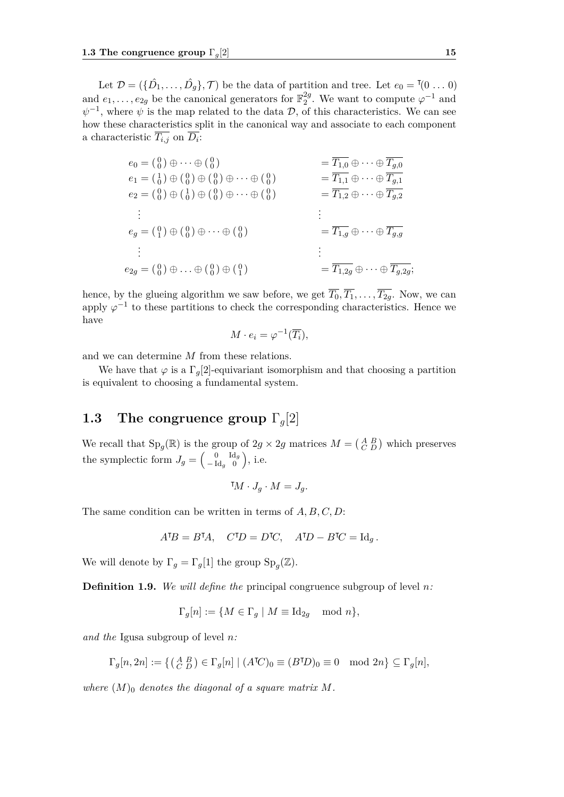Let  $\mathcal{D} = (\{\hat{D}_1, \ldots, \hat{D}_g\}, \mathcal{T})$  be the data of partition and tree. Let  $e_0 = (0 \ldots 0)$ and  $e_1, \ldots, e_{2g}$  be the canonical generators for  $\mathbb{F}_2^{2g}$  $_{2}^{2g}$ . We want to compute  $\varphi^{-1}$  and  $\psi^{-1}$ , where  $\psi$  is the map related to the data D, of this characteristics. We can see how these characteristics split in the canonical way and associate to each component a characteristic  $T_{i,j}$  on  $D_i$ :

$$
e_0 = \begin{pmatrix} 0 \\ 0 \end{pmatrix} \oplus \cdots \oplus \begin{pmatrix} 0 \\ 0 \end{pmatrix} = \overline{T_{1,0}} \oplus \cdots \oplus \overline{T_{g,0}}
$$
  
\n
$$
e_1 = \begin{pmatrix} 1 \\ 0 \end{pmatrix} \oplus \begin{pmatrix} 0 \\ 0 \end{pmatrix} \oplus \begin{pmatrix} 0 \\ 0 \end{pmatrix} \oplus \cdots \oplus \begin{pmatrix} 0 \\ 0 \end{pmatrix} = \overline{T_{1,1}} \oplus \cdots \oplus \overline{T_{g,1}}
$$
  
\n
$$
e_2 = \begin{pmatrix} 0 \\ 0 \end{pmatrix} \oplus \begin{pmatrix} 1 \\ 0 \end{pmatrix} \oplus \begin{pmatrix} 0 \\ 0 \end{pmatrix} \oplus \cdots \oplus \begin{pmatrix} 0 \\ 0 \end{pmatrix} = \overline{T_{1,1}} \oplus \cdots \oplus \overline{T_{g,2}}
$$
  
\n
$$
\vdots
$$
  
\n
$$
e_1 = \begin{pmatrix} 0 \\ 1 \end{pmatrix} \oplus \begin{pmatrix} 1 \\ 0 \end{pmatrix} \oplus \cdots \oplus \begin{pmatrix} 0 \\ 0 \end{pmatrix}
$$
  
\n
$$
\vdots
$$
  
\n
$$
e_2 = \begin{pmatrix} 0 \\ 1 \end{pmatrix} \oplus \begin{pmatrix} 0 \\ 0 \end{pmatrix} \oplus \cdots \oplus \begin{pmatrix} 0 \\ 0 \end{pmatrix}
$$
  
\n
$$
\vdots
$$
  
\n
$$
e_2 = \begin{pmatrix} 0 \\ 0 \end{pmatrix} \oplus \cdots \oplus \begin{pmatrix} 0 \\ 0 \end{pmatrix} \oplus \begin{pmatrix} 0 \\ 1 \end{pmatrix}
$$
  
\n
$$
\vdots
$$
  
\n
$$
= \overline{T_{1,2g}} \oplus \cdots \oplus \overline{T_{g,2g}};
$$

hence, by the glueing algorithm we saw before, we get  $\overline{T_0}, \overline{T_1}, \ldots, \overline{T_{2q}}$ . Now, we can apply  $\varphi^{-1}$  to these partitions to check the corresponding characteristics. Hence we have

$$
M \cdot e_i = \varphi^{-1}(\overline{T_i}),
$$

and we can determine *M* from these relations.

We have that  $\varphi$  is a  $\Gamma_q[2]$ -equivariant isomorphism and that choosing a partition is equivalent to choosing a fundamental system.

### <span id="page-30-0"></span>**1.3 The congruence group** Γ*g*[2]

We recall that  $Sp_g(\mathbb{R})$  is the group of  $2g \times 2g$  matrices  $M = \begin{pmatrix} A & B \\ C & D \end{pmatrix}$  which preserves the symplectic form  $J_g = \begin{pmatrix} 0 & \text{Id}_g \\ -\text{Id}_g & 0 \end{pmatrix}$  $\begin{pmatrix} 0 & \mathrm{Id}_g \\ -\mathrm{Id}_g & 0 \end{pmatrix}$ , i.e.

$$
{}^{\intercal}M \cdot J_g \cdot M = J_g.
$$

The same condition can be written in terms of *A, B, C, D*:

$$
ATB = BTA, \quad CTD = DTC, \quad ATD - BTC = Idg.
$$

We will denote by  $\Gamma_g = \Gamma_g[1]$  the group  $\text{Sp}_g(\mathbb{Z})$ .

**Definition 1.9.** *We will define the* principal congruence subgroup of level *n:*

 $\Gamma_q[n] := \{ M \in \Gamma_q \mid M \equiv \text{Id}_{2q} \mod n \},\$ 

*and the* Igusa subgroup of level *n:*

$$
\Gamma_g[n, 2n] := \left\{ \begin{pmatrix} A & B \\ C & D \end{pmatrix} \in \Gamma_g[n] \mid (A^{\mathsf{T}}C)_0 \equiv (B^{\mathsf{T}}D)_0 \equiv 0 \mod 2n \right\} \subseteq \Gamma_g[n],
$$

where  $(M)$ <sup>0</sup> *denotes the diagonal of a square matrix*  $M$ *.*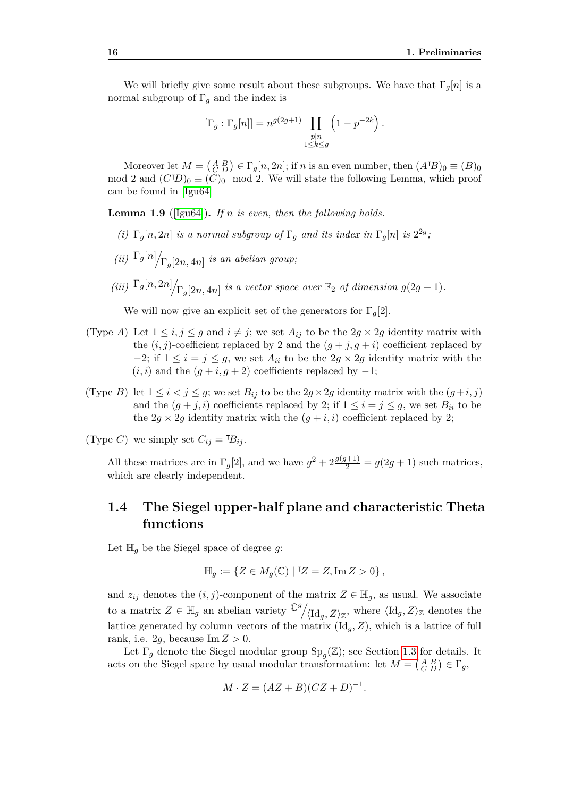We will briefly give some result about these subgroups. We have that  $\Gamma_q[n]$  is a normal subgroup of  $\Gamma_q$  and the index is

$$
[\Gamma_g : \Gamma_g[n]] = n^{g(2g+1)} \prod_{\substack{p|n \\ 1 \le k \le g}} \left(1 - p^{-2k}\right).
$$

Moreover let  $M = \begin{pmatrix} A & B \\ C & D \end{pmatrix} \in \Gamma_g[n, 2n]$ ; if *n* is an even number, then  $(A^{\mathsf{T}}B)_0 \equiv (B)_0$ mod 2 and  $(C^{\dagger}D)_0 \equiv (C)_0$  mod 2. We will state the following Lemma, which proof can be found in [\[Igu64\]](#page-71-7)

**Lemma 1.9** ([\[Igu64\]](#page-71-7))**.** *If n is even, then the following holds.*

- (*i*)  $\Gamma_g[n, 2n]$  *is a normal subgroup of*  $\Gamma_g$  *and its index in*  $\Gamma_g[n]$  *is*  $2^{2g}$ ,
- $(iii)$   $\Gamma_g[n]$  $\Gamma_g[2n, 4n]$  *is an abelian group*;
- $(iii)$   $\Gamma_g[n, 2n]$  $\bigg| \Gamma_g[2n, 4n]$  *is a vector space over*  $\mathbb{F}_2$  *of dimension*  $g(2g + 1)$ *.*

We will now give an explicit set of the generators for  $\Gamma_q[2]$ .

- (Type *A*) Let  $1 \le i, j \le g$  and  $i \ne j$ ; we set  $A_{ij}$  to be the  $2g \times 2g$  identity matrix with the  $(i, j)$ -coefficient replaced by 2 and the  $(g + j, g + i)$  coefficient replaced by  $-2$ ; if  $1 \leq i = j \leq g$ , we set  $A_{ii}$  to be the  $2g \times 2g$  identity matrix with the  $(i, i)$  and the  $(g + i, g + 2)$  coefficients replaced by  $-1$ ;
- (Type *B*) let  $1 \leq i < j \leq g$ ; we set  $B_{ij}$  to be the  $2g \times 2g$  identity matrix with the  $(g+i, j)$ and the  $(g + j, i)$  coefficients replaced by 2; if  $1 \leq i = j \leq g$ , we set  $B_{ii}$  to be the  $2g \times 2g$  identity matrix with the  $(g + i, i)$  coefficient replaced by 2;

(Type *C*) we simply set  $C_{ij} = {}^{T}B_{ij}$ .

All these matrices are in  $\Gamma_g[2]$ , and we have  $g^2 + 2\frac{g(g+1)}{2} = g(2g+1)$  such matrices, which are clearly independent.

### <span id="page-31-0"></span>**1.4 The Siegel upper-half plane and characteristic Theta functions**

Let  $\mathbb{H}_q$  be the Siegel space of degree g:

$$
\mathbb{H}_g := \{ Z \in M_g(\mathbb{C}) \mid \mathbb{I}Z = Z, \text{Im } Z > 0 \},
$$

and  $z_{ij}$  denotes the  $(i, j)$ -component of the matrix  $Z \in \mathbb{H}_q$ , as usual. We associate to a matrix  $Z \in \mathbb{H}_g$  an abelian variety  $\mathbb{C}^g$ .  $\langle \mathrm{Id}_g, Z \rangle_{\mathbb{Z}}$ , where  $\langle \mathrm{Id}_g, Z \rangle_{\mathbb{Z}}$  denotes the lattice generated by column vectors of the matrix  $(\mathrm{Id}_q, Z)$ , which is a lattice of full rank, i.e. 2*g*, because  $\text{Im } Z > 0$ .

Let  $\Gamma_g$  denote the Siegel modular group  $\text{Sp}_g(\mathbb{Z})$ ; see Section [1.3](#page-30-0) for details. It acts on the Siegel space by usual modular transformation: let  $M = \begin{pmatrix} A & B \\ C & D \end{pmatrix} \in \Gamma_g$ ,

$$
M \cdot Z = (AZ + B)(CZ + D)^{-1}.
$$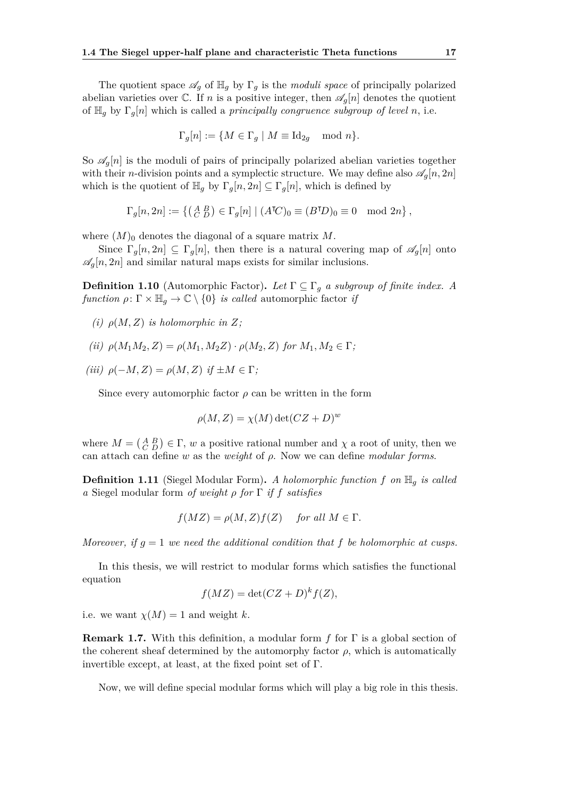The quotient space  $\mathscr{A}_q$  of  $\mathbb{H}_q$  by  $\Gamma_q$  is the *moduli space* of principally polarized abelian varieties over  $\mathbb{C}$ . If *n* is a positive integer, then  $\mathscr{A}_q[n]$  denotes the quotient of H*<sup>g</sup>* by Γ*g*[*n*] which is called a *principally congruence subgroup of level n*, i.e.

$$
\Gamma_g[n] := \{ M \in \Gamma_g \mid M \equiv \mathrm{Id}_{2g} \mod n \}.
$$

So  $\mathscr{A}_{q}[n]$  is the moduli of pairs of principally polarized abelian varieties together with their *n*-division points and a symplectic structure. We may define also  $\mathscr{A}_q[n,2n]$ which is the quotient of  $\mathbb{H}_g$  by  $\Gamma_g[n, 2n] \subseteq \Gamma_g[n]$ , which is defined by

$$
\Gamma_g[n,2n]:=\left\{\left(\begin{smallmatrix}A&B\\C&D\end{smallmatrix}\right)\in\Gamma_g[n]\mid(A^\intercal C)_0\equiv(B^\intercal D)_0\equiv0\mod2n\right\},
$$

where  $(M)$ <sup>0</sup> denotes the diagonal of a square matrix M.

Since  $\Gamma_q[n, 2n] \subseteq \Gamma_q[n]$ , then there is a natural covering map of  $\mathscr{A}_q[n]$  onto  $\mathscr{A}_q[n,2n]$  and similar natural maps exists for similar inclusions.

**Definition 1.10** (Automorphic Factor). Let  $\Gamma \subseteq \Gamma_g$  a subgroup of finite index. A *function*  $\rho: \Gamma \times \mathbb{H}_q \to \mathbb{C} \setminus \{0\}$  *is called* automorphic factor *if* 

 $(i)$   $\rho(M, Z)$  *is holomorphic in*  $Z$ *;* 

(ii) 
$$
\rho(M_1M_2, Z) = \rho(M_1, M_2Z) \cdot \rho(M_2, Z)
$$
 for  $M_1, M_2 \in \Gamma$ ;

 $(iii)$   $\rho(-M, Z) = \rho(M, Z)$  *if*  $\pm M \in \Gamma$ ;

Since every automorphic factor  $\rho$  can be written in the form

$$
\rho(M, Z) = \chi(M) \det(CZ + D)^w
$$

where  $M = \begin{pmatrix} A & B \\ C & D \end{pmatrix} \in \Gamma$ , *w* a positive rational number and  $\chi$  a root of unity, then we can attach can define *w* as the *weight* of *ρ*. Now we can define *modular forms*.

**Definition 1.11** (Siegel Modular Form)**.** *A holomorphic function f on* H*<sup>g</sup> is called a* Siegel modular form *of weight ρ for* Γ *if f satisfies*

$$
f(MZ) = \rho(M, Z) f(Z) \quad \text{for all } M \in \Gamma.
$$

*Moreover, if*  $g = 1$  *we need the additional condition that*  $f$  *be holomorphic at cusps.* 

In this thesis, we will restrict to modular forms which satisfies the functional equation

$$
f(MZ) = \det(CZ + D)^k f(Z),
$$

i.e. we want  $\chi(M) = 1$  and weight *k*.

**Remark 1.7.** With this definition, a modular form *f* for Γ is a global section of the coherent sheaf determined by the automorphy factor  $\rho$ , which is automatically invertible except, at least, at the fixed point set of  $\Gamma$ .

Now, we will define special modular forms which will play a big role in this thesis.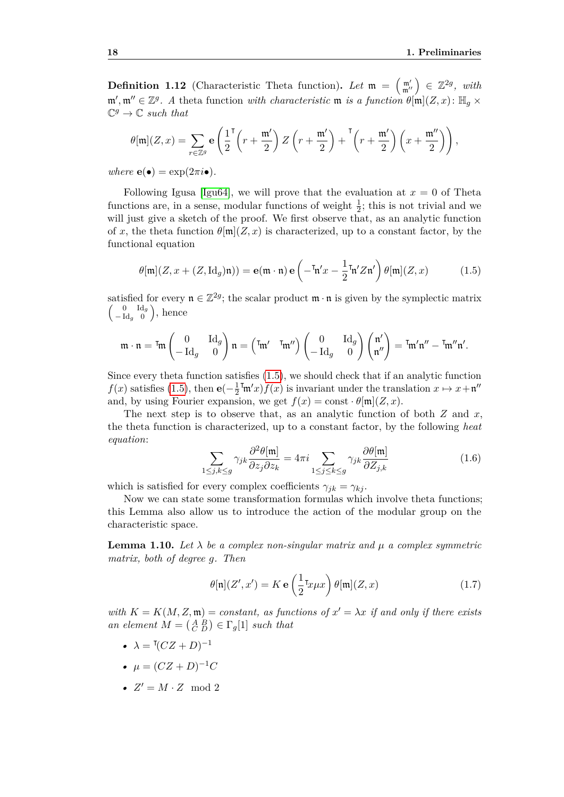**Definition 1.12** (Characteristic Theta function). Let  $\mathfrak{m} = \begin{pmatrix} \mathfrak{m}' \\ \mathfrak{m}'' \end{pmatrix} \in \mathbb{Z}^{2g}$ , with  $\mathfrak{m}', \mathfrak{m}'' \in \mathbb{Z}^g$ . A theta function *with characteristic*  $\mathfrak{m}$  *is a function*  $\theta[\mathfrak{m}](Z, x)$ :  $\mathbb{H}_g \times$  $\mathbb{C}^g \to \mathbb{C}$  *such that* 

$$
\theta[\mathfrak{m}](Z,x) = \sum_{r \in \mathbb{Z}^g} \mathbf{e} \left( \frac{1}{2}^\mathsf{T} \left( r + \frac{\mathfrak{m}'}{2} \right) Z \left( r + \frac{\mathfrak{m}'}{2} \right) + \frac{\mathfrak{T}}{2} \left( r + \frac{\mathfrak{m}'}{2} \right) \left( x + \frac{\mathfrak{m}''}{2} \right) \right),
$$

 $where \mathbf{e}(\bullet) = \exp(2\pi i \bullet).$ 

Following Igusa [\[Igu64\]](#page-71-7), we will prove that the evaluation at  $x = 0$  of Theta functions are, in a sense, modular functions of weight  $\frac{1}{2}$ ; this is not trivial and we will just give a sketch of the proof. We first observe that, as an analytic function of x, the theta function  $\theta[\mathfrak{m}](Z, x)$  is characterized, up to a constant factor, by the functional equation

<span id="page-33-0"></span>
$$
\theta[\mathfrak{m}](Z, x + (Z, \mathrm{Id}_g)\mathfrak{n})) = \mathbf{e}(\mathfrak{m} \cdot \mathfrak{n}) \mathbf{e}\left(-\mathfrak{m}'x - \frac{1}{2}\mathfrak{m}'Z\mathfrak{n}'\right)\theta[\mathfrak{m}](Z, x) \tag{1.5}
$$

satisfied for every  $\mathfrak{n} \in \mathbb{Z}^{2g}$ ; the scalar product  $\mathfrak{m} \cdot \mathfrak{n}$  is given by the symplectic matrix  $\int 0$  Id<sub>g</sub>  $\begin{pmatrix} 0 & \text{Id}_g \\ -\text{Id}_g & 0 \end{pmatrix}$ , hence

$$
\mathfrak{m} \cdot \mathfrak{n} = \mathfrak{m} \begin{pmatrix} 0 & \mathrm{Id}_g \\ -\mathrm{Id}_g & 0 \end{pmatrix} \mathfrak{n} = \begin{pmatrix} \mathfrak{m}' & \mathfrak{m}'' \end{pmatrix} \begin{pmatrix} 0 & \mathrm{Id}_g \\ -\mathrm{Id}_g & 0 \end{pmatrix} \begin{pmatrix} \mathfrak{n}' \\ \mathfrak{n}'' \end{pmatrix} = \mathfrak{m}' \mathfrak{n}'' - \mathfrak{m}'' \mathfrak{n}'.
$$

Since every theta function satisfies [\(1.5\)](#page-33-0), we should check that if an analytic function  $f(x)$  satisfies [\(1.5\)](#page-33-0), then **e**( $-\frac{1}{2}$ )  $\frac{1}{2}$ <sup>T</sup>m'x) $f(x)$  is invariant under the translation  $x \mapsto x + \mathfrak{n}''$ and, by using Fourier expansion, we get  $f(x) = \text{const} \cdot \theta[\mathfrak{m}](Z, x)$ .

The next step is to observe that, as an analytic function of both *Z* and *x*, the theta function is characterized, up to a constant factor, by the following *heat equation*:

<span id="page-33-2"></span>
$$
\sum_{1 \le j,k \le g} \gamma_{jk} \frac{\partial^2 \theta[\mathfrak{m}]}{\partial z_j \partial z_k} = 4\pi i \sum_{1 \le j \le k \le g} \gamma_{jk} \frac{\partial \theta[\mathfrak{m}]}{\partial Z_{j,k}} \tag{1.6}
$$

which is satisfied for every complex coefficients  $\gamma_{jk} = \gamma_{kj}$ .

Now we can state some transformation formulas which involve theta functions; this Lemma also allow us to introduce the action of the modular group on the characteristic space.

**Lemma 1.10.** Let  $\lambda$  be a complex non-singular matrix and  $\mu$  a complex symmetric *matrix, both of degree g. Then*

<span id="page-33-1"></span>
$$
\theta[\mathfrak{n}](Z',x') = K \mathbf{e}\left(\frac{1}{2}\tau_{x\mu x}\right) \theta[\mathfrak{m}](Z,x) \tag{1.7}
$$

*with*  $K = K(M, Z, \mathfrak{m}) = constant$ , as functions of  $x' = \lambda x$  if and only if there exists *an element*  $M = \begin{pmatrix} A & B \\ C & D \end{pmatrix} \in \Gamma_g[1]$  *such that* 

- $\lambda = (CZ + D)^{-1}$
- $\mu = (CZ + D)^{-1}C$
- $Z' = M \cdot Z \mod 2$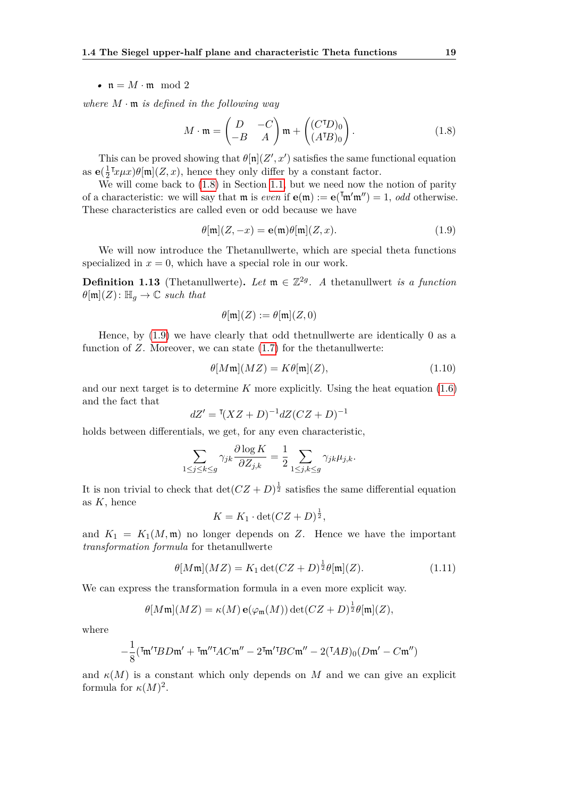#### •  $n = M \cdot m \mod 2$

*where M* · m *is defined in the following way*

<span id="page-34-0"></span>
$$
M \cdot \mathfrak{m} = \begin{pmatrix} D & -C \\ -B & A \end{pmatrix} \mathfrak{m} + \begin{pmatrix} (C^{\dagger}D)_0 \\ (A^{\dagger}B)_0 \end{pmatrix}.
$$
 (1.8)

This can be proved showing that  $\theta[\mathfrak{n}](Z',x')$  satisfies the same functional equation as  $\mathbf{e}(\frac{1}{2})$  $\frac{1}{2}$ <sup>T</sup> $x \mu x$ ) $\theta$ [m](*Z*, *x*), hence they only differ by a constant factor.

We will come back to  $(1.8)$  in Section [1.1,](#page-16-1) but we need now the notion of parity of a characteristic: we will say that **m** is *even* if  $e(m) := e(\bar{m}m') = 1$ , *odd* otherwise. These characteristics are called even or odd because we have

<span id="page-34-1"></span>
$$
\theta[\mathfrak{m}](Z, -x) = \mathbf{e}(\mathfrak{m})\theta[\mathfrak{m}](Z, x).
$$
\n(1.9)

We will now introduce the Thetanullwerte, which are special theta functions specialized in  $x = 0$ , which have a special role in our work.

**Definition 1.13** (Thetanullwerte). Let  $m \in \mathbb{Z}^{2g}$ . A thetanullwert *is a function*  $\theta$ [m](*Z*):  $\mathbb{H}_q \to \mathbb{C}$  *such that* 

$$
\theta[\mathfrak{m}](Z) := \theta[\mathfrak{m}](Z,0)
$$

Hence, by [\(1.9\)](#page-34-1) we have clearly that odd thetnullwerte are identically 0 as a function of *Z*. Moreover, we can state [\(1.7\)](#page-33-1) for the thetanullwerte:

$$
\theta[M\mathfrak{m}](MZ) = K\theta[\mathfrak{m}](Z),\tag{1.10}
$$

and our next target is to determine  $K$  more explicitly. Using the heat equation  $(1.6)$ and the fact that

$$
dZ' = \sqrt[T(XZ + D)^{-1} dZ (CZ + D)^{-1}
$$

holds between differentials, we get, for any even characteristic,

$$
\sum_{1 \le j \le k \le g} \gamma_{jk} \frac{\partial \log K}{\partial Z_{j,k}} = \frac{1}{2} \sum_{1 \le j,k \le g} \gamma_{jk} \mu_{j,k}.
$$

It is non trivial to check that  $\det(CZ+D)^{\frac{1}{2}}$  satisfies the same differential equation as *K*, hence

$$
K = K_1 \cdot \det(CZ + D)^{\frac{1}{2}},
$$

and  $K_1 = K_1(M, \mathfrak{m})$  no longer depends on Z. Hence we have the important *transformation formula* for thetanullwerte

$$
\theta[M\mathfrak{m}](MZ) = K_1 \det(CZ + D)^{\frac{1}{2}} \theta[\mathfrak{m}](Z). \tag{1.11}
$$

We can express the transformation formula in a even more explicit way.

$$
\theta[M\mathfrak{m}](MZ) = \kappa(M) \mathbf{e}(\varphi_{\mathfrak{m}}(M)) \det(CZ+D)^{\frac{1}{2}} \theta[\mathfrak{m}](Z),
$$

where

$$
-\frac{1}{8}(\mathbf{I}\mathfrak{m}^{\prime}\mathbf{I}BD\mathfrak{m}^{\prime} + \mathbf{I}\mathfrak{m}^{\prime\prime}\mathbf{I}AC\mathfrak{m}^{\prime\prime} - 2\mathbf{I}\mathfrak{m}^{\prime}\mathbf{I}BC\mathfrak{m}^{\prime\prime} - 2(\mathbf{I}AB)_0(D\mathfrak{m}^{\prime} - C\mathfrak{m}^{\prime\prime})
$$

and  $\kappa(M)$  is a constant which only depends on M and we can give an explicit formula for  $\kappa(M)^2$ .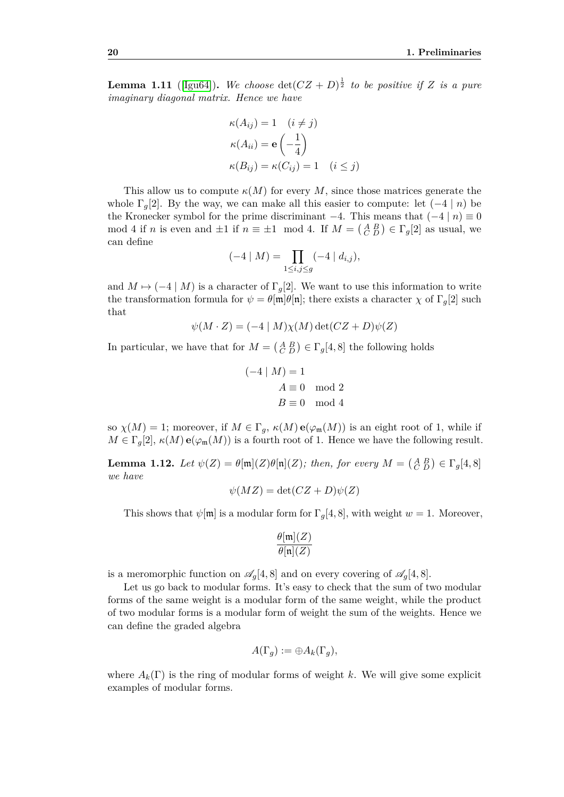**Lemma 1.11** ([\[Igu64\]](#page-71-7)). We choose  $\det(CZ + D)^{\frac{1}{2}}$  to be positive if Z is a pure *imaginary diagonal matrix. Hence we have*

$$
\kappa(A_{ij}) = 1 \quad (i \neq j)
$$

$$
\kappa(A_{ii}) = \mathbf{e}\left(-\frac{1}{4}\right)
$$

$$
\kappa(B_{ij}) = \kappa(C_{ij}) = 1 \quad (i \leq j)
$$

This allow us to compute  $\kappa(M)$  for every M, since those matrices generate the whole  $\Gamma_q[2]$ . By the way, we can make all this easier to compute: let  $(-4 | n)$  be the Kronecker symbol for the prime discriminant  $-4$ . This means that  $(-4 | n) \equiv 0$ mod 4 if *n* is even and  $\pm 1$  if  $n \equiv \pm 1 \mod 4$ . If  $M = \begin{pmatrix} A & B \\ C & D \end{pmatrix} \in \Gamma_g[2]$  as usual, we can define

$$
(-4 \mid M) = \prod_{1 \le i,j \le g} (-4 \mid d_{i,j}),
$$

and  $M \mapsto (-4 \mid M)$  is a character of  $\Gamma_q[2]$ . We want to use this information to write the transformation formula for  $\psi = \theta[\mathfrak{m}]\theta[\mathfrak{n}]$ ; there exists a character  $\chi$  of  $\Gamma_g[2]$  such that

$$
\psi(M \cdot Z) = (-4 \mid M)\chi(M) \det(CZ + D)\psi(Z)
$$

In particular, we have that for  $M = \begin{pmatrix} A & B \\ C & D \end{pmatrix} \in \Gamma_g[4, 8]$  the following holds

$$
(-4 | M) = 1
$$
  

$$
A \equiv 0 \mod 2
$$
  

$$
B \equiv 0 \mod 4
$$

so  $\chi(M) = 1$ ; moreover, if  $M \in \Gamma_g$ ,  $\kappa(M) e(\varphi_m(M))$  is an eight root of 1, while if  $M \in \Gamma_q[2], \kappa(M) \mathbf{e}(\varphi_m(M))$  is a fourth root of 1. Hence we have the following result.

**Lemma 1.12.** *Let*  $\psi(Z) = \theta[\mathfrak{m}](Z)\theta[\mathfrak{n}](Z)$ ; *then, for every*  $M = \begin{pmatrix} A & B \\ C & D \end{pmatrix} \in \Gamma_g[4,8]$ *we have*

$$
\psi(MZ) = \det(CZ + D)\psi(Z)
$$

This shows that  $\psi[\mathfrak{m}]$  is a modular form for  $\Gamma_q[4, 8]$ , with weight  $w = 1$ . Moreover,

$$
\frac{\theta[\mathfrak{m}](Z)}{\theta[\mathfrak{n}](Z)}
$$

is a meromorphic function on  $\mathscr{A}_q[4,8]$  and on every covering of  $\mathscr{A}_q[4,8]$ .

Let us go back to modular forms. It's easy to check that the sum of two modular forms of the same weight is a modular form of the same weight, while the product of two modular forms is a modular form of weight the sum of the weights. Hence we can define the graded algebra

$$
A(\Gamma_g) := \oplus A_k(\Gamma_g),
$$

where  $A_k(\Gamma)$  is the ring of modular forms of weight k. We will give some explicit examples of modular forms.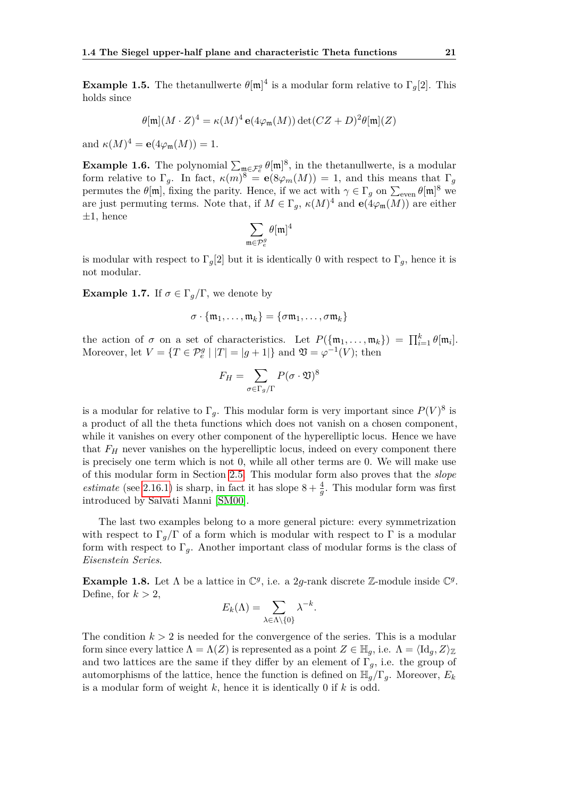**Example 1.5.** The thetanullwerte  $\theta[\mathfrak{m}]^4$  is a modular form relative to  $\Gamma_g[2]$ . This holds since

$$
\theta[\mathfrak{m}](M \cdot Z)^4 = \kappa(M)^4 \mathbf{e}(4\varphi_{\mathfrak{m}}(M)) \det(CZ + D)^2 \theta[\mathfrak{m}](Z)
$$

and  $\kappa(M)^4 = e(4\varphi_{\mathfrak{m}}(M)) = 1.$ 

**Example 1.6.** The polynomial  $\sum_{\mathfrak{m}\in\mathcal{F}_{e}^{g}}\theta[\mathfrak{m}]^{8}$ , in the thetanullwerte, is a modular form relative to  $\Gamma_g$ . In fact,  $\kappa(m)^8 = e(8\varphi_m(M)) = 1$ , and this means that  $\Gamma_g$ permutes the  $\theta[\mathfrak{m}]$ , fixing the parity. Hence, if we act with  $\gamma \in \Gamma_g$  on  $\sum_{\text{even}} \theta[\mathfrak{m}]^8$  we are just permuting terms. Note that, if  $M \in \Gamma_g$ ,  $\kappa(M)^4$  and  $\mathbf{e}(4\varphi_m(M))$  are either  $\pm 1$ , hence

$$
\sum_{\mathfrak{m}\in \mathcal{P}_e^g}\theta[\mathfrak{m}]^4
$$

is modular with respect to  $\Gamma_q[2]$  but it is identically 0 with respect to  $\Gamma_q$ , hence it is not modular.

<span id="page-36-0"></span>**Example 1.7.** If  $\sigma \in \Gamma_q/\Gamma$ , we denote by

$$
\sigma \cdot \{\mathfrak{m}_1, \ldots, \mathfrak{m}_k\} = \{\sigma \mathfrak{m}_1, \ldots, \sigma \mathfrak{m}_k\}
$$

the action of  $\sigma$  on a set of characteristics. Let  $P(\{\mathfrak{m}_1,\ldots,\mathfrak{m}_k\}) = \prod_{i=1}^k \theta[\mathfrak{m}_i].$ Moreover, let  $V = \{T \in \mathcal{P}_e^g \mid |T| = |g+1|\}$  and  $\mathfrak{V} = \varphi^{-1}(V)$ ; then

$$
F_H = \sum_{\sigma \in \Gamma_g/\Gamma} P(\sigma \cdot \mathfrak{V})^8
$$

is a modular for relative to  $\Gamma_g$ . This modular form is very important since  $P(V)^8$  is a product of all the theta functions which does not vanish on a chosen component, while it vanishes on every other component of the hyperelliptic locus. Hence we have that *F<sup>H</sup>* never vanishes on the hyperelliptic locus, indeed on every component there is precisely one term which is not 0, while all other terms are 0. We will make use of this modular form in Section [2.5.](#page-55-0) This modular form also proves that the *slope estimate* (see [2.16.1\)](#page-55-1) is sharp, in fact it has slope  $8 + \frac{4}{g}$ . This modular form was first introduced by Salvati Manni [\[SM00\]](#page-71-0).

The last two examples belong to a more general picture: every symmetrization with respect to  $\Gamma_q/\Gamma$  of a form which is modular with respect to  $\Gamma$  is a modular form with respect to  $\Gamma_g$ . Another important class of modular forms is the class of *Eisenstein Series*.

**Example 1.8.** Let  $\Lambda$  be a lattice in  $\mathbb{C}^g$ , i.e. a 2*g*-rank discrete Z-module inside  $\mathbb{C}^g$ . Define, for  $k > 2$ ,

$$
E_k(\Lambda) = \sum_{\lambda \in \Lambda \setminus \{0\}} \lambda^{-k}.
$$

The condition  $k > 2$  is needed for the convergence of the series. This is a modular form since every lattice  $\Lambda = \Lambda(Z)$  is represented as a point  $Z \in \mathbb{H}_q$ , i.e.  $\Lambda = \langle \mathrm{Id}_q, Z \rangle_{\mathbb{Z}}$ and two lattices are the same if they differ by an element of  $\Gamma_q$ , i.e. the group of automorphisms of the lattice, hence the function is defined on  $\mathbb{H}_g/\Gamma_g$ . Moreover,  $E_k$ is a modular form of weight *k*, hence it is identically 0 if *k* is odd.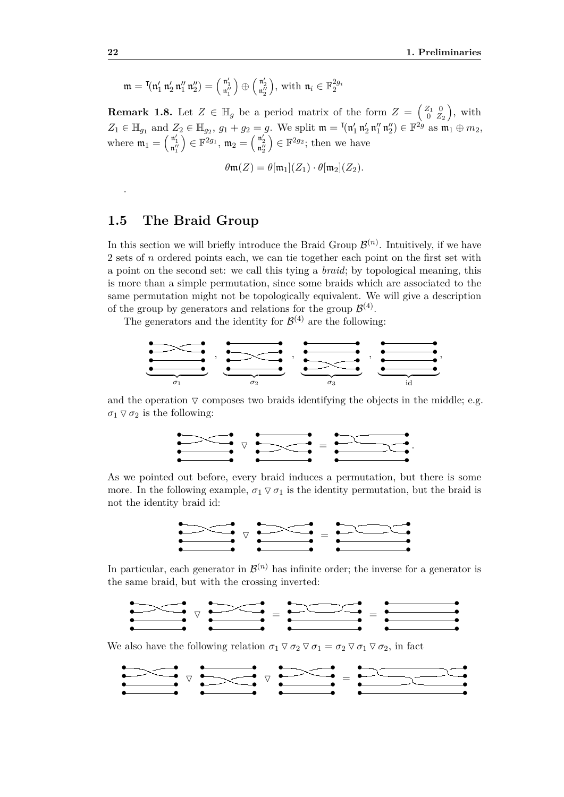$$
\mathfrak{m}=\mathfrak{k}(\mathfrak{n}_1',\mathfrak{n}_2'\,\mathfrak{n}_1''\,\mathfrak{n}_2'')=\left(\begin{smallmatrix}\mathfrak{n}_1'\\ \mathfrak{n}_1''\end{smallmatrix}\right)\oplus\left(\begin{smallmatrix}\mathfrak{n}_2'\\ \mathfrak{n}_2''\end{smallmatrix}\right),\,\text{with}\,\,\mathfrak{n}_i\in\mathbb{F}_2^{2g_i}
$$

<span id="page-37-0"></span>**Remark 1.8.** Let  $Z \in \mathbb{H}_g$  be a period matrix of the form  $Z = \begin{pmatrix} Z_1 & 0 \\ 0 & Z \end{pmatrix}$  $\left(\begin{smallmatrix} Z_1 & 0 \ 0 & Z_2 \end{smallmatrix}\right)$ , with  $Z_1 \in \mathbb{H}_{g_1}$  and  $Z_2 \in \mathbb{H}_{g_2}$ ,  $g_1 + g_2 = g$ . We split  $\mathfrak{m} = \lceil (\mathfrak{n}'_1 \mathfrak{n}'_2 \mathfrak{n}''_1 \mathfrak{n}''_2) \in \mathbb{F}^{2g}$  as  $\mathfrak{m}_1 \oplus m_2$ , where  $\mathfrak{m}_1 = \begin{pmatrix} \mathfrak{n}'_1 \\ \mathfrak{n}''_1 \end{pmatrix}$  $\Big) \in \mathbb{F}^{2 g_1}, \, \mathfrak{m}_2 = \Big(\begin{smallmatrix} \mathfrak{n}'_2 \ \mathfrak{n}''_2 \end{smallmatrix}$  $\Big) \in \mathbb{F}^{2g_2}$ ; then we have

$$
\theta \mathfrak{m}(Z) = \theta[\mathfrak{m}_1](Z_1) \cdot \theta[\mathfrak{m}_2](Z_2).
$$

#### **1.5 The Braid Group**

In this section we will briefly introduce the Braid Group  $\mathcal{B}^{(n)}$ . Intuitively, if we have 2 sets of *n* ordered points each, we can tie together each point on the first set with a point on the second set: we call this tying a *braid*; by topological meaning, this is more than a simple permutation, since some braids which are associated to the same permutation might not be topologically equivalent. We will give a description of the group by generators and relations for the group  $\mathcal{B}^{(4)}$ .

The generators and the identity for  $\mathcal{B}^{(4)}$  are the following:



and the operation  $\nabla$  composes two braids identifying the objects in the middle; e.g.  $\sigma_1 \triangledown \sigma_2$  is the following:



As we pointed out before, every braid induces a permutation, but there is some more. In the following example,  $\sigma_1 \nabla \sigma_1$  is the identity permutation, but the braid is not the identity braid id:



In particular, each generator in  $\mathcal{B}^{(n)}$  has infinite order; the inverse for a generator is the same braid, but with the crossing inverted:



We also have the following relation  $\sigma_1 \nabla \sigma_2 \nabla \sigma_1 = \sigma_2 \nabla \sigma_1 \nabla \sigma_2$ , in fact



.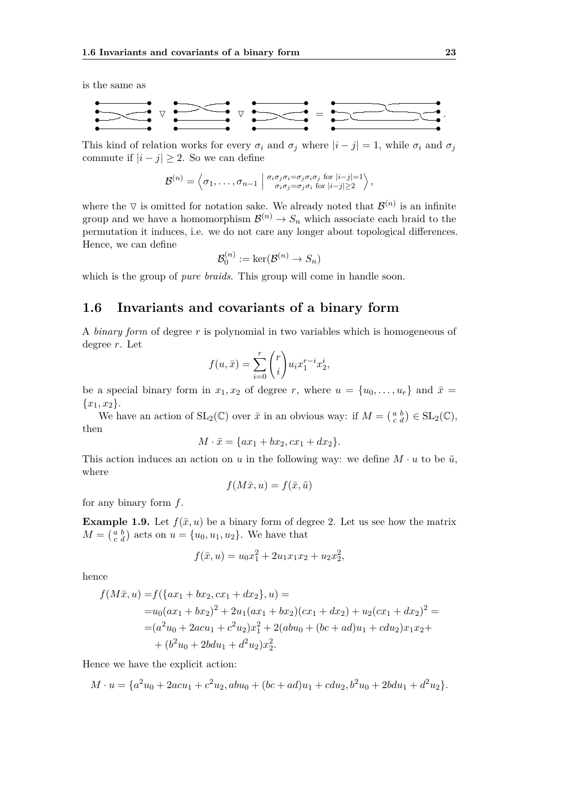is the same as

• • • • • • • • O • • • • • • • • O • • • • • • • • = • • • • • • • • *.*

This kind of relation works for every  $\sigma_i$  and  $\sigma_j$  where  $|i - j| = 1$ , while  $\sigma_i$  and  $\sigma_j$ commute if  $|i - j| \geq 2$ . So we can define

$$
\mathcal{B}^{(n)} = \left\langle \sigma_1, \ldots, \sigma_{n-1} \mid \begin{array}{c} \sigma_i \sigma_j \sigma_i = \sigma_j \sigma_i \sigma_j \text{ for } |i-j|=1 \\ \sigma_i \sigma_j = \sigma_j \sigma_i \text{ for } |i-j| \geq 2 \end{array} \right\rangle,
$$

where the  $\nabla$  is omitted for notation sake. We already noted that  $\mathcal{B}^{(n)}$  is an infinite group and we have a homomorphism  $\mathcal{B}^{(n)} \to S_n$  which associate each braid to the permutation it induces, i.e. we do not care any longer about topological differences. Hence, we can define

$$
\mathcal{B}_0^{(n)}:=\ker(\mathcal{B}^{(n)}\to S_n)
$$

which is the group of *pure braids*. This group will come in handle soon.

#### <span id="page-38-0"></span>**1.6 Invariants and covariants of a binary form**

A *binary form* of degree *r* is polynomial in two variables which is homogeneous of degree *r*. Let

$$
f(u, \bar{x}) = \sum_{i=0}^{r} {r \choose i} u_i x_1^{r-i} x_2^i,
$$

be a special binary form in  $x_1, x_2$  of degree r, where  $u = \{u_0, \ldots, u_r\}$  and  $\bar{x} =$  ${x_1, x_2}.$ 

We have an action of  $SL_2(\mathbb{C})$  over  $\bar{x}$  in an obvious way: if  $M = \begin{pmatrix} a & b \\ c & d \end{pmatrix} \in SL_2(\mathbb{C}),$ then

$$
M \cdot \bar{x} = \{ax_1 + bx_2, cx_1 + dx_2\}.
$$

This action induces an action on *u* in the following way: we define  $M \cdot u$  to be  $\tilde{u}$ , where

$$
f(M\bar{x}, u) = f(\bar{x}, \tilde{u})
$$

for any binary form *f*.

**Example 1.9.** Let  $f(\bar{x}, u)$  be a binary form of degree 2. Let us see how the matrix  $M = \begin{pmatrix} a & b \\ c & d \end{pmatrix}$  acts on  $u = \{u_0, u_1, u_2\}$ . We have that

$$
f(\bar{x}, u) = u_0 x_1^2 + 2u_1 x_1 x_2 + u_2 x_2^2,
$$

hence

$$
f(M\bar{x}, u) = f(\{ax_1 + bx_2, cx_1 + dx_2\}, u) =
$$
  
=  $u_0(ax_1 + bx_2)^2 + 2u_1(ax_1 + bx_2)(cx_1 + dx_2) + u_2(cx_1 + dx_2)^2 =$   
=  $(a^2u_0 + 2acu_1 + c^2u_2)x_1^2 + 2(abu_0 + (bc + ad)u_1 + cdu_2)x_1x_2 +$   
+  $(b^2u_0 + 2bdu_1 + d^2u_2)x_2^2$ .

Hence we have the explicit action:

$$
M \cdot u = \{a^2u_0 + 2acu_1 + c^2u_2, abu_0 + (bc + ad)u_1 + cdu_2, b^2u_0 + 2bdu_1 + d^2u_2\}.
$$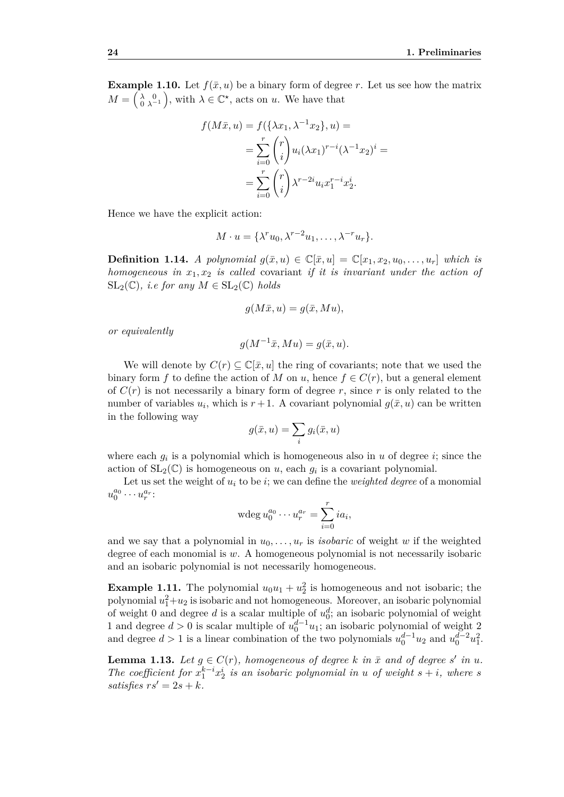<span id="page-39-0"></span>**Example 1.10.** Let  $f(\bar{x}, u)$  be a binary form of degree *r*. Let us see how the matrix  $M = \begin{pmatrix} \lambda & 0 \\ 0 & \lambda^{-1} \end{pmatrix}$ , with  $\lambda \in \mathbb{C}^{\star}$ , acts on *u*. We have that

$$
f(M\bar{x}, u) = f(\{\lambda x_1, \lambda^{-1} x_2\}, u) =
$$
  
= 
$$
\sum_{i=0}^r \binom{r}{i} u_i (\lambda x_1)^{r-i} (\lambda^{-1} x_2)^i =
$$
  
= 
$$
\sum_{i=0}^r \binom{r}{i} \lambda^{r-2i} u_i x_1^{r-i} x_2^i.
$$

Hence we have the explicit action:

$$
M \cdot u = \{ \lambda^r u_0, \lambda^{r-2} u_1, \dots, \lambda^{-r} u_r \}.
$$

**Definition 1.14.** *A polynomial*  $g(\bar{x}, u) \in \mathbb{C}[\bar{x}, u] = \mathbb{C}[x_1, x_2, u_0, \ldots, u_r]$  which is *homogeneous in x*1*, x*<sup>2</sup> *is called* covariant *if it is invariant under the action of*  $SL_2(\mathbb{C})$ *, i.e for any*  $M \in SL_2(\mathbb{C})$  *holds* 

$$
g(M\bar{x}, u) = g(\bar{x}, Mu),
$$

*or equivalently*

$$
g(M^{-1}\bar{x}, Mu) = g(\bar{x}, u).
$$

We will denote by  $C(r) \subseteq \mathbb{C}[\bar{x}, u]$  the ring of covariants; note that we used the binary form *f* to define the action of *M* on *u*, hence  $f \in C(r)$ , but a general element of  $C(r)$  is not necessarily a binary form of degree r, since r is only related to the number of variables  $u_i$ , which is  $r+1$ . A covariant polynomial  $g(\bar{x}, u)$  can be written in the following way

$$
g(\bar{x}, u) = \sum_{i} g_i(\bar{x}, u)
$$

where each  $g_i$  is a polynomial which is homogeneous also in  $u$  of degree  $i$ ; since the action of  $SL_2(\mathbb{C})$  is homogeneous on *u*, each  $g_i$  is a covariant polynomial.

Let us set the weight of  $u_i$  to be  $i$ ; we can define the *weighted degree* of a monomial  $u_0^{a_0} \cdots u_r^{a_r}$ 

$$
\operatorname{wdeg} u_0^{a_0} \cdots u_r^{a_r} = \sum_{i=0}^r i a_i,
$$

and we say that a polynomial in  $u_0, \ldots, u_r$  is *isobaric* of weight *w* if the weighted degree of each monomial is *w*. A homogeneous polynomial is not necessarily isobaric and an isobaric polynomial is not necessarily homogeneous.

**Example 1.11.** The polynomial  $u_0u_1 + u_2^2$  is homogeneous and not isobaric; the polynomial  $u_1^2 + u_2$  is isobaric and not homogeneous. Moreover, an isobaric polynomial of weight 0 and degree  $d$  is a scalar multiple of  $u_0^d$ ; an isobaric polynomial of weight 1 and degree  $d > 0$  is scalar multiple of  $u_0^{d-1}u_1$ ; an isobaric polynomial of weight 2 and degree  $d > 1$  is a linear combination of the two polynomials  $u_0^{d-1}u_2$  and  $u_0^{d-2}u_1^2$ .

<span id="page-39-1"></span>**Lemma 1.13.** Let  $g \in C(r)$ , homogeneous of degree k in  $\bar{x}$  and of degree s' in u. *The coefficient for*  $x_1^{k-i}x_2^i$  *is an isobaric polynomial in u of weight*  $s + i$ *, where s satisfies*  $rs' = 2s + k$ *.*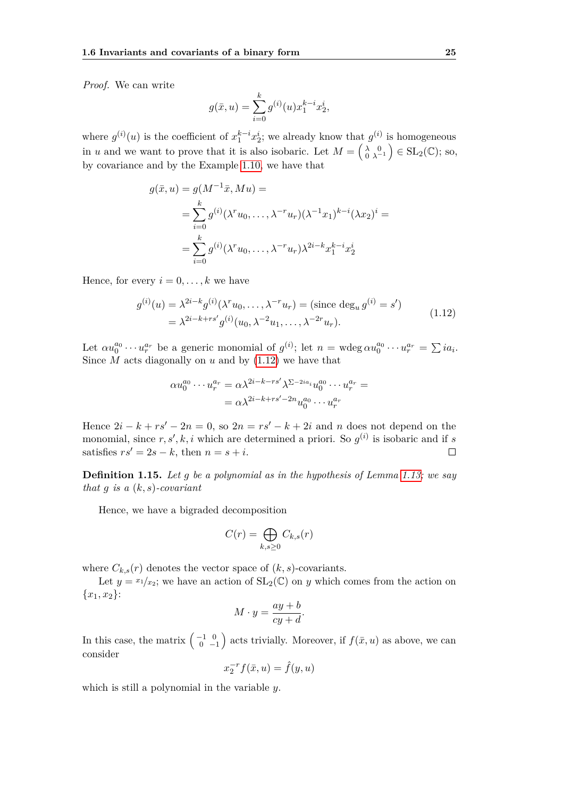*Proof.* We can write

$$
g(\bar{x}, u) = \sum_{i=0}^{k} g^{(i)}(u) x_1^{k-i} x_2^i,
$$

where  $g^{(i)}(u)$  is the coefficient of  $x_1^{k-i}x_2^i$ ; we already know that  $g^{(i)}$  is homogeneous in *u* and we want to prove that it is also isobaric. Let  $M = \begin{pmatrix} \lambda & 0 \\ 0 & \lambda^{-1} \end{pmatrix} \in SL_2(\mathbb{C})$ ; so, by covariance and by the Example [1.10,](#page-39-0) we have that

$$
g(\bar{x}, u) = g(M^{-1}\bar{x}, Mu) =
$$
  
= 
$$
\sum_{i=0}^{k} g^{(i)}(\lambda^{r}u_{0}, \dots, \lambda^{-r}u_{r})(\lambda^{-1}x_{1})^{k-i}(\lambda x_{2})^{i} =
$$
  
= 
$$
\sum_{i=0}^{k} g^{(i)}(\lambda^{r}u_{0}, \dots, \lambda^{-r}u_{r})\lambda^{2i-k}x_{1}^{k-i}x_{2}^{i}
$$

<span id="page-40-0"></span>Hence, for every  $i = 0, \ldots, k$  we have

$$
g^{(i)}(u) = \lambda^{2i-k} g^{(i)}(\lambda^r u_0, \dots, \lambda^{-r} u_r) = (\text{since } \deg_u g^{(i)} = s')
$$
  
=  $\lambda^{2i-k+r s'} g^{(i)}(u_0, \lambda^{-2} u_1, \dots, \lambda^{-2r} u_r).$  (1.12)

Let  $\alpha u_0^{a_0} \cdots u_r^{a_r}$  be a generic monomial of  $g^{(i)}$ ; let  $n = \text{wdeg } \alpha u_0^{a_0} \cdots u_r^{a_r} = \sum i a_i$ . Since *M* acts diagonally on *u* and by [\(1.12\)](#page-40-0) we have that

$$
\alpha u_0^{a_0} \cdots u_r^{a_r} = \alpha \lambda^{2i-k-r} \lambda^{\sum -2ia_i} u_0^{a_0} \cdots u_r^{a_r} =
$$
  
=  $\alpha \lambda^{2i-k+r} \lambda^{2n} u_0^{a_0} \cdots u_r^{a_r}$ 

Hence  $2i - k + rs' - 2n = 0$ , so  $2n = rs' - k + 2i$  and *n* does not depend on the monomial, since  $r, s', k, i$  which are determined a priori. So  $g^{(i)}$  is isobaric and if *s* satisfies  $rs' = 2s - k$ , then  $n = s + i$ .  $\Box$ 

**Definition 1.15.** *Let g be a polynomial as in the hypothesis of Lemma [1.13;](#page-39-1) we say that g is a* (*k, s*)*-covariant*

Hence, we have a bigraded decomposition

$$
C(r) = \bigoplus_{k,s \ge 0} C_{k,s}(r)
$$

where  $C_{k,s}(r)$  denotes the vector space of  $(k, s)$ -covariants.

Let  $y = x_1/x_2$ ; we have an action of  $SL_2(\mathbb{C})$  on *y* which comes from the action on  ${x_1, x_2}$ :

$$
M \cdot y = \frac{ay + b}{cy + d}.
$$

In this case, the matrix  $\begin{pmatrix} -1 & 0 \\ 0 & -1 \end{pmatrix}$  acts trivially. Moreover, if  $f(\bar{x}, u)$  as above, we can consider

$$
x_2^{-r}f(\bar{x},u) = \hat{f}(y,u)
$$

which is still a polynomial in the variable *y*.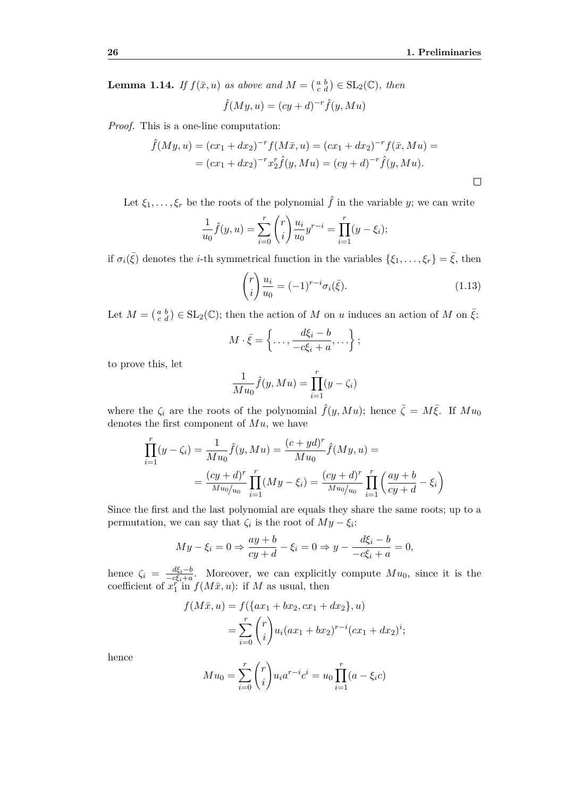**Lemma 1.14.** *If*  $f(\bar{x}, u)$  *as above and*  $M = \begin{pmatrix} a & b \\ c & d \end{pmatrix} \in SL_2(\mathbb{C})$ *, then* 

$$
\hat{f}(My, u) = (cy + d)^{-r} \hat{f}(y, Mu)
$$

*Proof.* This is a one-line computation:

$$
\hat{f}(My, u) = (cx_1 + dx_2)^{-r} f(M\bar{x}, u) = (cx_1 + dx_2)^{-r} f(\bar{x}, Mu) =
$$
  
=  $(cx_1 + dx_2)^{-r} x_2^r \hat{f}(y, Mu) = (cy + d)^{-r} \hat{f}(y, Mu).$ 

Let  $\xi_1, \ldots, \xi_r$  be the roots of the polynomial  $\hat{f}$  in the variable *y*; we can write

$$
\frac{1}{u_0}\hat{f}(y, u) = \sum_{i=0}^r \binom{r}{i} \frac{u_i}{u_0} y^{r-i} = \prod_{i=1}^r (y - \xi_i);
$$

if  $\sigma_i(\bar{\xi})$  denotes the *i*-th symmetrical function in the variables  $\{\xi_1, \ldots, \xi_r\} = \bar{\xi}$ , then

<span id="page-41-0"></span>
$$
\binom{r}{i} \frac{u_i}{u_0} = (-1)^{r-i} \sigma_i(\bar{\xi}). \tag{1.13}
$$

Let  $M = \begin{pmatrix} a & b \\ c & d \end{pmatrix} \in SL_2(\mathbb{C})$ ; then the action of *M* on *u* induces an action of *M* on  $\overline{\xi}$ :

$$
M \cdot \bar{\xi} = \left\{ \ldots, \frac{d\xi_i - b}{-c\xi_i + a}, \ldots \right\};
$$

to prove this, let

$$
\frac{1}{Mu_0}\hat{f}(y, Mu) = \prod_{i=1}^r (y - \zeta_i)
$$

where the  $\zeta_i$  are the roots of the polynomial  $\hat{f}(y, Mu)$ ; hence  $\bar{\zeta} = M\bar{\xi}$ . If  $Mu_0$ denotes the first component of *Mu*, we have

$$
\prod_{i=1}^{r} (y - \zeta_i) = \frac{1}{M u_0} \hat{f}(y, Mu) = \frac{(c + yd)^r}{M u_0} \hat{f}(My, u) =
$$
\n
$$
= \frac{(cy + d)^r}{M u_0 / u_0} \prod_{i=1}^{r} (My - \xi_i) = \frac{(cy + d)^r}{M u_0 / u_0} \prod_{i=1}^{r} \left(\frac{ay + b}{cy + d} - \xi_i\right)
$$

Since the first and the last polynomial are equals they share the same roots; up to a permutation, we can say that  $\zeta_i$  is the root of  $My - \xi_i$ :

$$
My - \xi_i = 0 \Rightarrow \frac{ay + b}{cy + d} - \xi_i = 0 \Rightarrow y - \frac{d\xi_i - b}{-c\xi_i + a} = 0,
$$

hence  $\zeta_i = \frac{d\xi_i - b}{-c\xi_i + a}$  $\frac{a\xi_i - b}{-c\xi_i + a}$ . Moreover, we can explicitly compute  $Mu_0$ , since it is the coefficient of  $x_1^{\tilde{r}^*}$  in  $f(M\bar{x}, u)$ : if *M* as usual, then

$$
f(M\bar{x}, u) = f(\{ax_1 + bx_2, cx_1 + dx_2\}, u)
$$
  
= 
$$
\sum_{i=0}^{r} {r \choose i} u_i (ax_1 + bx_2)^{r-i} (cx_1 + dx_2)^i;
$$

hence

$$
M u_0 = \sum_{i=0}^r \binom{r}{i} u_i a^{r-i} c^i = u_0 \prod_{i=1}^r (a - \xi_i c)
$$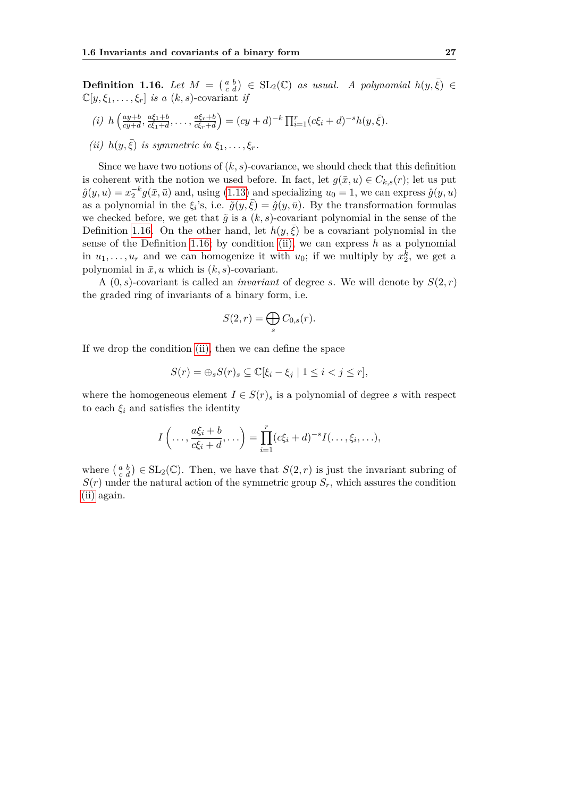<span id="page-42-0"></span>**Definition 1.16.** *Let*  $M = \begin{pmatrix} a & b \\ c & d \end{pmatrix} \in SL_2(\mathbb{C})$  *as usual. A polynomial*  $h(y, \bar{\xi}) \in$  $\mathbb{C}[y,\xi_1,\ldots,\xi_r]$  *is a*  $(k,s)$ -covariant *if* 

(i) 
$$
h\left(\frac{ay+b}{cy+d}, \frac{a\xi_1+b}{c\xi_1+d}, \dots, \frac{a\xi_r+b}{c\xi_r+d}\right) = (cy+d)^{-k} \prod_{i=1}^r (c\xi_i+d)^{-s} h(y, \bar{\xi}).
$$

<span id="page-42-1"></span>(*ii*) 
$$
h(y, \bar{\xi})
$$
 is symmetric in  $\xi_1, \ldots, \xi_r$ .

Since we have two notions of  $(k, s)$ -covariance, we should check that this definition is coherent with the notion we used before. In fact, let  $g(\bar{x}, u) \in C_{k,s}(r)$ ; let us put  $\hat{g}(y, u) = x_2^{-k} g(\bar{x}, \bar{u})$  and, using [\(1.13\)](#page-41-0) and specializing  $u_0 = 1$ , we can express  $\hat{g}(y, u)$ as a polynomial in the  $\xi_i$ 's, i.e.  $\tilde{g}(y,\bar{\xi}) = \hat{g}(y,\bar{u})$ . By the transformation formulas we checked before, we get that  $\tilde{g}$  is a  $(k, s)$ -covariant polynomial in the sense of the Definition [1.16.](#page-42-0) On the other hand, let  $h(y,\xi)$  be a covariant polynomial in the sense of the Definition [1.16;](#page-42-0) by condition [\(ii\),](#page-42-1) we can express *h* as a polynomial in  $u_1, \ldots, u_r$  and we can homogenize it with  $u_0$ ; if we multiply by  $x_2^k$ , we get a polynomial in  $\bar{x}, u$  which is  $(k, s)$ -covariant.

A  $(0, s)$ -covariant is called an *invariant* of degree *s*. We will denote by  $S(2, r)$ the graded ring of invariants of a binary form, i.e.

$$
S(2,r) = \bigoplus_s C_{0,s}(r).
$$

If we drop the condition [\(ii\),](#page-42-1) then we can define the space

$$
S(r) = \bigoplus_{s} S(r)_{s} \subseteq \mathbb{C}[\xi_{i} - \xi_{j} \mid 1 \leq i < j \leq r],
$$

where the homogeneous element  $I \in S(r)$ <sup>s</sup> is a polynomial of degree *s* with respect to each  $\xi_i$  and satisfies the identity

$$
I\left(\ldots,\frac{a\xi_i+b}{c\xi_i+d},\ldots\right)=\prod_{i=1}^r(c\xi_i+d)^{-s}I(\ldots,\xi_i,\ldots),
$$

where  $\begin{pmatrix} a & b \\ c & d \end{pmatrix} \in SL_2(\mathbb{C})$ . Then, we have that  $S(2, r)$  is just the invariant subring of  $S(r)$  under the natural action of the symmetric group  $S_r$ , which assures the condition [\(ii\)](#page-42-1) again.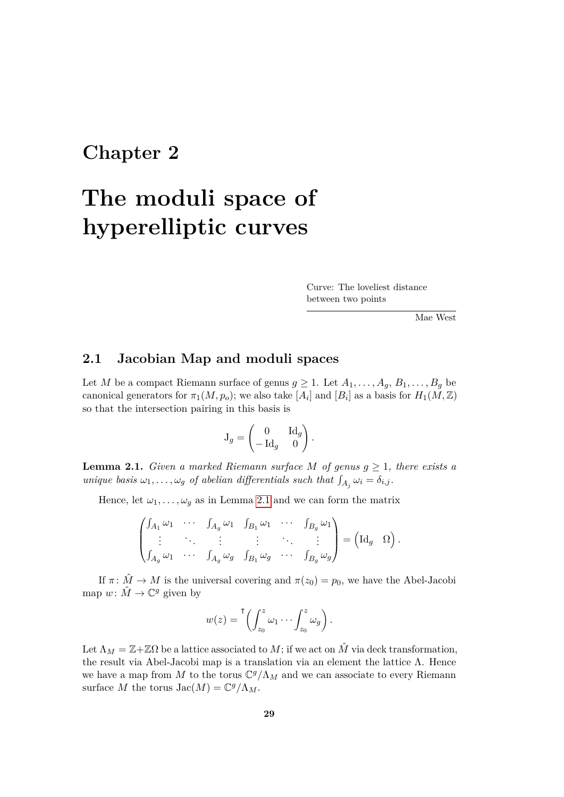### **Chapter 2**

# **The moduli space of hyperelliptic curves**

Curve: The loveliest distance between two points

Mae West

#### **2.1 Jacobian Map and moduli spaces**

Let *M* be a compact Riemann surface of genus  $g \geq 1$ . Let  $A_1, \ldots, A_q, B_1, \ldots, B_q$  be canonical generators for  $\pi_1(M, p_o)$ ; we also take  $[A_i]$  and  $[B_i]$  as a basis for  $H_1(M, \mathbb{Z})$ so that the intersection pairing in this basis is

$$
\mathbf{J}_g = \begin{pmatrix} 0 & \mathrm{Id}_g \\ -\mathrm{Id}_g & 0 \end{pmatrix}.
$$

<span id="page-44-0"></span>**Lemma 2.1.** *Given a marked Riemann surface M of genus*  $g \geq 1$ *, there exists a unique basis*  $\omega_1, \ldots, \omega_g$  *of abelian differentials such that*  $\int_{A_j} \omega_i = \delta_{i,j}$ .

Hence, let  $\omega_1, \ldots, \omega_g$  as in Lemma [2.1](#page-44-0) and we can form the matrix

$$
\begin{pmatrix}\n\int_{A_1} \omega_1 & \cdots & \int_{A_g} \omega_1 & \int_{B_1} \omega_1 & \cdots & \int_{B_g} \omega_1 \\
\vdots & \ddots & \vdots & \vdots & \ddots & \vdots \\
\int_{A_g} \omega_1 & \cdots & \int_{A_g} \omega_g & \int_{B_1} \omega_g & \cdots & \int_{B_g} \omega_g\n\end{pmatrix} = (\mathrm{Id}_g \ \Omega).
$$

If  $\pi : \hat{M} \to M$  is the universal covering and  $\pi(z_0) = p_0$ , we have the Abel-Jacobi map  $w: \hat{M} \to \mathbb{C}^g$  given by

$$
w(z) = \left( \int_{z_0}^{z} \omega_1 \cdots \int_{z_0}^{z} \omega_g \right).
$$

Let  $\Lambda_M = \mathbb{Z} + \mathbb{Z}\Omega$  be a lattice associated to M; if we act on  $\hat{M}$  via deck transformation, the result via Abel-Jacobi map is a translation via an element the lattice Λ. Hence we have a map from  $M$  to the torus  $\mathbb{C}^g/\Lambda_M$  and we can associate to every Riemann surface *M* the torus  $\operatorname{Jac}(M) = \mathbb{C}^g/\Lambda_M$ .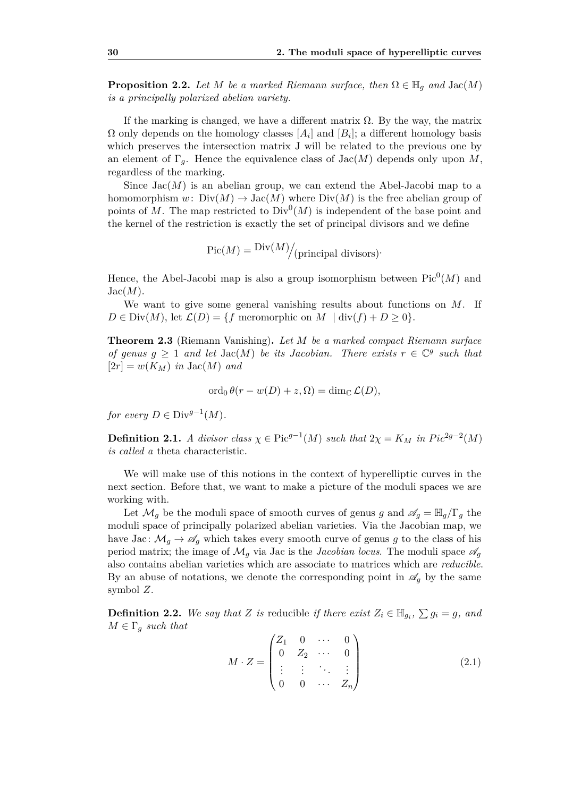**Proposition 2.2.** *Let M be a marked Riemann surface, then*  $\Omega \in \mathbb{H}_q$  *and*  $\text{Jac}(M)$ *is a principally polarized abelian variety.*

If the marking is changed, we have a different matrix  $\Omega$ . By the way, the matrix  $\Omega$  only depends on the homology classes  $[A_i]$  and  $[B_i]$ ; a different homology basis which preserves the intersection matrix J will be related to the previous one by an element of  $\Gamma_q$ . Hence the equivalence class of  $\text{Jac}(M)$  depends only upon M, regardless of the marking.

Since  $Jac(M)$  is an abelian group, we can extend the Abel-Jacobi map to a homomorphism  $w: Div(M) \to Jac(M)$  where  $Div(M)$  is the free abelian group of points of M. The map restricted to  $Div^0(M)$  is independent of the base point and the kernel of the restriction is exactly the set of principal divisors and we define

$$
Pic(M) = \frac{Div(M)}{|principal divisors)}
$$
.

Hence, the Abel-Jacobi map is also a group isomorphism between  $Pic^0(M)$  and  $Jac(M).$ 

We want to give some general vanishing results about functions on *M*. If  $D \in Div(M)$ , let  $\mathcal{L}(D) = \{f \text{ meromorphic on } M \mid \text{div}(f) + D \geq 0\}.$ 

**Theorem 2.3** (Riemann Vanishing)**.** *Let M be a marked compact Riemann surface of genus*  $g \geq 1$  *and let* Jac(*M*) *be its Jacobian. There exists*  $r \in \mathbb{C}^g$  *such that*  $[2r] = w(K_M)$  *in*  $\text{Jac}(M)$  *and* 

$$
\operatorname{ord}_0 \theta(r - w(D) + z, \Omega) = \dim_{\mathbb{C}} \mathcal{L}(D),
$$

*for every*  $D \in Div^{g-1}(M)$ *.* 

**Definition 2.1.** *A divisor class*  $\chi \in \text{Pic}^{g-1}(M)$  *such that*  $2\chi = K_M$  *in*  $Pic^{2g-2}(M)$ *is called a* theta characteristic*.*

We will make use of this notions in the context of hyperelliptic curves in the next section. Before that, we want to make a picture of the moduli spaces we are working with.

Let  $\mathcal{M}_q$  be the moduli space of smooth curves of genus *g* and  $\mathscr{A}_q = \mathbb{H}_q/\Gamma_q$  the moduli space of principally polarized abelian varieties. Via the Jacobian map, we have Jac:  $\mathcal{M}_g \to \mathscr{A}_g$  which takes every smooth curve of genus g to the class of his period matrix; the image of  $\mathcal{M}_g$  via Jac is the *Jacobian locus*. The moduli space  $\mathscr{A}_g$ also contains abelian varieties which are associate to matrices which are *reducible*. By an abuse of notations, we denote the corresponding point in  $\mathscr{A}_q$  by the same symbol *Z*.

**Definition 2.2.** We say that *Z* is reducible if there exist  $Z_i \in \mathbb{H}_{g_i}, \sum g_i = g$ , and  $M \in \Gamma_g$  *such that* 

<span id="page-45-0"></span>
$$
M \cdot Z = \begin{pmatrix} Z_1 & 0 & \cdots & 0 \\ 0 & Z_2 & \cdots & 0 \\ \vdots & \vdots & \ddots & \vdots \\ 0 & 0 & \cdots & Z_n \end{pmatrix}
$$
 (2.1)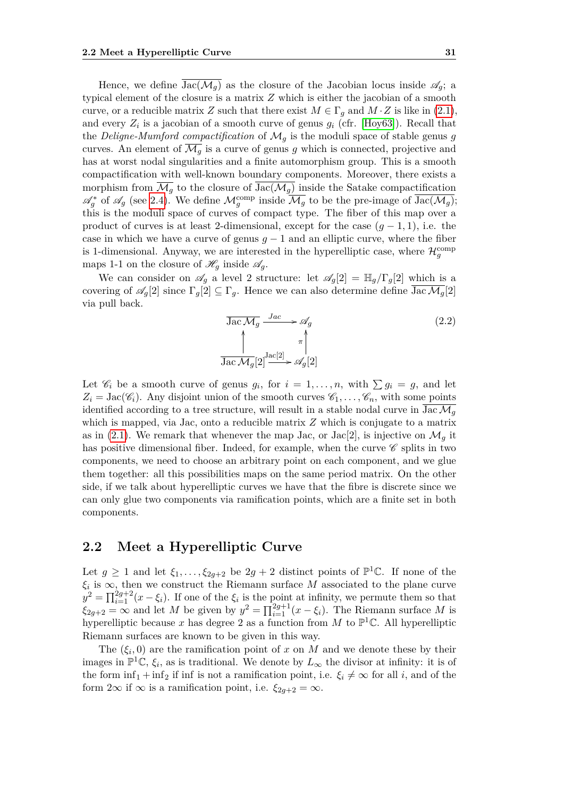Hence, we define  $Jac(\mathcal{M}_q)$  as the closure of the Jacobian locus inside  $\mathscr{A}_q$ ; a typical element of the closure is a matrix *Z* which is either the jacobian of a smooth curve, or a reducible matrix *Z* such that there exist  $M \in \Gamma_q$  and  $M \cdot Z$  is like in [\(2.1\)](#page-45-0), and every  $Z_i$  is a jacobian of a smooth curve of genus  $g_i$  (cfr. [\[Hoy63\]](#page-71-1)). Recall that the *Deligne-Mumford compactification* of  $\mathcal{M}_g$  is the moduli space of stable genus g curves. An element of  $\overline{\mathcal{M}_q}$  is a curve of genus g which is connected, projective and has at worst nodal singularities and a finite automorphism group. This is a smooth compactification with well-known boundary components. Moreover, there exists a morphism from  $\overline{\mathcal{M}_g}$  to the closure of  $\text{Jac}(\mathcal{M}_g)$  inside the Satake compactification  $\mathscr{A}_{g}^{*}$  of  $\mathscr{A}_{g}$  (see [2.4\)](#page-57-0). We define  $\mathcal{M}_{g}^{\text{comp}}$  inside  $\overline{\mathcal{M}_{g}}$  to be the pre-image of  $\overline{\text{Jac}(\mathcal{M}_{g})}$ ; this is the moduli space of curves of compact type. The fiber of this map over a product of curves is at least 2-dimensional, except for the case  $(q-1,1)$ , i.e. the case in which we have a curve of genus  $q-1$  and an elliptic curve, where the fiber is 1-dimensional. Anyway, we are interested in the hyperelliptic case, where  $\mathcal{H}^{\text{comp}}_g$ maps 1-1 on the closure of  $\mathcal{H}_g$  inside  $\mathcal{A}_g$ .

We can consider on  $\mathscr{A}_g$  a level 2 structure: let  $\mathscr{A}_q[2] = \mathbb{H}_q/\Gamma_q[2]$  which is a covering of  $\mathscr{A}_q[2]$  since  $\Gamma_q[2] \subseteq \Gamma_q$ . Hence we can also determine define  $\overline{\text{Jac}\,\mathcal{M}_q}[2]$ via pull back.

<span id="page-46-0"></span>
$$
\frac{\text{Jac } \mathcal{M}_g \xrightarrow{Jac } \mathcal{M}_g}{\left(\frac{1}{\text{Jac } \mathcal{M}_g[2]} \mathcal{M}_g[2] \right)^{\text{Jac}[2]} \mathcal{M}_g[2] \qquad (2.2)
$$

Let  $\mathscr{C}_i$  be a smooth curve of genus  $g_i$ , for  $i = 1, \ldots, n$ , with  $\sum g_i = g$ , and let  $Z_i = \text{Jac}(\mathscr{C}_i)$ . Any disjoint union of the smooth curves  $\mathscr{C}_1, \ldots, \mathscr{C}_n$ , with some points identified according to a tree structure, will result in a stable nodal curve in  $\overline{\text{Jac}\,M_a}$ which is mapped, via Jac, onto a reducible matrix *Z* which is conjugate to a matrix as in [\(2.1\)](#page-45-0). We remark that whenever the map Jac, or Jac<sup>[2]</sup>, is injective on  $\mathcal{M}_q$  it has positive dimensional fiber. Indeed, for example, when the curve  $\mathscr C$  splits in two components, we need to choose an arbitrary point on each component, and we glue them together: all this possibilities maps on the same period matrix. On the other side, if we talk about hyperelliptic curves we have that the fibre is discrete since we can only glue two components via ramification points, which are a finite set in both components.

#### **2.2 Meet a Hyperelliptic Curve**

Let  $g \geq 1$  and let  $\xi_1, \ldots, \xi_{2g+2}$  be  $2g + 2$  distinct points of  $\mathbb{P}^1 \mathbb{C}$ . If none of the  $\xi_i$  is  $\infty$ , then we construct the Riemann surface *M* associated to the plane curve  $y^2 = \prod_{i=1}^{2g+2} (x - \xi_i)$ . If one of the  $\xi_i$  is the point at infinity, we permute them so that  $\xi_{2g+2} = \infty$  and let *M* be given by  $y^2 = \prod_{i=1}^{2g+1} (x - \xi_i)$ . The Riemann surface *M* is hyperelliptic because x has degree 2 as a function from M to  $\mathbb{P}^1\mathbb{C}$ . All hyperelliptic Riemann surfaces are known to be given in this way.

The  $(\xi_i, 0)$  are the ramification point of x on M and we denote these by their images in  $\mathbb{P}^1\mathbb{C}, \xi_i$ , as is traditional. We denote by  $L_\infty$  the divisor at infinity: it is of the form  $\inf_1 + \inf_2$  if inf is not a ramification point, i.e.  $\xi_i \neq \infty$  for all *i*, and of the form  $2\infty$  if  $\infty$  is a ramification point, i.e.  $\xi_{2q+2} = \infty$ .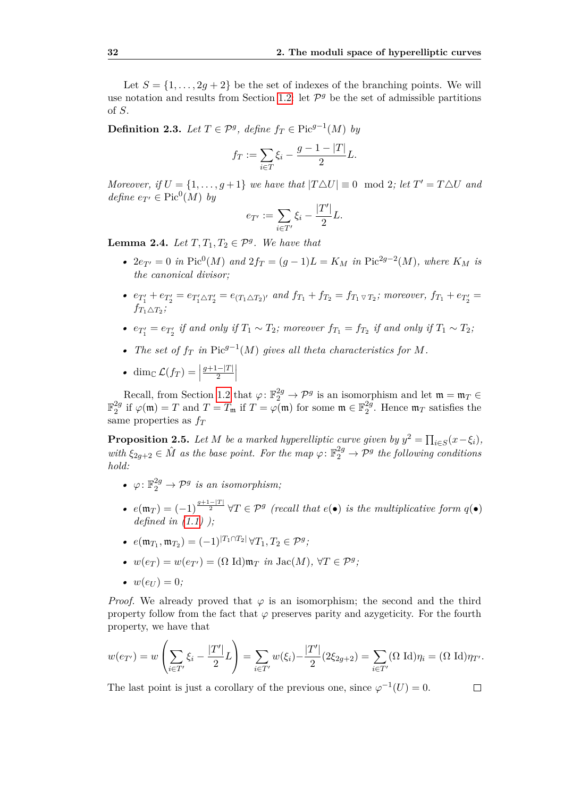Let  $S = \{1, \ldots, 2q + 2\}$  be the set of indexes of the branching points. We will use notation and results from Section [1.2:](#page-19-0) let  $\mathcal{P}^g$  be the set of admissible partitions of *S*.

**Definition 2.3.** *Let*  $T \in \mathcal{P}^g$ , *define*  $f_T \in Pic^{g-1}(M)$  *by* 

$$
f_T:=\sum_{i\in T}\xi_i-\frac{g-1-|T|}{2}L.
$$

*Moreover, if*  $U = \{1, \ldots, g+1\}$  *we have that*  $|T \triangle U| \equiv 0 \mod 2$ *; let*  $T' = T \triangle U$  *and*  $define\ e_{T'} \in Pic^0(M)$  *by* 

$$
e_{T'}:=\sum_{i\in T'}\xi_i-\frac{|T'|}{2}L.
$$

**Lemma 2.4.** *Let*  $T, T_1, T_2 \in \mathcal{P}^g$ . *We have that* 

- $2e_{T'} = 0$  *in* Pic<sup>0</sup>(*M*) *and*  $2f_T = (g 1)L = K_M$  *in* Pic<sup>2*g*-2</sup>(*M*)*, where*  $K_M$  *is the canonical divisor;*
- $e_{T_1'} + e_{T_2'} = e_{T_1' \triangle T_2'} = e_{(T_1 \triangle T_2)'}$  and  $f_{T_1} + f_{T_2} = f_{T_1 \triangledown T_2}$ ; moreover,  $f_{T_1} + e_{T_2'} =$  $f_{T_1 \triangle T_2}$ *;*
- $e_{T_1'} = e_{T_2'}$  *if and only if*  $T_1 \sim T_2$ *; moreover*  $f_{T_1} = f_{T_2}$  *if and only if*  $T_1 \sim T_2$ *;*
- *• The set of f<sup>T</sup> in* Pic*g*−<sup>1</sup> (*M*) *gives all theta characteristics for M.*
- dim<sub>C</sub>  $\mathcal{L}(f_T) =$ *g*+1−|*T*|  $\frac{1-|T|}{2}$

Recall, from Section [1.2](#page-19-0) that  $\varphi: \mathbb{F}_2^{2g} \to \mathcal{P}^g$  is an isomorphism and let  $\mathfrak{m} = \mathfrak{m}_T \in$  $\mathbb{F}_2^{2g}$ 2<sup>*g*</sup> if  $\varphi$ (m) = *T* and *T* = *T*<sub>m</sub> if *T* =  $\varphi$ (m) for some m ∈  $\mathbb{F}_2^{2g}$  $_{2}^{2g}$ . Hence  $\mathfrak{m}_T$  satisfies the same properties as *f<sup>T</sup>*

**Proposition 2.5.** *Let M be a marked hyperelliptic curve given by*  $y^2 = \prod_{i \in S} (x - \xi_i)$ *, with*  $\xi_{2g+2} \in \hat{M}$  *as the base point. For the map*  $\varphi: \mathbb{F}_2^{2g} \to \mathcal{P}^g$  *the following conditions hold:*

- $\varphi: \mathbb{F}_2^{2g} \to \mathcal{P}^g$  *is an isomorphism*;
- $e(\mathfrak{m}_T) = (-1)^{\frac{g+1-|T|}{2}} \forall T \in \mathcal{P}^g$  (recall that  $e(\bullet)$  is the multiplicative form  $q(\bullet)$ ) *defined in [\(1.1\)](#page-16-0) );*
- $e(\mathfrak{m}_{T_1}, \mathfrak{m}_{T_2}) = (-1)^{|T_1 \cap T_2|} \forall T_1, T_2 \in \mathcal{P}^g;$
- $w(e_T) = w(e_{T'}) = (\Omega \text{ Id}) \mathfrak{m}_T \text{ in } \text{Jac}(M), \forall T \in \mathcal{P}^g;$
- $w(e_U) = 0$ *;*

*Proof.* We already proved that  $\varphi$  is an isomorphism; the second and the third property follow from the fact that *ϕ* preserves parity and azygeticity. For the fourth property, we have that

$$
w(e_{T'}) = w\left(\sum_{i \in T'} \xi_i - \frac{|T'|}{2}L\right) = \sum_{i \in T'} w(\xi_i) - \frac{|T'|}{2}(2\xi_{2g+2}) = \sum_{i \in T'} (\Omega \text{ Id})\eta_i = (\Omega \text{ Id})\eta_{T'}.
$$

 $\Box$ 

The last point is just a corollary of the previous one, since  $\varphi^{-1}(U) = 0$ .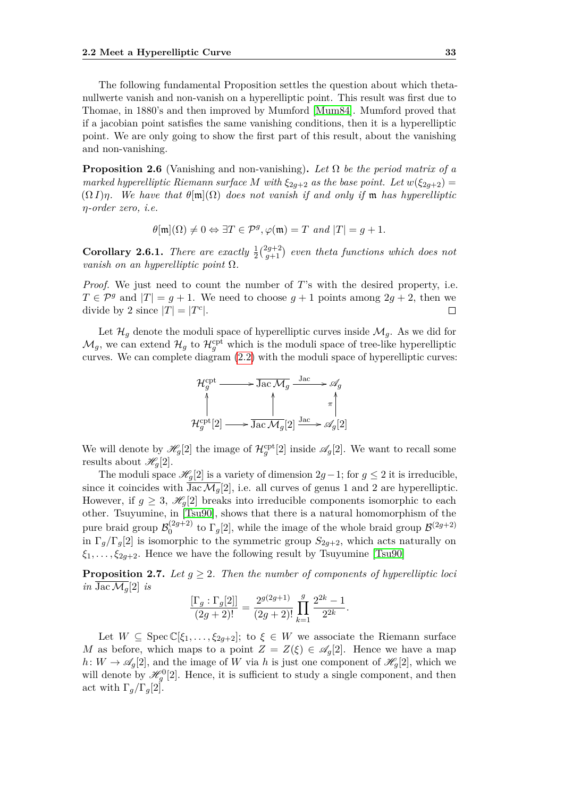The following fundamental Proposition settles the question about which thetanullwerte vanish and non-vanish on a hyperelliptic point. This result was first due to Thomae, in 1880's and then improved by Mumford [\[Mum84\]](#page-71-2). Mumford proved that if a jacobian point satisfies the same vanishing conditions, then it is a hyperelliptic point. We are only going to show the first part of this result, about the vanishing and non-vanishing.

<span id="page-48-0"></span>**Proposition 2.6** (Vanishing and non-vanishing). Let  $\Omega$  be the period matrix of a *marked hyperelliptic Riemann surface M with*  $\xi_{2q+2}$  *as the base point. Let*  $w(\xi_{2q+2}) =$ (Ω *I*)*η. We have that θ*[m](Ω) *does not vanish if and only if* m *has hyperelliptic η-order zero, i.e.*

$$
\theta[\mathfrak{m}](\Omega) \neq 0 \Leftrightarrow \exists T \in \mathcal{P}^g, \varphi(\mathfrak{m}) = T \text{ and } |T| = g + 1.
$$

**Corollary 2.6.1.** *There are exactly*  $\frac{1}{2}$  $\binom{2g+2}{g+1}$  $\binom{2g+2}{g+1}$  even theta functions which does not *vanish on an hyperelliptic point* Ω*.*

*Proof.* We just need to count the number of *T*'s with the desired property, i.e.  $T \in \mathcal{P}^g$  and  $|T| = q + 1$ . We need to choose  $q + 1$  points among  $2q + 2$ , then we divide by 2 since  $|T| = |T^c|$ .

Let  $\mathcal{H}_q$  denote the moduli space of hyperelliptic curves inside  $\mathcal{M}_q$ . As we did for  $\mathcal{M}_g$ , we can extend  $\mathcal{H}_g$  to  $\mathcal{H}_g^{\text{cpt}}$  which is the moduli space of tree-like hyperelliptic curves. We can complete diagram [\(2.2\)](#page-46-0) with the moduli space of hyperelliptic curves:



We will denote by  $\mathscr{H}_g[2]$  the image of  $\mathcal{H}_g^{\text{cpt}}[2]$  inside  $\mathscr{A}_g[2]$ . We want to recall some results about  $\mathscr{H}_q[2]$ .

The moduli space  $\mathscr{H}_g[2]$  is a variety of dimension  $2g-1$ ; for  $g \leq 2$  it is irreducible, since it coincides with  $\overline{\text{Jac}\,\mathcal{M}_q}[2]$ , i.e. all curves of genus 1 and 2 are hyperelliptic. However, if  $g \geq 3$ ,  $\mathcal{H}_q[2]$  breaks into irreducible components isomorphic to each other. Tsuyumine, in [\[Tsu90\]](#page-72-0), shows that there is a natural homomorphism of the pure braid group  $\mathcal{B}_0^{(2g+2)}$  $\int_0^{(2g+2)}$  to  $\Gamma_g[2]$ , while the image of the whole braid group  $\mathcal{B}^{(2g+2)}$ in  $\Gamma_g/\Gamma_g[2]$  is isomorphic to the symmetric group  $S_{2g+2}$ , which acts naturally on  $\xi_1, \ldots, \xi_{2g+2}$ . Hence we have the following result by Tsuyumine [\[Tsu90\]](#page-72-0)

**Proposition 2.7.** Let  $g \geq 2$ . Then the number of components of hyperelliptic loci *in*  $\overline{\text{Jac }M_q}[2]$  *is* 

$$
\frac{[\Gamma_g:\Gamma_g[2]]}{(2g+2)!} = \frac{2^{g(2g+1)}}{(2g+2)!} \prod_{k=1}^g \frac{2^{2k} - 1}{2^{2k}}.
$$

Let  $W \subseteq \text{Spec } \mathbb{C}[\xi_1,\ldots,\xi_{2g+2}]$ ; to  $\xi \in W$  we associate the Riemann surface *M* as before, which maps to a point  $Z = Z(\xi) \in \mathscr{A}_q[2]$ . Hence we have a map  $h: W \to \mathscr{A}_q[2]$ , and the image of *W* via *h* is just one component of  $\mathscr{H}_q[2]$ , which we will denote by  $\mathcal{H}^0_g[2]$ . Hence, it is sufficient to study a single component, and then act with  $\Gamma_q/\Gamma_q[2]$ .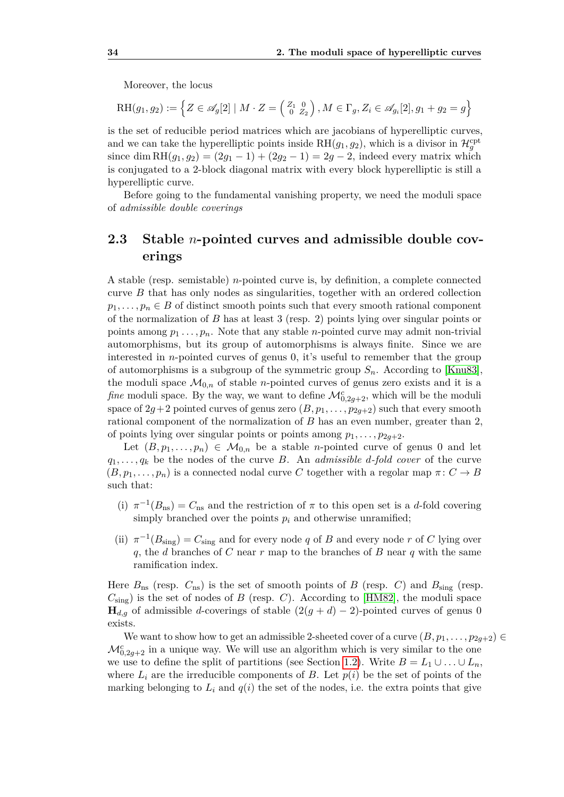Moreover, the locus

$$
RH(g_1, g_2) := \left\{ Z \in \mathscr{A}_g[2] \mid M \cdot Z = \left( \begin{smallmatrix} Z_1 & 0 \\ 0 & Z_2 \end{smallmatrix} \right), M \in \Gamma_g, Z_i \in \mathscr{A}_{g_i}[2], g_1 + g_2 = g \right\}
$$

is the set of reducible period matrices which are jacobians of hyperelliptic curves, and we can take the hyperelliptic points inside  $RH(g_1, g_2)$ , which is a divisor in  $\mathcal{H}_g^{\text{cpt}}$ since dim RH $(g_1, g_2) = (2g_1 - 1) + (2g_2 - 1) = 2g - 2$ , indeed every matrix which is conjugated to a 2-block diagonal matrix with every block hyperelliptic is still a hyperelliptic curve.

Before going to the fundamental vanishing property, we need the moduli space of *admissible double coverings*

#### <span id="page-49-0"></span>**2.3 Stable** *n***-pointed curves and admissible double coverings**

A stable (resp. semistable) *n*-pointed curve is, by definition, a complete connected curve *B* that has only nodes as singularities, together with an ordered collection  $p_1, \ldots, p_n \in B$  of distinct smooth points such that every smooth rational component of the normalization of *B* has at least 3 (resp. 2) points lying over singular points or points among  $p_1 \ldots, p_n$ . Note that any stable *n*-pointed curve may admit non-trivial automorphisms, but its group of automorphisms is always finite. Since we are interested in *n*-pointed curves of genus 0, it's useful to remember that the group of automorphisms is a subgroup of the symmetric group  $S_n$ . According to [\[Knu83\]](#page-71-3), the moduli space  $\mathcal{M}_{0,n}$  of stable *n*-pointed curves of genus zero exists and it is a *fine* moduli space. By the way, we want to define  $\mathcal{M}_{0,2g+2}^c$ , which will be the moduli space of  $2g+2$  pointed curves of genus zero  $(B, p_1, \ldots, p_{2g+2})$  such that every smooth rational component of the normalization of *B* has an even number, greater than 2, of points lying over singular points or points among  $p_1, \ldots, p_{2q+2}$ .

Let  $(B, p_1, \ldots, p_n) \in \mathcal{M}_{0,n}$  be a stable *n*-pointed curve of genus 0 and let  $q_1, \ldots, q_k$  be the nodes of the curve *B*. An *admissible d*-fold cover of the curve  $(B, p_1, \ldots, p_n)$  is a connected nodal curve C together with a regolar map  $\pi: C \to B$ such that:

- (i)  $\pi^{-1}(B_{\text{ns}}) = C_{\text{ns}}$  and the restriction of  $\pi$  to this open set is a *d*-fold covering simply branched over the points  $p_i$  and otherwise unramified;
- (ii)  $\pi^{-1}(B_{\text{sing}}) = C_{\text{sing}}$  and for every node *q* of *B* and every node *r* of *C* lying over *q*, the *d* branches of *C* near *r* map to the branches of *B* near *q* with the same ramification index.

Here  $B_{\text{ns}}$  (resp.  $C_{\text{ns}}$ ) is the set of smooth points of *B* (resp. *C*) and  $B_{\text{sing}}$  (resp.  $C_{\text{sing}}$ ) is the set of nodes of *B* (resp. *C*). According to [\[HM82\]](#page-71-4), the moduli space  $\mathbf{H}_{d,q}$  of admissible *d*-coverings of stable  $(2(g + d) - 2)$ -pointed curves of genus 0 exists.

We want to show how to get an admissible 2-sheeted cover of a curve  $(B, p_1, \ldots, p_{2g+2}) \in$  $\mathcal{M}_{0,2g+2}^c$  in a unique way. We will use an algorithm which is very similar to the one we use to define the split of partitions (see Section [1.2\)](#page-19-0). Write  $B = L_1 \cup ... \cup L_n$ , where  $L_i$  are the irreducible components of *B*. Let  $p(i)$  be the set of points of the marking belonging to  $L_i$  and  $q(i)$  the set of the nodes, i.e. the extra points that give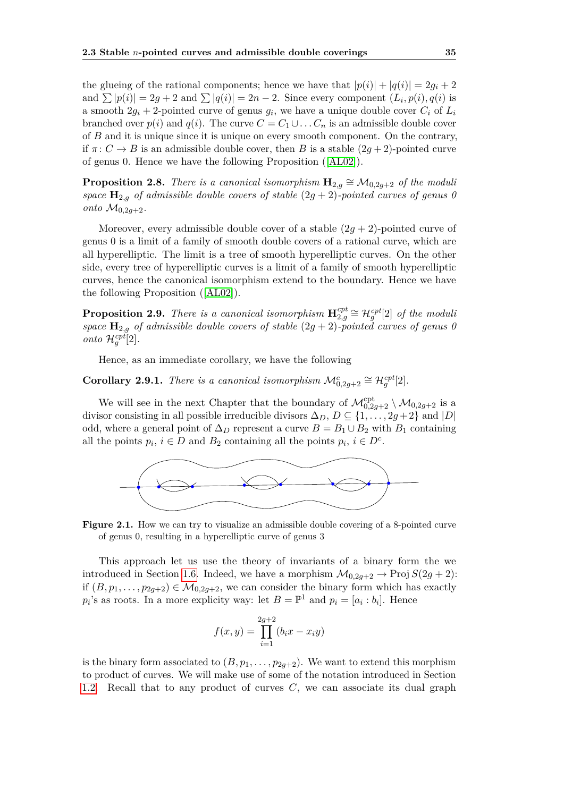the glueing of the rational components; hence we have that  $|p(i)| + |q(i)| = 2q_i + 2$ and  $\sum |p(i)| = 2g + 2$  and  $\sum |q(i)| = 2n - 2$ . Since every component  $(L_i, p(i), q(i))$  is a smooth  $2g_i + 2$ -pointed curve of genus  $g_i$ , we have a unique double cover  $C_i$  of  $L_i$ branched over  $p(i)$  and  $q(i)$ . The curve  $C = C_1 \cup \ldots C_n$  is an admissible double cover of *B* and it is unique since it is unique on every smooth component. On the contrary, if  $\pi: C \to B$  is an admissible double cover, then *B* is a stable  $(2g + 2)$ -pointed curve of genus 0. Hence we have the following Proposition ([\[AL02\]](#page-70-0)).

**Proposition 2.8.** *There is a canonical isomorphism*  $\mathbf{H}_{2,g} \cong \mathcal{M}_{0,2g+2}$  *of the moduli space*  $\mathbf{H}_{2,g}$  *of admissible double covers of stable*  $(2g + 2)$ *-pointed curves of genus 0 onto*  $M_{0,2q+2}$ *.* 

Moreover, every admissible double cover of a stable  $(2q + 2)$ -pointed curve of genus 0 is a limit of a family of smooth double covers of a rational curve, which are all hyperelliptic. The limit is a tree of smooth hyperelliptic curves. On the other side, every tree of hyperelliptic curves is a limit of a family of smooth hyperelliptic curves, hence the canonical isomorphism extend to the boundary. Hence we have the following Proposition ([\[AL02\]](#page-70-0)).

**Proposition 2.9.** *There is a canonical isomorphism*  $\mathbf{H}_{2,a}^{cpt}$  $\mathcal{L}_{2,g}^{cpt}$   $\cong \mathcal{H}_g^{cpt}[2]$  *of the moduli space*  $\mathbf{H}_{2,g}$  *of admissible double covers of stable*  $(2g + 2)$ *-pointed curves of genus 0 onto*  $\mathcal{H}_g^{cpt}[2]$ *.* 

Hence, as an immediate corollary, we have the following

**Corollary 2.9.1.** *There is a canonical isomorphism*  $\mathcal{M}_{0,2g+2}^c \cong \mathcal{H}_g^{cpt}[2]$ *.* 

We will see in the next Chapter that the boundary of  $\mathcal{M}_{0,2g+2}^{\text{cpt}} \setminus \mathcal{M}_{0,2g+2}$  is a divisor consisting in all possible irreducible divisors  $\Delta_D$ ,  $D \subseteq \{1, \ldots, 2g + 2\}$  and  $|D|$ odd, where a general point of  $\Delta_D$  represent a curve  $B = B_1 \cup B_2$  with  $B_1$  containing all the points  $p_i$ ,  $i \in D$  and  $B_2$  containing all the points  $p_i$ ,  $i \in D^c$ .



**Figure 2.1.** How we can try to visualize an admissible double covering of a 8-pointed curve of genus 0, resulting in a hyperelliptic curve of genus 3

This approach let us use the theory of invariants of a binary form the we introduced in Section [1.6.](#page-38-0) Indeed, we have a morphism  $\mathcal{M}_{0,2q+2} \to \text{Proj } S(2g+2)$ : if  $(B, p_1, \ldots, p_{2q+2}) \in \mathcal{M}_{0,2q+2}$ , we can consider the binary form which has exactly  $p_i$ 's as roots. In a more explicity way: let  $B = \mathbb{P}^1$  and  $p_i = [a_i : b_i]$ . Hence

$$
f(x,y) = \prod_{i=1}^{2g+2} (b_i x - x_i y)
$$

is the binary form associated to  $(B, p_1, \ldots, p_{2q+2})$ . We want to extend this morphism to product of curves. We will make use of some of the notation introduced in Section [1.2.](#page-19-0) Recall that to any product of curves *C*, we can associate its dual graph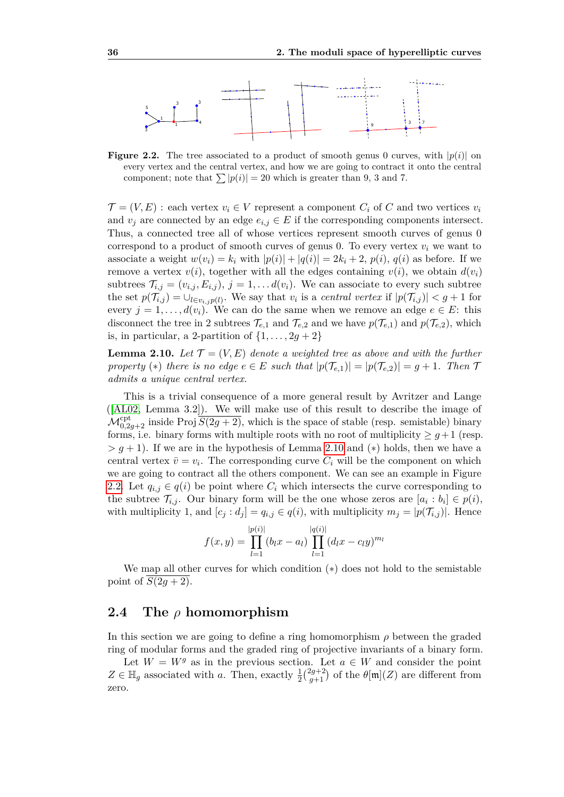<span id="page-51-1"></span>

**Figure 2.2.** The tree associated to a product of smooth genus 0 curves, with  $|p(i)|$  on every vertex and the central vertex, and how we are going to contract it onto the central component; note that  $\sum |p(i)| = 20$  which is greater than 9, 3 and 7.

 $\mathcal{T} = (V, E)$ : each vertex  $v_i \in V$  represent a component  $C_i$  of C and two vertices  $v_i$ and  $v_j$  are connected by an edge  $e_{i,j} \in E$  if the corresponding components intersect. Thus, a connected tree all of whose vertices represent smooth curves of genus 0 correspond to a product of smooth curves of genus 0. To every vertex  $v_i$  we want to associate a weight  $w(v_i) = k_i$  with  $|p(i)| + |q(i)| = 2k_i + 2$ ,  $p(i)$ ,  $q(i)$  as before. If we remove a vertex  $v(i)$ , together with all the edges containing  $v(i)$ , we obtain  $d(v_i)$ subtrees  $\mathcal{T}_{i,j} = (v_{i,j}, E_{i,j}), j = 1, \ldots d(v_i)$ . We can associate to every such subtree the set  $p(\mathcal{T}_{i,j}) = \bigcup_{l \in v_{i,j}} p(l)$ . We say that  $v_i$  is a *central vertex* if  $|p(\mathcal{T}_{i,j})| < g + 1$  for every  $j = 1, \ldots, d(v_i)$ . We can do the same when we remove an edge  $e \in E$ : this disconnect the tree in 2 subtrees  $\mathcal{T}_{e,1}$  and  $\mathcal{T}_{e,2}$  and we have  $p(\mathcal{T}_{e,1})$  and  $p(\mathcal{T}_{e,2})$ , which is, in particular, a 2-partition of  $\{1, \ldots, 2g + 2\}$ 

<span id="page-51-0"></span>**Lemma 2.10.** Let  $\mathcal{T} = (V, E)$  denote a weighted tree as above and with the further *property* (\*) *there is no edge*  $e \in E$  *such that*  $|p(\mathcal{T}_{e,1})| = |p(\mathcal{T}_{e,2})| = g + 1$ *. Then*  $\mathcal{T}$ *admits a unique central vertex.*

This is a trivial consequence of a more general result by Avritzer and Lange ([\[AL02,](#page-70-0) Lemma 3.2]). We will make use of this result to describe the image of  $\mathcal{M}_{0,2g+2}^{\text{cpt}}$  inside Proj  $\overline{S(2g+2)}$ , which is the space of stable (resp. semistable) binary forms, i.e. binary forms with multiple roots with no root of multiplicity  $\geq g+1$  (resp.  $> g + 1$ ). If we are in the hypothesis of Lemma [2.10](#page-51-0) and (\*) holds, then we have a central vertex  $\bar{v} = v_i$ . The corresponding curve  $C_i$  will be the component on which we are going to contract all the others component. We can see an example in Figure [2.2.](#page-51-1) Let  $q_{i,j} \in q(i)$  be point where  $C_i$  which intersects the curve corresponding to the subtree  $\mathcal{T}_{i,j}$ . Our binary form will be the one whose zeros are  $[a_i : b_i] \in p(i)$ , with multiplicity 1, and  $[c_i : d_i] = q_{i,j} \in q(i)$ , with multiplicity  $m_i = |p(\mathcal{T}_{i,j})|$ . Hence

$$
f(x,y) = \prod_{l=1}^{|p(i)|} (b_l x - a_l) \prod_{l=1}^{|q(i)|} (d_l x - c_l y)^{m_l}
$$

We map all other curves for which condition (∗) does not hold to the semistable point of  $\overline{S(2g+2)}$ .

#### **2.4 The** *ρ* **homomorphism**

In this section we are going to define a ring homomorphism *ρ* between the graded ring of modular forms and the graded ring of projective invariants of a binary form.

Let  $W = W<sup>g</sup>$  as in the previous section. Let  $a \in W$  and consider the point  $Z \in \mathbb{H}_g$  associated with *a*. Then, exactly  $\frac{1}{2} \binom{2g+2}{g+1}$  $\frac{g_{g+2}}{g+1}$  of the  $\theta[\mathfrak{m}](Z)$  are different from zero.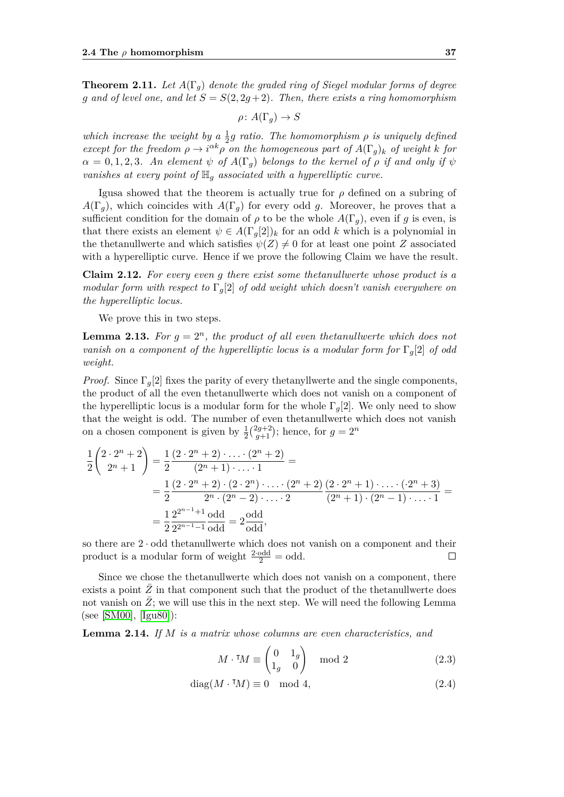<span id="page-52-2"></span>**Theorem 2.11.** Let  $A(\Gamma_q)$  denote the graded ring of Siegel modular forms of degree *g* and of level one, and let  $S = S(2, 2g + 2)$ . Then, there exists a ring homomorphism

$$
\rho \colon A(\Gamma_g) \to S
$$

*which increase the weight by a*  $\frac{1}{2}g$  *ratio. The homomorphism*  $\rho$  *is uniquely defined except for the freedom*  $\rho \to i^{\alpha k} \rho$  *on the homogeneous part of*  $A(\Gamma_g)_k$  *of weight k for*  $\alpha = 0, 1, 2, 3$ *. An element*  $\psi$  *of*  $A(\Gamma_q)$  *belongs to the kernel of*  $\rho$  *if and only if*  $\psi$ *vanishes at every point of* H*<sup>g</sup> associated with a hyperelliptic curve.*

Igusa showed that the theorem is actually true for *ρ* defined on a subring of  $A(\Gamma_q)$ , which coincides with  $A(\Gamma_q)$  for every odd *g*. Moreover, he proves that a sufficient condition for the domain of  $\rho$  to be the whole  $A(\Gamma_q)$ , even if g is even, is that there exists an element  $\psi \in A(\Gamma_g[2])_k$  for an odd *k* which is a polynomial in the thetanullwerte and which satisfies  $\psi(Z) \neq 0$  for at least one point *Z* associated with a hyperelliptic curve. Hence if we prove the following Claim we have the result.

**Claim 2.12.** *For every even g there exist some thetanullwerte whose product is a modular form with respect to* Γ*g*[2] *of odd weight which doesn't vanish everywhere on the hyperelliptic locus.*

We prove this in two steps.

<span id="page-52-0"></span>**Lemma 2.13.** For  $g = 2^n$ , the product of all even thetanullwerte which does not *vanish on a component of the hyperelliptic locus is a modular form for* Γ*g*[2] *of odd weight.*

*Proof.* Since  $\Gamma_q[2]$  fixes the parity of every thetanyllwerte and the single components, the product of all the even thetanullwerte which does not vanish on a component of the hyperelliptic locus is a modular form for the whole  $\Gamma_q[2]$ . We only need to show that the weight is odd. The number of even thetanullwerte which does not vanish on a chosen component is given by  $\frac{1}{2} \binom{2g+2}{g+1}$  $(g+2)$ ; hence, for  $g = 2^n$ 

$$
\frac{1}{2}\begin{pmatrix} 2 \cdot 2^n + 2 \\ 2^n + 1 \end{pmatrix} = \frac{1}{2}\frac{(2 \cdot 2^n + 2) \cdot \ldots \cdot (2^n + 2)}{(2^n + 1) \cdot \ldots \cdot 1} =
$$
\n
$$
= \frac{1}{2}\frac{(2 \cdot 2^n + 2) \cdot (2 \cdot 2^n) \cdot \ldots \cdot (2^n + 2)}{2^n \cdot (2^n - 2) \cdot \ldots \cdot 2} \frac{(2 \cdot 2^n + 1) \cdot \ldots \cdot (2^n + 3)}{(2^n + 1) \cdot (2^n - 1) \cdot \ldots \cdot 1} =
$$
\n
$$
= \frac{1}{2}\frac{2^{2^{n-1}+1}}{2^{2^{n-1}-1}} \frac{\text{odd}}{\text{odd}},
$$

so there are 2 · odd thetanullwerte which does not vanish on a component and their product is a modular form of weight  $\frac{2 \cdot \text{odd}}{2} = \text{odd}$ .  $\Box$ 

Since we chose the thetanullwerte which does not vanish on a component, there exists a point  $Z$  in that component such that the product of the thetanullwerte does not vanish on  $\bar{Z}$ ; we will use this in the next step. We will need the following Lemma (see [\[SM00\]](#page-71-0), [\[Igu80\]](#page-71-5)):

<span id="page-52-1"></span>**Lemma 2.14.** *If M is a matrix whose columns are even characteristics, and*

$$
M \cdot {}^{\intercal} \! M \equiv \begin{pmatrix} 0 & 1_g \\ 1_g & 0 \end{pmatrix} \mod 2 \tag{2.3}
$$

$$
diag(M \cdot {}^{\mathsf{T}} \! M) \equiv 0 \mod 4,\tag{2.4}
$$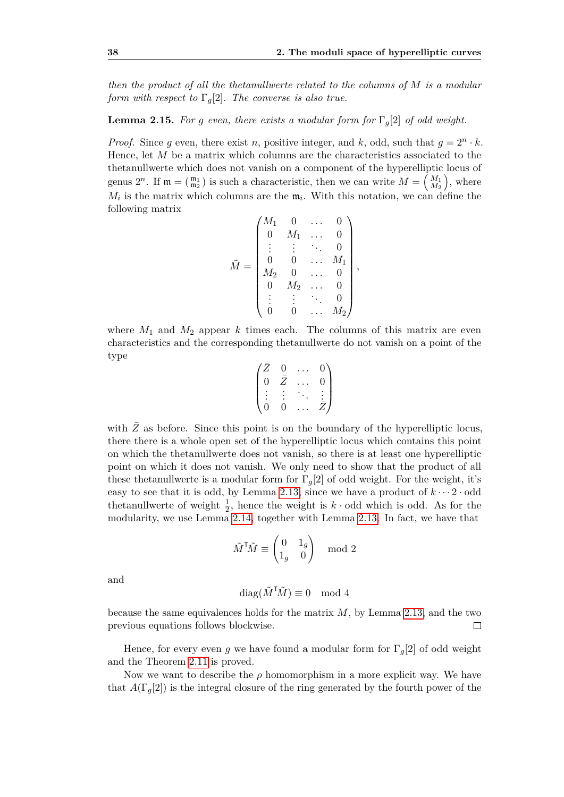*then the product of all the thetanullwerte related to the columns of M is a modular form with respect to*  $\Gamma_q[2]$ *. The converse is also true.* 

**Lemma 2.15.** *For g even, there exists a modular form for*  $\Gamma_q[2]$  *of odd weight.* 

*Proof.* Since *g* even, there exist *n*, positive integer, and *k*, odd, such that  $g = 2^n \cdot k$ . Hence, let *M* be a matrix which columns are the characteristics associated to the thetanullwerte which does not vanish on a component of the hyperelliptic locus of genus  $2^n$ . If  $\mathfrak{m} = \begin{pmatrix} \mathfrak{m}_1 \\ \mathfrak{m}_2 \end{pmatrix}$  is such a characteristic, then we can write  $M = \begin{pmatrix} M_1 \\ M_2 \end{pmatrix}$  $\binom{M_1}{M_2}$ , where  $M_i$  is the matrix which columns are the  $m_i$ . With this notation, we can define the following matrix

$$
\tilde{M} = \begin{pmatrix} M_1 & 0 & \dots & 0 \\ 0 & M_1 & \dots & 0 \\ \vdots & \vdots & \ddots & 0 \\ 0 & 0 & \dots & M_1 \\ M_2 & 0 & \dots & 0 \\ 0 & M_2 & \dots & 0 \\ \vdots & \vdots & \ddots & 0 \\ 0 & 0 & \dots & M_2 \end{pmatrix},
$$

where  $M_1$  and  $M_2$  appear  $k$  times each. The columns of this matrix are even characteristics and the corresponding thetanullwerte do not vanish on a point of the type

$$
\begin{pmatrix} \bar{Z} & 0 & \dots & 0 \\ 0 & \bar{Z} & \dots & 0 \\ \vdots & \vdots & \ddots & \vdots \\ 0 & 0 & \dots & \bar{Z} \end{pmatrix}
$$

with  $\overline{Z}$  as before. Since this point is on the boundary of the hyperelliptic locus. there there is a whole open set of the hyperelliptic locus which contains this point on which the thetanullwerte does not vanish, so there is at least one hyperelliptic point on which it does not vanish. We only need to show that the product of all these thetanullwerte is a modular form for  $\Gamma_g[2]$  of odd weight. For the weight, it's easy to see that it is odd, by Lemma [2.13,](#page-52-0) since we have a product of  $k \cdots 2 \cdot$  odd thetanullwerte of weight  $\frac{1}{2}$ , hence the weight is *k* · odd which is odd. As for the modularity, we use Lemma [2.14,](#page-52-1) together with Lemma [2.13.](#page-52-0) In fact, we have that

$$
\tilde{M}^{\mathsf{T}}\tilde{M} \equiv \begin{pmatrix} 0 & 1_g \\ 1_g & 0 \end{pmatrix} \mod 2
$$

and

$$
\text{diag}(\tilde{M}^{\mathsf{T}}\tilde{M}) \equiv 0 \mod 4
$$

because the same equivalences holds for the matrix *M*, by Lemma [2.13,](#page-52-0) and the two previous equations follows blockwise.  $\Box$ 

Hence, for every even *g* we have found a modular form for  $\Gamma_g[2]$  of odd weight and the Theorem [2.11](#page-52-2) is proved.

Now we want to describe the  $\rho$  homomorphism in a more explicit way. We have that  $A(\Gamma_q[2])$  is the integral closure of the ring generated by the fourth power of the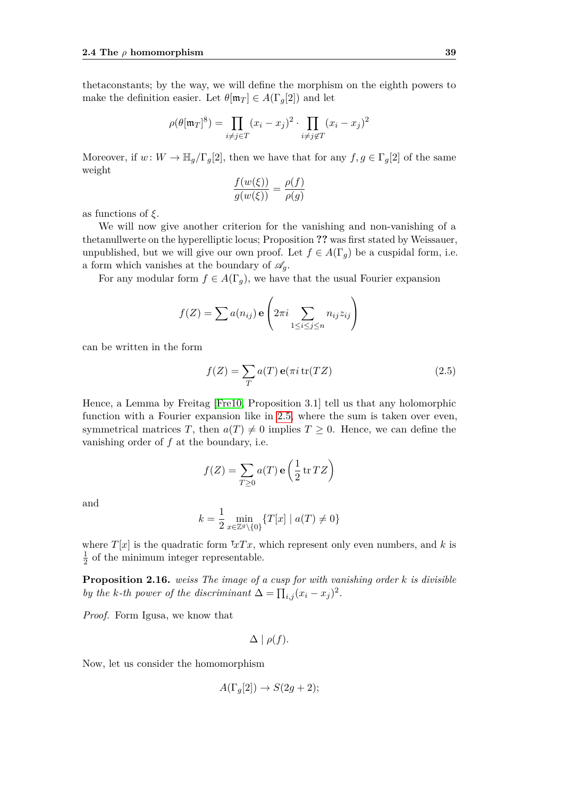thetaconstants; by the way, we will define the morphism on the eighth powers to make the definition easier. Let  $\theta[\mathfrak{m}_T] \in A(\Gamma_q[2])$  and let

$$
\rho(\theta[\mathfrak{m}_T]^8) = \prod_{i \neq j \in T} (x_i - x_j)^2 \cdot \prod_{i \neq j \notin T} (x_i - x_j)^2
$$

Moreover, if  $w: W \to \mathbb{H}_q/\Gamma_q[2]$ , then we have that for any  $f, g \in \Gamma_q[2]$  of the same weight

$$
\frac{f(w(\xi))}{g(w(\xi))} = \frac{\rho(f)}{\rho(g)}
$$

as functions of *ξ*.

We will now give another criterion for the vanishing and non-vanishing of a thetanullwerte on the hyperelliptic locus; Proposition **??** was first stated by Weissauer, unpublished, but we will give our own proof. Let  $f \in A(\Gamma_q)$  be a cuspidal form, i.e. a form which vanishes at the boundary of  $\mathscr{A}_q$ .

For any modular form  $f \in A(\Gamma_g)$ , we have that the usual Fourier expansion

$$
f(Z) = \sum a(n_{ij}) \mathbf{e} \left( 2\pi i \sum_{1 \le i \le j \le n} n_{ij} z_{ij} \right)
$$

can be written in the form

<span id="page-54-0"></span>
$$
f(Z) = \sum_{T} a(T) e(\pi i \operatorname{tr}(TZ))
$$
\n(2.5)

Hence, a Lemma by Freitag [\[Fre10,](#page-70-1) Proposition 3.1] tell us that any holomorphic function with a Fourier expansion like in [2.5,](#page-54-0) where the sum is taken over even, symmetrical matrices *T*, then  $a(T) \neq 0$  implies  $T \geq 0$ . Hence, we can define the vanishing order of *f* at the boundary, i.e.

$$
f(Z) = \sum_{T \ge 0} a(T) \mathbf{e} \left( \frac{1}{2} \operatorname{tr} TZ \right)
$$

and

$$
k = \frac{1}{2} \min_{x \in \mathbb{Z}^g \setminus \{0\}} \{ T[x] \mid a(T) \neq 0 \}
$$

where  $T[x]$  is the quadratic form  $T x T x$ , which represent only even numbers, and k is 1  $\frac{1}{2}$  of the minimum integer representable.

**Proposition 2.16.** *weiss The image of a cusp for with vanishing order k is divisible by the k-th power of the discriminant*  $\Delta = \prod_{i,j} (x_i - x_j)^2$ .

*Proof.* Form Igusa, we know that

$$
\Delta \mid \rho(f).
$$

Now, let us consider the homomorphism

$$
A(\Gamma_g[2]) \to S(2g+2);
$$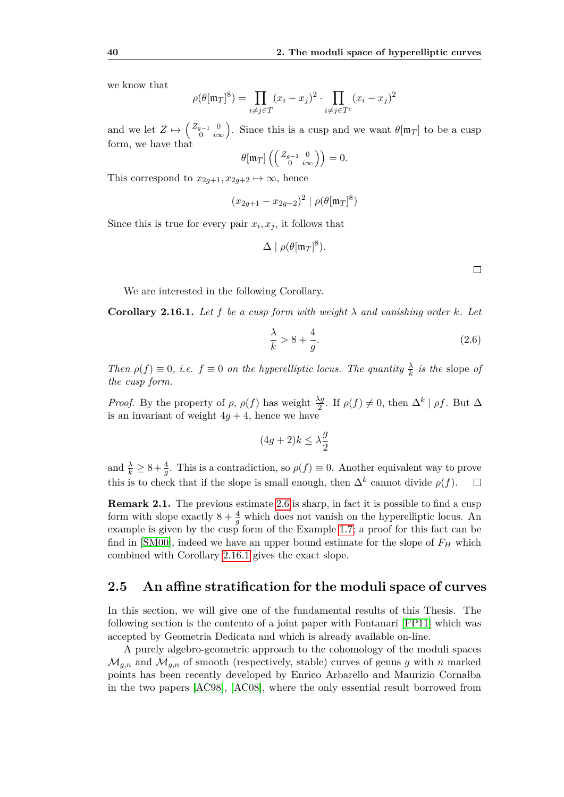we know that

$$
\rho(\theta[\mathfrak{m}_T]^8) = \prod_{i \neq j \in T} (x_i - x_j)^2 \cdot \prod_{i \neq j \in T^c} (x_i - x_j)^2
$$

and we let  $Z \mapsto \begin{pmatrix} Z_{g-1} & 0 \\ 0 & i\end{pmatrix}$ 0 *i*∞ ). Since this is a cusp and we want  $\theta[\mathfrak{m}_T]$  to be a cusp form, we have that

$$
\theta[\mathfrak{m}_T] \left( \left( \begin{smallmatrix} Z_{g-1} & 0 \\ 0 & i\infty \end{smallmatrix} \right) \right) = 0.
$$

This correspond to  $x_{2g+1}, x_{2g+2} \mapsto \infty$ , hence

$$
(x_{2g+1} - x_{2g+2})^2 \mid \rho(\theta[\mathfrak{m}_T]^8)
$$

Since this is true for every pair  $x_i, x_j$ , it follows that

$$
\Delta \mid \rho(\theta[\mathfrak{m}_T]^8).
$$

 $\Box$ 

We are interested in the following Corollary.

<span id="page-55-1"></span>**Corollary 2.16.1.** Let  $f$  be a cusp form with weight  $\lambda$  and vanishing order  $k$ . Let

<span id="page-55-2"></span>
$$
\frac{\lambda}{k} > 8 + \frac{4}{g}.\tag{2.6}
$$

*Then*  $\rho(f) \equiv 0$ , *i.e.*  $f \equiv 0$  *on the hyperelliptic locus. The quantity*  $\frac{\lambda}{k}$  *is the* slope *of the cusp form.*

*Proof.* By the property of  $\rho$ ,  $\rho(f)$  has weight  $\frac{\lambda g}{2}$ . If  $\rho(f) \neq 0$ , then  $\Delta^k | \rho f$ . But  $\Delta$ is an invariant of weight  $4q + 4$ , hence we have

$$
(4g+2)k \le \lambda \frac{g}{2}
$$

and  $\frac{\lambda}{k} \geq 8 + \frac{4}{g}$ . This is a contradiction, so  $\rho(f) \equiv 0$ . Another equivalent way to prove this is to check that if the slope is small enough, then  $\Delta^k$  cannot divide  $\rho(f)$ .  $\Box$ 

**Remark 2.1.** The previous estimate [2.6](#page-55-2) is sharp, in fact it is possible to find a cusp form with slope exactly  $8 + \frac{4}{g}$  which does not vanish on the hyperelliptic locus. An example is given by the cusp form of the Example [1.7;](#page-36-0) a proof for this fact can be find in [\[SM00\]](#page-71-0), indeed we have an upper bound estimate for the slope of *F<sup>H</sup>* which combined with Corollary [2.16.1](#page-55-1) gives the exact slope.

#### <span id="page-55-0"></span>**2.5 An affine stratification for the moduli space of curves**

In this section, we will give one of the fundamental results of this Thesis. The following section is the contento of a joint paper with Fontanari [\[FP11\]](#page-70-2) which was accepted by Geometria Dedicata and which is already available on-line.

A purely algebro-geometric approach to the cohomology of the moduli spaces  $\mathcal{M}_{q,n}$  and  $\mathcal{M}_{q,n}$  of smooth (respectively, stable) curves of genus g with n marked points has been recently developed by Enrico Arbarello and Maurizio Cornalba in the two papers [\[AC98\]](#page-70-3), [\[AC08\]](#page-70-4), where the only essential result borrowed from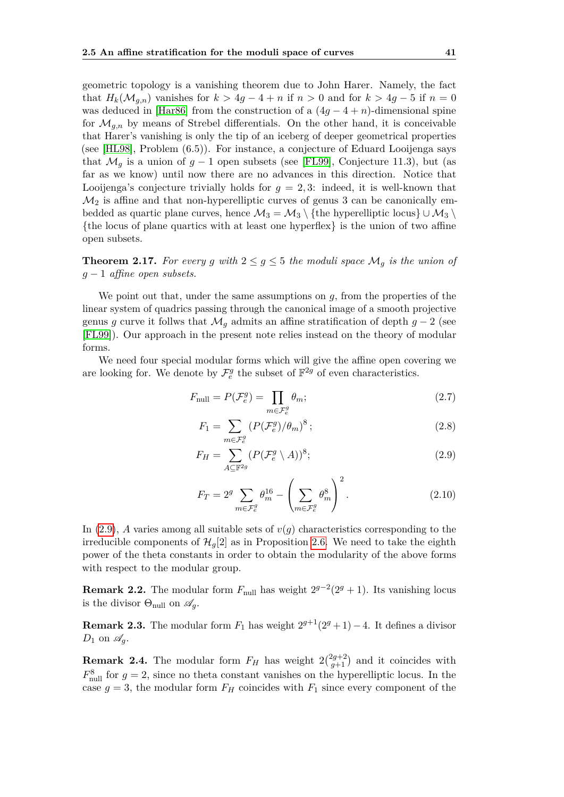geometric topology is a vanishing theorem due to John Harer. Namely, the fact that  $H_k(\mathcal{M}_{q,n})$  vanishes for  $k > 4g - 4 + n$  if  $n > 0$  and for  $k > 4g - 5$  if  $n = 0$ was deduced in [\[Har86\]](#page-71-6) from the construction of a  $(4g - 4 + n)$ -dimensional spine for  $\mathcal{M}_{g,n}$  by means of Strebel differentials. On the other hand, it is conceivable that Harer's vanishing is only the tip of an iceberg of deeper geometrical properties (see [\[HL98\]](#page-71-7), Problem (6.5)). For instance, a conjecture of Eduard Looijenga says that  $\mathcal{M}_q$  is a union of  $q-1$  open subsets (see [\[FL99\]](#page-70-5), Conjecture 11.3), but (as far as we know) until now there are no advances in this direction. Notice that Looijenga's conjecture trivially holds for *g* = 2*,* 3: indeed, it is well-known that  $\mathcal{M}_2$  is affine and that non-hyperelliptic curves of genus 3 can be canonically embedded as quartic plane curves, hence  $\mathcal{M}_3 = \mathcal{M}_3 \setminus \{\text{the hyperelliptic locus}\} \cup \mathcal{M}_3 \setminus$  $\{$ the locus of plane quartics with at least one hyperflex $\}$  is the union of two affine open subsets.

<span id="page-56-1"></span>**Theorem 2.17.** For every g with  $2 \leq g \leq 5$  the moduli space  $\mathcal{M}_g$  is the union of *g* − 1 *affine open subsets.*

We point out that, under the same assumptions on *g*, from the properties of the linear system of quadrics passing through the canonical image of a smooth projective genus *g* curve it follws that  $\mathcal{M}_q$  admits an affine stratification of depth  $g - 2$  (see [\[FL99\]](#page-70-5)). Our approach in the present note relies instead on the theory of modular forms.

We need four special modular forms which will give the affine open covering we are looking for. We denote by  $\mathcal{F}^g_e$  the subset of  $\mathbb{F}^{2g}$  of even characteristics.

$$
F_{\text{null}} = P(\mathcal{F}_e^g) = \prod_{m \in \mathcal{F}_e^g} \theta_m; \tag{2.7}
$$

<span id="page-56-0"></span>
$$
F_1 = \sum_{m \in \mathcal{F}_e^g} \left( P(\mathcal{F}_e^g) / \theta_m \right)^8; \tag{2.8}
$$

$$
F_H = \sum_{A \subseteq \mathbb{F}^{2g}} (P(\mathcal{F}_e^g \setminus A))^8; \tag{2.9}
$$

$$
F_T = 2^g \sum_{m \in \mathcal{F}_e^g} \theta_m^{16} - \left(\sum_{m \in \mathcal{F}_e^g} \theta_m^8\right)^2.
$$
 (2.10)

In  $(2.9)$ , *A* varies among all suitable sets of  $v(g)$  characteristics corresponding to the irreducible components of  $\mathcal{H}_q[2]$  as in Proposition [2.6.](#page-48-0) We need to take the eighth power of the theta constants in order to obtain the modularity of the above forms with respect to the modular group.

**Remark 2.2.** The modular form  $F_{\text{null}}$  has weight  $2^{g-2}(2^g + 1)$ . Its vanishing locus is the divisor  $\Theta_{\text{null}}$  on  $\mathscr{A}_q$ .

**Remark 2.3.** The modular form  $F_1$  has weight  $2^{g+1}(2^g + 1) - 4$ . It defines a divisor  $D_1$  on  $\mathscr{A}_q$ .

**Remark 2.4.** The modular form  $F_H$  has weight  $2\binom{2g+2}{g+1}$  $\binom{2g+2}{g+1}$  and it coincides with  $F_{\text{null}}^8$  for  $g = 2$ , since no theta constant vanishes on the hyperelliptic locus. In the case  $g = 3$ , the modular form  $F_H$  coincides with  $F_1$  since every component of the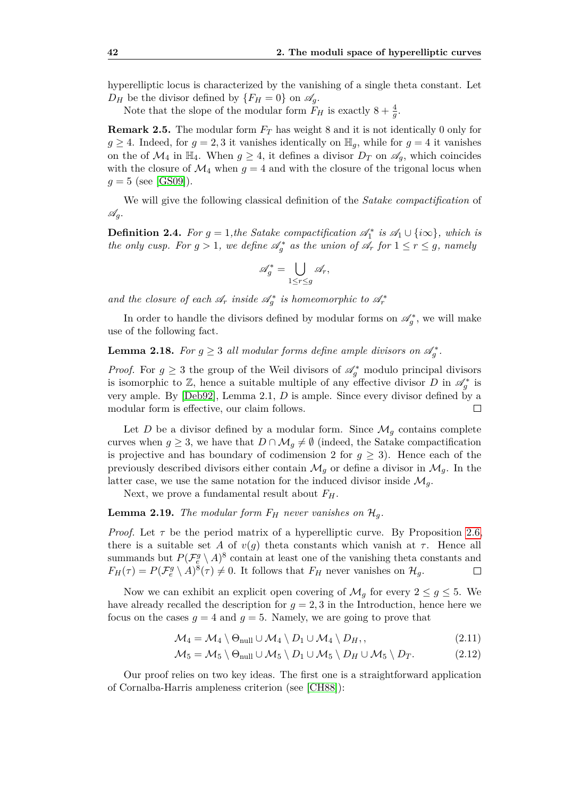hyperelliptic locus is characterized by the vanishing of a single theta constant. Let  $D_H$  be the divisor defined by  $\{F_H = 0\}$  on  $\mathscr{A}_q$ .

Note that the slope of the modular form  $F_H$  is exactly  $8 + \frac{4}{g}$ .

**Remark 2.5.** The modular form *F<sup>T</sup>* has weight 8 and it is not identically 0 only for  $g \geq 4$ . Indeed, for  $g = 2, 3$  it vanishes identically on  $\mathbb{H}_q$ , while for  $g = 4$  it vanishes on the of  $\mathcal{M}_4$  in  $\mathbb{H}_4$ . When  $g \geq 4$ , it defines a divisor  $D_T$  on  $\mathscr{A}_q$ , which coincides with the closure of  $\mathcal{M}_4$  when  $g = 4$  and with the closure of the trigonal locus when  $g = 5$  (see [\[GS09\]](#page-71-8)).

We will give the following classical definition of the *Satake compactification* of A*g*.

<span id="page-57-0"></span>**Definition 2.4.** For  $g = 1$ , the Satake compactification  $\mathscr{A}_1^*$  is  $\mathscr{A}_1 \cup \{i\infty\}$ , which is *the only cusp. For*  $g > 1$ , we define  $\mathscr{A}_{g}^{*}$  as the union of  $\mathscr{A}_{r}$  for  $1 \leq r \leq g$ , namely

$$
\mathscr{A}_g^* = \bigcup_{1 \leq r \leq g} \mathscr{A}_r,
$$

*and the closure of each*  $\mathscr{A}_r$  *inside*  $\mathscr{A}_g^*$  *is homeomorphic to*  $\mathscr{A}_r^*$ 

In order to handle the divisors defined by modular forms on  $\mathscr{A}_{g}^*$ , we will make use of the following fact.

**Lemma 2.18.** For  $g \geq 3$  all modular forms define ample divisors on  $\mathscr{A}_{g}^{*}$ .

*Proof.* For  $g \geq 3$  the group of the Weil divisors of  $\mathscr{A}_{g}^{*}$  modulo principal divisors is isomorphic to  $\mathbb{Z}$ , hence a suitable multiple of any effective divisor *D* in  $\mathscr{A}_{g}^{*}$  is very ample. By [\[Deb92\]](#page-70-6), Lemma 2.1, *D* is ample. Since every divisor defined by a modular form is effective, our claim follows.  $\Box$ 

Let *D* be a divisor defined by a modular form. Since  $\mathcal{M}_q$  contains complete curves when  $g \geq 3$ , we have that  $D \cap \mathcal{M}_g \neq \emptyset$  (indeed, the Satake compactification is projective and has boundary of codimension 2 for  $g \geq 3$ ). Hence each of the previously described divisors either contain  $\mathcal{M}_g$  or define a divisor in  $\mathcal{M}_g$ . In the latter case, we use the same notation for the induced divisor inside  $\mathcal{M}_q$ .

Next, we prove a fundamental result about  $F_H$ .

<span id="page-57-2"></span>**Lemma 2.19.** *The modular form*  $F_H$  *never vanishes on*  $\mathcal{H}_q$ *.* 

*Proof.* Let  $\tau$  be the period matrix of a hyperelliptic curve. By Proposition [2.6,](#page-48-0) there is a suitable set *A* of  $v(q)$  theta constants which vanish at  $\tau$ . Hence all summands but  $P(\mathcal{F}_e^g \setminus A)^8$  contain at least one of the vanishing theta constants and  $F_H(\tau) = P(\mathcal{F}_e^g \setminus A)^8(\tau) \neq 0$ . It follows that  $F_H$  never vanishes on  $\mathcal{H}_g$ .  $\Box$ 

Now we can exhibit an explicit open covering of  $\mathcal{M}_g$  for every  $2 \leq g \leq 5$ . We have already recalled the description for  $g = 2, 3$  in the Introduction, hence here we focus on the cases  $g = 4$  and  $g = 5$ . Namely, we are going to prove that

<span id="page-57-3"></span><span id="page-57-1"></span>
$$
\mathcal{M}_4 = \mathcal{M}_4 \setminus \Theta_{\text{null}} \cup \mathcal{M}_4 \setminus D_1 \cup \mathcal{M}_4 \setminus D_H, \qquad (2.11)
$$

$$
M_5 = M_5 \setminus \Theta_{\text{null}} \cup \mathcal{M}_5 \setminus D_1 \cup \mathcal{M}_5 \setminus D_H \cup \mathcal{M}_5 \setminus D_T. \tag{2.12}
$$

Our proof relies on two key ideas. The first one is a straightforward application of Cornalba-Harris ampleness criterion (see [\[CH88\]](#page-70-7)):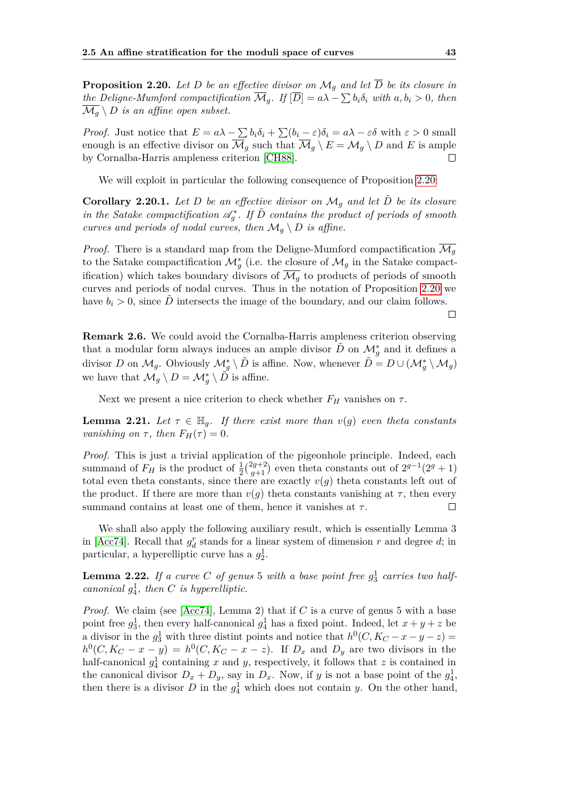<span id="page-58-0"></span>**Proposition 2.20.** Let D be an effective divisor on  $\mathcal{M}_q$  and let  $\overline{D}$  be its closure in *the Deligne-Mumford compactification*  $\overline{\mathcal{M}}_g$ *. If*  $[\overline{D}] = a\lambda - \sum b_i \delta_i$  with  $a, b_i > 0$ *, then*  $\overline{\mathcal{M}_q} \setminus D$  *is an affine open subset.* 

*Proof.* Just notice that  $E = a\lambda - \sum b_i \delta_i + \sum (b_i - \varepsilon) \delta_i = a\lambda - \varepsilon \delta$  with  $\varepsilon > 0$  small enough is an effective divisor on  $\overline{\mathcal{M}}_q$  such that  $\overline{\mathcal{M}}_q \setminus E = \mathcal{M}_q \setminus D$  and E is ample by Cornalba-Harris ampleness criterion [\[CH88\]](#page-70-7).  $\Box$ 

We will exploit in particular the following consequence of Proposition [2.20:](#page-58-0)

<span id="page-58-1"></span>**Corollary 2.20.1.** Let D be an effective divisor on  $\mathcal{M}_q$  and let  $\ddot{D}$  be its closure *in the Satake compactification*  $\mathscr{A}_{g}^{*}$ . If  $\tilde{D}$  *contains the product of periods of smooth curves and periods of nodal curves, then*  $\mathcal{M}_g \setminus D$  *is affine.* 

*Proof.* There is a standard map from the Deligne-Mumford compactification  $\mathcal{M}_q$ to the Satake compactification  $\mathcal{M}_g^*$  (i.e. the closure of  $\mathcal{M}_g$  in the Satake compactification) which takes boundary divisors of  $\overline{\mathcal{M}_q}$  to products of periods of smooth curves and periods of nodal curves. Thus in the notation of Proposition [2.20](#page-58-0) we have  $b_i > 0$ , since  $\ddot{D}$  intersects the image of the boundary, and our claim follows.

**Remark 2.6.** We could avoid the Cornalba-Harris ampleness criterion observing that a modular form always induces an ample divisor  $\tilde{D}$  on  $\mathcal{M}_g^*$  and it defines a divisor *D* on  $\mathcal{M}_g$ . Obviously  $\mathcal{M}_g^* \setminus \tilde{D}$  is affine. Now, whenever  $\tilde{D} = D \cup (\mathcal{M}_g^* \setminus \mathcal{M}_g)$ we have that  $\mathcal{M}_g \setminus D = \mathcal{M}_g^* \setminus \tilde{D}$  is affine.

Next we present a nice criterion to check whether  $F_H$  vanishes on  $\tau$ .

<span id="page-58-2"></span>**Lemma 2.21.** Let  $\tau \in \mathbb{H}_q$ . If there exist more than  $v(q)$  even theta constants *vanishing on*  $\tau$ *, then*  $F_H(\tau) = 0$ *.* 

*Proof.* This is just a trivial application of the pigeonhole principle. Indeed, each summand of  $F_H$  is the product of  $\frac{1}{2} \binom{2g+2}{g+1}$  $(g+1)$  even theta constants out of  $2^{g-1}(2^g+1)$ total even theta constants, since there are exactly  $v(g)$  theta constants left out of the product. If there are more than  $v(g)$  theta constants vanishing at  $\tau$ , then every summand contains at least one of them, hence it vanishes at *τ* .  $\Box$ 

We shall also apply the following auxiliary result, which is essentially Lemma 3 in [\[Acc74\]](#page-70-8). Recall that  $g_d^r$  stands for a linear system of dimension  $r$  and degree  $d$ ; in particular, a hyperelliptic curve has a  $g_2^1$ .

<span id="page-58-3"></span>**Lemma 2.22.** If a curve C of genus 5 with a base point free  $g_3^1$  carries two half*canonical*  $g_4^1$ *, then C is hyperelliptic.* 

*Proof.* We claim (see [\[Acc74\]](#page-70-8), Lemma 2) that if *C* is a curve of genus 5 with a base point free  $g_3^1$ , then every half-canonical  $g_4^1$  has a fixed point. Indeed, let  $x + y + z$  be a divisor in the  $g_3^1$  with three distint points and notice that  $h^0(C, K_C - x - y - z) =$  $h^0(C, K_C - x - y) = h^0(C, K_C - x - z)$ . If  $D_x$  and  $D_y$  are two divisors in the half-canonical  $g_4^1$  containing *x* and *y*, respectively, it follows that *z* is contained in the canonical divisor  $D_x + D_y$ , say in  $D_x$ . Now, if *y* is not a base point of the  $g_4^1$ , then there is a divisor  $D$  in the  $g_4^1$  which does not contain *y*. On the other hand,

 $\Box$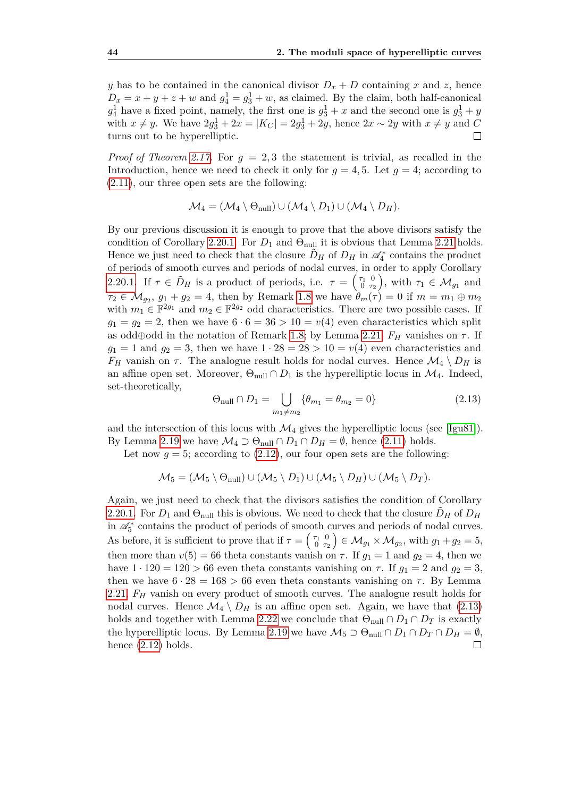*y* has to be contained in the canonical divisor  $D_x + D$  containing *x* and *z*, hence  $D_x = x + y + z + w$  and  $g_4^1 = g_3^1 + w$ , as claimed. By the claim, both half-canonical  $g_4^1$  have a fixed point, namely, the first one is  $g_3^1 + x$  and the second one is  $g_3^1 + y$ with *x* ≠ *y*. We have  $2g_3^1 + 2x = |K_C| = 2g_3^1 + 2y$ , hence  $2x \sim 2y$  with  $x \neq y$  and *C* turns out to be hyperelliptic.  $\Box$ 

*Proof of Theorem [2.17.](#page-56-1)* For  $g = 2, 3$  the statement is trivial, as recalled in the Introduction, hence we need to check it only for  $g = 4, 5$ . Let  $g = 4$ ; according to [\(2.11\)](#page-57-1), our three open sets are the following:

$$
\mathcal{M}_4 = (\mathcal{M}_4 \setminus \Theta_{\text{null}}) \cup (\mathcal{M}_4 \setminus D_1) \cup (\mathcal{M}_4 \setminus D_H).
$$

By our previous discussion it is enough to prove that the above divisors satisfy the condition of Corollary [2.20.1.](#page-58-1) For  $D_1$  and  $\Theta_{\text{null}}$  it is obvious that Lemma [2.21](#page-58-2) holds. Hence we just need to check that the closure  $\tilde{D}_H$  of  $D_H$  in  $\mathscr{A}_4^*$  contains the product of periods of smooth curves and periods of nodal curves, in order to apply Corollary [2.20.1.](#page-58-1) If  $\tau \in \tilde{D}_H$  is a product of periods, i.e.  $\tau = \begin{pmatrix} \tau_1 & 0 \\ 0 & \tau_2 \end{pmatrix}$ , with  $\tau_1 \in \mathcal{M}_{g_1}$  and  $\tau_2 \in \mathcal{M}_{g_2}, g_1 + g_2 = 4$ , then by Remark [1.8](#page-37-0) we have  $\theta_m(\tau) = 0$  if  $m = m_1 \oplus m_2$ with  $m_1 \in \mathbb{F}^{2g_1}$  and  $m_2 \in \mathbb{F}^{2g_2}$  odd characteristics. There are two possible cases. If  $g_1 = g_2 = 2$ , then we have  $6 \cdot 6 = 36 > 10 = v(4)$  even characteristics which split as odd⊕odd in the notation of Remark [1.8;](#page-37-0) by Lemma [2.21,](#page-58-2)  $F_H$  vanishes on  $\tau$ . If  $g_1 = 1$  and  $g_2 = 3$ , then we have  $1 \cdot 28 = 28 > 10 = v(4)$  even characteristics and *F<sub>H</sub>* vanish on *τ*. The analogue result holds for nodal curves. Hence  $\mathcal{M}_4 \setminus D_H$  is an affine open set. Moreover,  $\Theta_{\text{null}} \cap D_1$  is the hyperelliptic locus in  $\mathcal{M}_4$ . Indeed, set-theoretically,

<span id="page-59-0"></span>
$$
\Theta_{\text{null}} \cap D_1 = \bigcup_{m_1 \neq m_2} \{ \theta_{m_1} = \theta_{m_2} = 0 \} \tag{2.13}
$$

and the intersection of this locus with  $\mathcal{M}_4$  gives the hyperelliptic locus (see [\[Igu81\]](#page-71-9)). By Lemma [2.19](#page-57-2) we have  $\mathcal{M}_4 \supset \Theta_{null} \cap D_1 \cap D_H = \emptyset$ , hence [\(2.11\)](#page-57-1) holds.

Let now  $g = 5$ ; according to  $(2.12)$ , our four open sets are the following:

$$
\mathcal{M}_5 = (\mathcal{M}_5 \setminus \Theta_{null}) \cup (\mathcal{M}_5 \setminus D_1) \cup (\mathcal{M}_5 \setminus D_H) \cup (\mathcal{M}_5 \setminus D_T).
$$

Again, we just need to check that the divisors satisfies the condition of Corollary [2.20.1.](#page-58-1) For  $D_1$  and  $\Theta_{\text{null}}$  this is obvious. We need to check that the closure  $D_H$  of  $D_H$ in  $\mathcal{A}_5^*$  contains the product of periods of smooth curves and periods of nodal curves. As before, it is sufficient to prove that if  $\tau = \begin{pmatrix} \tau_1 & 0 \\ 0 & \tau_2 \end{pmatrix} \in \mathcal{M}_{g_1} \times \mathcal{M}_{g_2}$ , with  $g_1 + g_2 = 5$ , then more than  $v(5) = 66$  theta constants vanish on  $\tau$ . If  $q_1 = 1$  and  $q_2 = 4$ , then we have  $1 \cdot 120 = 120 > 66$  even theta constants vanishing on  $\tau$ . If  $q_1 = 2$  and  $q_2 = 3$ , then we have  $6 \cdot 28 = 168 > 66$  even theta constants vanishing on  $\tau$ . By Lemma [2.21,](#page-58-2) *F<sup>H</sup>* vanish on every product of smooth curves. The analogue result holds for nodal curves. Hence  $\mathcal{M}_4 \setminus D_H$  is an affine open set. Again, we have that [\(2.13\)](#page-59-0) holds and together with Lemma [2.22](#page-58-3) we conclude that  $\Theta_{\text{null}} \cap D_1 \cap D_T$  is exactly the hyperelliptic locus. By Lemma [2.19](#page-57-2) we have  $\mathcal{M}_5 \supset \Theta_{\text{null}} \cap D_1 \cap D_T \cap D_H = \emptyset$ , hence  $(2.12)$  holds.  $\Box$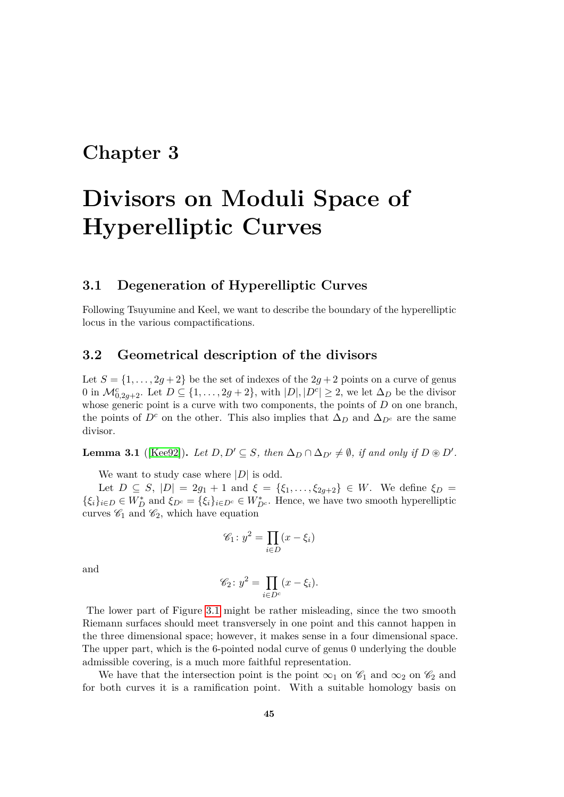### **Chapter 3**

# **Divisors on Moduli Space of Hyperelliptic Curves**

#### **3.1 Degeneration of Hyperelliptic Curves**

Following Tsuyumine and Keel, we want to describe the boundary of the hyperelliptic locus in the various compactifications.

#### **3.2 Geometrical description of the divisors**

Let  $S = \{1, \ldots, 2g + 2\}$  be the set of indexes of the  $2g + 2$  points on a curve of genus 0 in  $\mathcal{M}_{0,2g+2}^c$ . Let  $D \subseteq \{1,\ldots,2g+2\}$ , with  $|D|,|D^c| \geq 2$ , we let  $\Delta_D$  be the divisor whose generic point is a curve with two components, the points of *D* on one branch, the points of  $D^c$  on the other. This also implies that  $\Delta_D$  and  $\Delta_{D^c}$  are the same divisor.

**Lemma 3.1** ([\[Kee92\]](#page-71-10)). Let  $D, D' \subseteq S$ , then  $\Delta_D \cap \Delta_{D'} \neq \emptyset$ , if and only if  $D \otimes D'$ .

We want to study case where |*D*| is odd.

Let  $D \subseteq S$ ,  $|D| = 2g_1 + 1$  and  $\xi = {\xi_1, \ldots, \xi_{2g+2}} \in W$ . We define  $\xi_D =$  $\{\xi_i\}_{i\in D}\in W_D^*$  and  $\xi_{D^c}=\{\xi_i\}_{i\in D^c}\in W_{D^c}^*$ . Hence, we have two smooth hyperelliptic curves  $\mathscr{C}_1$  and  $\mathscr{C}_2$ , which have equation

$$
\mathscr{C}_1 \colon y^2 = \prod_{i \in D} (x - \xi_i)
$$

and

$$
\mathscr{C}_2\colon y^2 = \prod_{i \in D^c} (x - \xi_i).
$$

The lower part of Figure [3.1](#page-61-0) might be rather misleading, since the two smooth Riemann surfaces should meet transversely in one point and this cannot happen in the three dimensional space; however, it makes sense in a four dimensional space. The upper part, which is the 6-pointed nodal curve of genus 0 underlying the double admissible covering, is a much more faithful representation.

We have that the intersection point is the point  $\infty_1$  on  $\mathscr{C}_1$  and  $\infty_2$  on  $\mathscr{C}_2$  and for both curves it is a ramification point. With a suitable homology basis on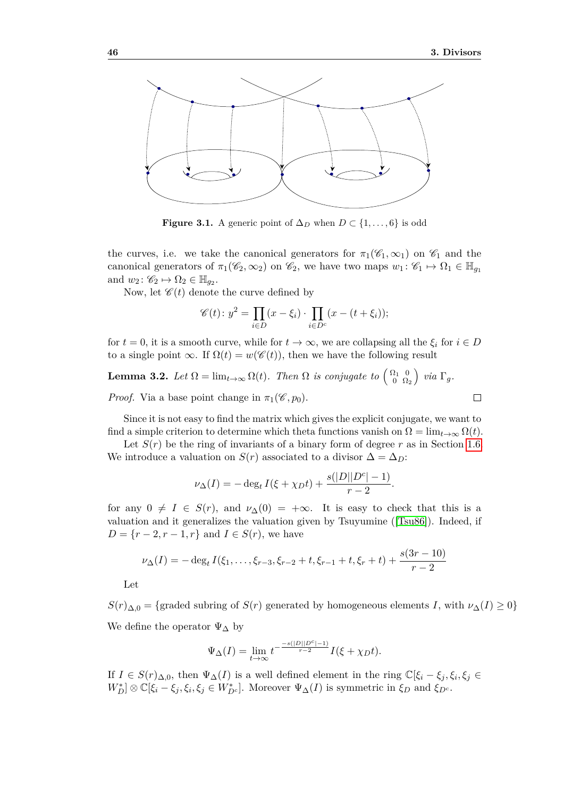<span id="page-61-0"></span>

**Figure 3.1.** A generic point of  $\Delta_D$  when  $D \subset \{1, \ldots, 6\}$  is odd

the curves, i.e. we take the canonical generators for  $\pi_1(\mathscr{C}_1,\infty_1)$  on  $\mathscr{C}_1$  and the canonical generators of  $\pi_1(\mathscr{C}_2, \infty_2)$  on  $\mathscr{C}_2$ , we have two maps  $w_1 : \mathscr{C}_1 \mapsto \Omega_1 \in \mathbb{H}_{q_1}$ and  $w_2 \colon \mathscr{C}_2 \mapsto \Omega_2 \in \mathbb{H}_{g_2}$ .

Now, let  $\mathscr{C}(t)$  denote the curve defined by

$$
\mathscr{C}(t): y^2 = \prod_{i \in D} (x - \xi_i) \cdot \prod_{i \in D^c} (x - (t + \xi_i));
$$

for  $t = 0$ , it is a smooth curve, while for  $t \to \infty$ , we are collapsing all the  $\xi_i$  for  $i \in D$ to a single point  $\infty$ . If  $\Omega(t) = w(\mathscr{C}(t))$ , then we have the following result

**Lemma 3.2.** *Let*  $\Omega = \lim_{t \to \infty} \Omega(t)$ . *Then*  $\Omega$  *is conjugate to*  $\begin{pmatrix} \Omega_1 & 0 \\ 0 & \Omega \end{pmatrix}$  $\left(\begin{smallmatrix} \Omega_1 & 0\ 0 & \Omega_2 \end{smallmatrix}\right)$  via  $\Gamma_g$ . *Proof.* Via a base point change in  $\pi_1(\mathscr{C}, p_0)$ .

Since it is not easy to find the matrix which gives the explicit conjugate, we want to find a simple criterion to determine which theta functions vanish on  $\Omega = \lim_{t\to\infty} \Omega(t)$ .

Let  $S(r)$  be the ring of invariants of a binary form of degree r as in Section [1.6.](#page-38-0) We introduce a valuation on *S*(*r*) associated to a divisor  $\Delta = \Delta_D$ :

$$
\nu_{\Delta}(I) = -\deg_t I(\xi + \chi_D t) + \frac{s(|D||D^c| - 1)}{r - 2}.
$$

for any  $0 \neq I \in S(r)$ , and  $\nu_{\Delta}(0) = +\infty$ . It is easy to check that this is a valuation and it generalizes the valuation given by Tsuyumine ([\[Tsu86\]](#page-72-1)). Indeed, if *D* = { $r$  − 2*, r* − 1*, r*} and *I* ∈ *S*(*r*), we have

$$
\nu_{\Delta}(I) = -\deg_t I(\xi_1, \dots, \xi_{r-3}, \xi_{r-2} + t, \xi_{r-1} + t, \xi_r + t) + \frac{s(3r - 10)}{r - 2}
$$

Let

 $S(r)_{\Delta,0} = \{$ graded subring of  $S(r)$  generated by homogeneous elements *I*, with  $\nu_{\Delta}(I) \geq 0$ } We define the operator  $\Psi_{\Delta}$  by

$$
\Psi_{\Delta}(I) = \lim_{t \to \infty} t^{-\frac{-s(|D||D^c|-1)}{r-2}} I(\xi + \chi_D t).
$$

If  $I \in S(r)_{\Delta,0}$ , then  $\Psi_{\Delta}(I)$  is a well defined element in the ring  $\mathbb{C}[\xi_i - \xi_j, \xi_i, \xi_j \in$  $W_D^*$   $\otimes$   $\mathbb{C}[\xi_i - \xi_j, \xi_i, \xi_j \in W_{D^c}^*]$ . Moreover  $\Psi_{\Delta}(I)$  is symmetric in  $\xi_D$  and  $\xi_{D^c}$ .

$$
\Box
$$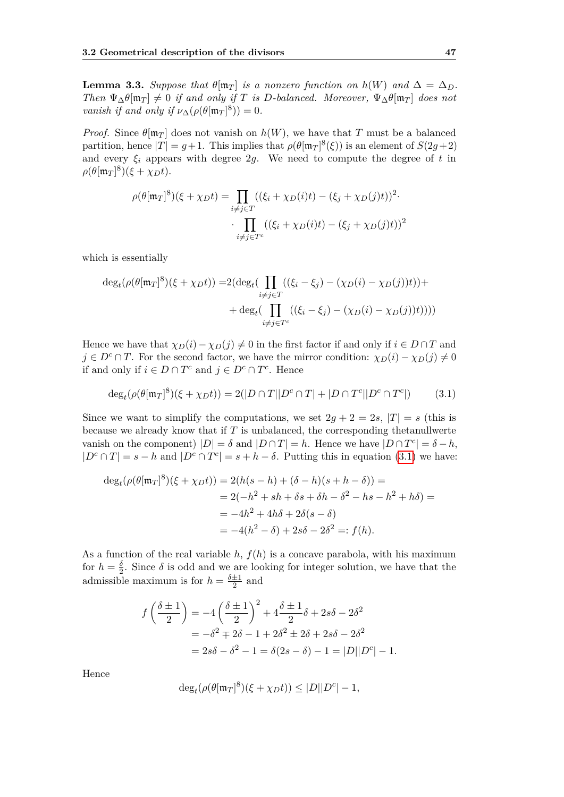<span id="page-62-1"></span>**Lemma 3.3.** *Suppose that*  $\theta[\mathfrak{m}_T]$  *is a nonzero function on*  $h(W)$  *and*  $\Delta = \Delta_D$ *. Then*  $\Psi_{\Delta} \theta[\mathfrak{m}_T] \neq 0$  *if and only if T is D-balanced. Moreover,*  $\Psi_{\Delta} \theta[\mathfrak{m}_T]$  *does not vanish if and only if*  $\nu_{\Delta}(\rho(\theta[\mathfrak{m}_T]^8)) = 0$ *.* 

*Proof.* Since  $\theta[\mathfrak{m}_T]$  does not vanish on  $h(W)$ , we have that *T* must be a balanced partition, hence  $|T| = g + 1$ . This implies that  $\rho(\theta[\mathfrak{m}_T]^8(\xi))$  is an element of  $S(2g+2)$ and every  $\xi_i$  appears with degree 2g. We need to compute the degree of  $t$  in  $\rho(\theta[\mathfrak{m}_T]^8)(\xi + \chi_D t).$ 

$$
\rho(\theta[\mathfrak{m}_T]^8)(\xi + \chi_D t) = \prod_{i \neq j \in T} ((\xi_i + \chi_D(i)t) - (\xi_j + \chi_D(j)t))^2
$$

$$
\cdot \prod_{i \neq j \in T^c} ((\xi_i + \chi_D(i)t) - (\xi_j + \chi_D(j)t))^2
$$

which is essentially

$$
\deg_t(\rho(\theta[\mathfrak{m}_T]^8)(\xi + \chi_D t)) = 2(\deg_t(\prod_{i \neq j \in T} ((\xi_i - \xi_j) - (\chi_D(i) - \chi_D(j))t)) + \deg_t(\prod_{i \neq j \in T^c} ((\xi_i - \xi_j) - (\chi_D(i) - \chi_D(j))t))))
$$

Hence we have that  $\chi_D(i) - \chi_D(j) \neq 0$  in the first factor if and only if  $i \in D \cap T$  and *j* ∈ *D<sup>c</sup>* ∩ *T*. For the second factor, we have the mirror condition:  $\chi_D(i) - \chi_D(j) \neq 0$ if and only if *i* ∈ *D* ∩ *T*<sup>*c*</sup> and *j* ∈ *D*<sup>*c*</sup> ∩ *T*<sup>*c*</sup>. Hence

<span id="page-62-0"></span>
$$
\deg_t(\rho(\theta[\mathfrak{m}_T]^8)(\xi + \chi_D t)) = 2(|D \cap T||D^c \cap T| + |D \cap T^c||D^c \cap T^c|)
$$
(3.1)

Since we want to simplify the computations, we set  $2g + 2 = 2s$ ,  $|T| = s$  (this is because we already know that if *T* is unbalanced, the corresponding thetanullwerte vanish on the component)  $|D| = \delta$  and  $|D \cap T| = h$ . Hence we have  $|D \cap T^c| = \delta - h$ ,  $|D^c \cap T| = s - h$  and  $|D^c \cap T^c| = s + h - \delta$ . Putting this in equation [\(3.1\)](#page-62-0) we have:

$$
\deg_t(\rho(\theta[\mathfrak{m}_T]^8)(\xi + \chi_D t)) = 2(h(s - h) + (\delta - h)(s + h - \delta)) =
$$
  
= 2(-h<sup>2</sup> + sh + \delta s + \delta h - \delta<sup>2</sup> - hs - h<sup>2</sup> + h\delta) =  
= -4h<sup>2</sup> + 4h\delta + 2\delta(s - \delta)  
= -4(h<sup>2</sup> - \delta) + 2s\delta - 2\delta<sup>2</sup> =: f(h).

As a function of the real variable  $h$ ,  $f(h)$  is a concave parabola, with his maximum for  $h = \frac{\delta}{2}$ . Since  $\delta$  is odd and we are looking for integer solution, we have that the  $\overline{2}$ admissible maximum is for  $h = \frac{\delta \pm 1}{2}$  $\frac{\pm 1}{2}$  and

$$
f\left(\frac{\delta\pm 1}{2}\right) = -4\left(\frac{\delta\pm 1}{2}\right)^2 + 4\frac{\delta\pm 1}{2}\delta + 2s\delta - 2\delta^2
$$
  
=  $-\delta^2 \mp 2\delta - 1 + 2\delta^2 \pm 2\delta + 2s\delta - 2\delta^2$   
=  $2s\delta - \delta^2 - 1 = \delta(2s - \delta) - 1 = |D||D^c| - 1$ .

Hence

$$
\deg_t(\rho(\theta[\mathfrak{m}_T]^8)(\xi + \chi_D t)) \leq |D||D^c| - 1,
$$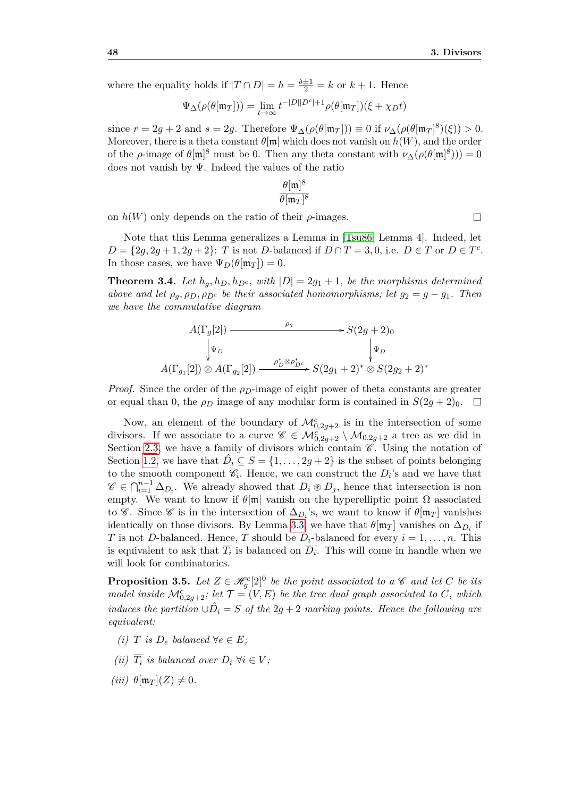where the equality holds if  $|T \cap D| = h = \frac{\delta \pm 1}{2} = k$  or  $k + 1$ . Hence

$$
\Psi_{\Delta}(\rho(\theta[\mathfrak{m}_T])) = \lim_{t \to \infty} t^{-|D||D^c|+1} \rho(\theta[\mathfrak{m}_T])(\xi + \chi_D t)
$$

since  $r = 2g + 2$  and  $s = 2g$ . Therefore  $\Psi_{\Delta}(\rho(\theta[\mathfrak{m}_T])) \equiv 0$  if  $\nu_{\Delta}(\rho(\theta[\mathfrak{m}_T]^8)(\xi)) > 0$ . Moreover, there is a theta constant  $\theta$ [m] which does not vanish on  $h(W)$ , and the order of the *ρ*-image of  $\theta[\mathfrak{m}]^8$  must be 0. Then any theta constant with  $\nu_\Delta(\rho(\theta[\mathfrak{m}]^8))) = 0$ does not vanish by Ψ. Indeed the values of the ratio

$$
\frac{\theta[\mathfrak{m}]^8}{\theta[\mathfrak{m}_T]^8}
$$

on  $h(W)$  only depends on the ratio of their  $\rho$ -images.

Note that this Lemma generalizes a Lemma in [\[Tsu86,](#page-72-1) Lemma 4]. Indeed, let  $D = \{2g, 2g + 1, 2g + 2\}$ : *T* is not *D*-balanced if  $D \cap T = 3, 0$ , i.e.  $D \in T$  or  $D \in T^c$ . In those cases, we have  $\Psi_D(\theta[\mathfrak{m}_T]) = 0$ .

**Theorem 3.4.** Let  $h_q, h_p, h_{p^c}$ , with  $|D| = 2g_1 + 1$ , be the morphisms determined *above and let*  $\rho_g$ ,  $\rho_D$ ,  $\rho_{D^c}$  *be their associated homomorphisms; let*  $g_2 = g - g_1$ *. Then we have the commutative diagram*

$$
A(\Gamma_g[2]) \xrightarrow{\rho_g} S(2g+2)_0
$$
  

$$
\downarrow \Psi_D
$$
  

$$
A(\Gamma_{g_1}[2]) \otimes A(\Gamma_{g_2}[2]) \xrightarrow{\rho_D^* \otimes \rho_{D^c}^*} S(2g_1+2)^* \otimes S(2g_2+2)^*
$$

*Proof.* Since the order of the *ρ*<sub>*D*</sub>-image of eight power of theta constants are greater or equal than 0, the  $\rho_D$  image of any modular form is contained in  $S(2g+2)_0$ .  $\Box$ 

Now, an element of the boundary of  $\mathcal{M}_{0,2g+2}^c$  is in the intersection of some divisors. If we associate to a curve  $\mathscr{C} \in \mathcal{M}_{0,2g+2}^c \setminus \mathcal{M}_{0,2g+2}$  a tree as we did in Section [2.3,](#page-49-0) we have a family of divisors which contain  $\mathscr{C}$ . Using the notation of Section [1.2,](#page-19-0) we have that  $\hat{D}_i \subseteq S = \{1, \ldots, 2g + 2\}$  is the subset of points belonging to the smooth component  $C_i$ . Hence, we can construct the  $D_i$ 's and we have that  $\mathscr{C} \in \bigcap_{i=1}^{n-1} \Delta_{D_i}$ . We already showed that  $D_i \otimes D_j$ , hence that intersection is non empty. We want to know if  $\theta$ [m] vanish on the hyperelliptic point  $\Omega$  associated to  $\mathscr C$ . Since  $\mathscr C$  is in the intersection of  $\Delta_{D_i}$ 's, we want to know if  $\theta[\mathfrak{m}_T]$  vanishes identically on those divisors. By Lemma [3.3,](#page-62-1) we have that  $\theta[\mathfrak{m}_T]$  vanishes on  $\Delta_{D_i}$  if *T* is not *D*-balanced. Hence, *T* should be  $D_i$ -balanced for every  $i = 1, \ldots, n$ . This is equivalent to ask that  $\overline{T_i}$  is balanced on  $\overline{D_i}$ . This will come in handle when we will look for combinatorics.

<span id="page-63-0"></span>**Proposition 3.5.** Let  $Z \in \mathcal{H}^c_g[2]^0$  be the point associated to a  $\mathcal C$  and let  $C$  be its *model inside*  $\mathcal{M}_{0,2g+2}^c$ ; let  $\mathcal{T} = (V, E)$  be the tree dual graph associated to C, which *induces the partition*  $\cup \hat{D}_i = S$  *of the*  $2g + 2$  *marking points. Hence the following are equivalent:*

- *(i) T is*  $D_e$  *balanced* ∀ $e \in E$ *;*
- *(ii)*  $\overline{T_i}$  *is balanced over*  $D_i$   $\forall i \in V$ ;
- $(iii)$   $\theta$ [m<sub>*T*</sub>](*Z*)  $\neq$  0*.*

 $\Box$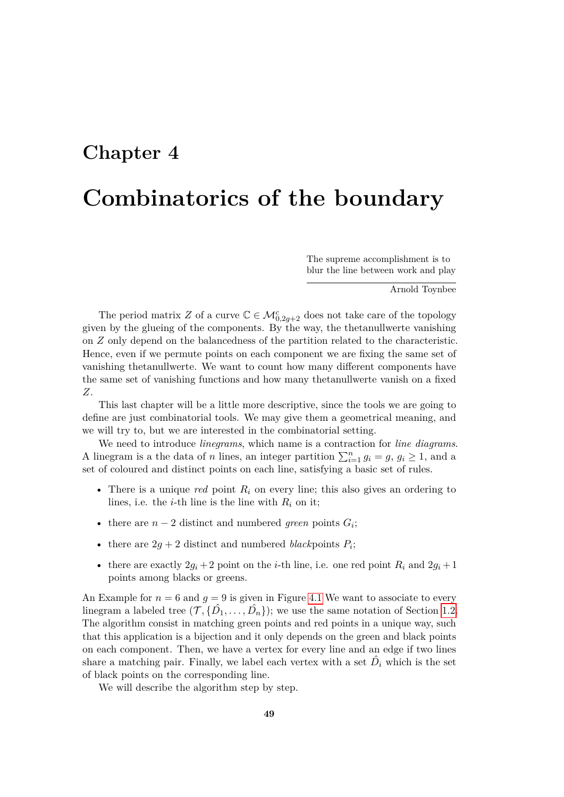## **Chapter 4**

## **Combinatorics of the boundary**

The supreme accomplishment is to blur the line between work and play

Arnold Toynbee

The period matrix *Z* of a curve  $\mathbb{C} \in \mathcal{M}_{0,2g+2}^c$  does not take care of the topology given by the glueing of the components. By the way, the thetanullwerte vanishing on *Z* only depend on the balancedness of the partition related to the characteristic. Hence, even if we permute points on each component we are fixing the same set of vanishing thetanullwerte. We want to count how many different components have the same set of vanishing functions and how many thetanullwerte vanish on a fixed *Z*.

This last chapter will be a little more descriptive, since the tools we are going to define are just combinatorial tools. We may give them a geometrical meaning, and we will try to, but we are interested in the combinatorial setting.

We need to introduce *linegrams*, which name is a contraction for *line diagrams*. A linegram is a the data of *n* lines, an integer partition  $\sum_{i=1}^{n} g_i = g$ ,  $g_i \ge 1$ , and a set of coloured and distinct points on each line, satisfying a basic set of rules.

- There is a unique *red* point *R<sup>i</sup>* on every line; this also gives an ordering to lines, i.e. the *i*-th line is the line with  $R_i$  on it;
- there are  $n-2$  distinct and numbered *green* points  $G_i$ ;
- there are  $2g + 2$  distinct and numbered *black* points  $P_i$ ;
- there are exactly  $2g_i + 2$  point on the *i*-th line, i.e. one red point  $R_i$  and  $2g_i + 1$ points among blacks or greens.

An Example for  $n = 6$  and  $g = 9$  is given in Figure [4.1](#page-65-0) We want to associate to every linegram a labeled tree  $(\mathcal{T}, {\{\hat{D}_1, \ldots, \hat{D}_n\}})$ ; we use the same notation of Section [1.2.](#page-19-0) The algorithm consist in matching green points and red points in a unique way, such that this application is a bijection and it only depends on the green and black points on each component. Then, we have a vertex for every line and an edge if two lines share a matching pair. Finally, we label each vertex with a set  $\hat{D}_i$  which is the set of black points on the corresponding line.

We will describe the algorithm step by step.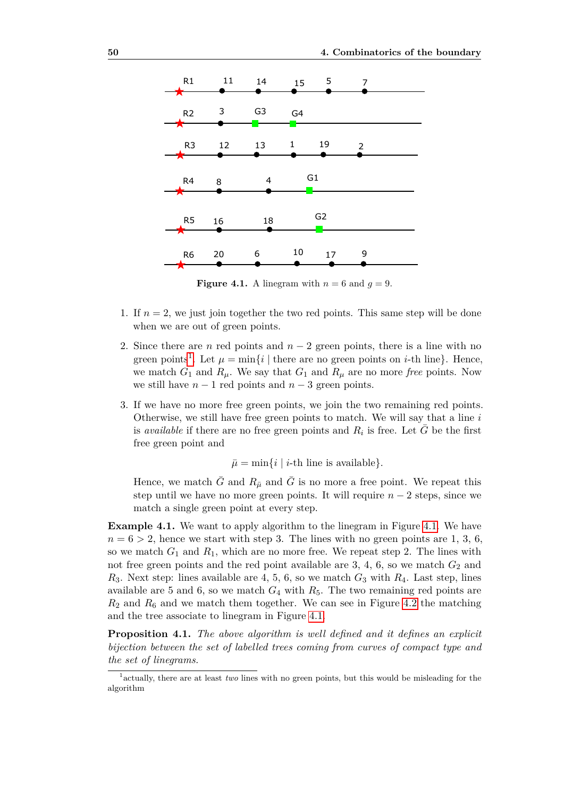<span id="page-65-0"></span>

**Figure 4.1.** A linegram with  $n = 6$  and  $g = 9$ .

- 1. If  $n = 2$ , we just join together the two red points. This same step will be done when we are out of green points.
- 2. Since there are *n* red points and  $n-2$  green points, there is a line with no green points<sup>[1](#page-65-1)</sup>. Let  $\mu = \min\{i \mid \text{there are no green points on } i\text{-th line}\}.$  Hence, we match  $G_1$  and  $R_\mu$ . We say that  $G_1$  and  $R_\mu$  are no more *free* points. Now we still have  $n-1$  red points and  $n-3$  green points.
- 3. If we have no more free green points, we join the two remaining red points. Otherwise, we still have free green points to match. We will say that a line *i* is *available* if there are no free green points and  $R_i$  is free. Let  $\overline{G}$  be the first free green point and

 $\bar{\mu} = \min\{i \mid i\text{-th line is available}\}.$ 

Hence, we match *G* and  $R_{\bar{\mu}}$  and *G* is no more a free point. We repeat this step until we have no more green points. It will require  $n-2$  steps, since we match a single green point at every step.

**Example [4.1.](#page-65-0)** We want to apply algorithm to the linegram in Figure 4.1. We have  $n = 6 > 2$ , hence we start with step 3. The lines with no green points are 1, 3, 6, so we match  $G_1$  and  $R_1$ , which are no more free. We repeat step 2. The lines with not free green points and the red point available are  $3, 4, 6$ , so we match  $G_2$  and  $R_3$ . Next step: lines available are 4, 5, 6, so we match  $G_3$  with  $R_4$ . Last step, lines available are 5 and 6, so we match  $G_4$  with  $R_5$ . The two remaining red points are  $R_2$  and  $R_6$  and we match them together. We can see in Figure [4.2](#page-66-0) the matching and the tree associate to linegram in Figure [4.1.](#page-65-0)

**Proposition 4.1.** *The above algorithm is well defined and it defines an explicit bijection between the set of labelled trees coming from curves of compact type and the set of linegrams.*

<span id="page-65-1"></span><sup>&</sup>lt;sup>1</sup> actually, there are at least *two* lines with no green points, but this would be misleading for the algorithm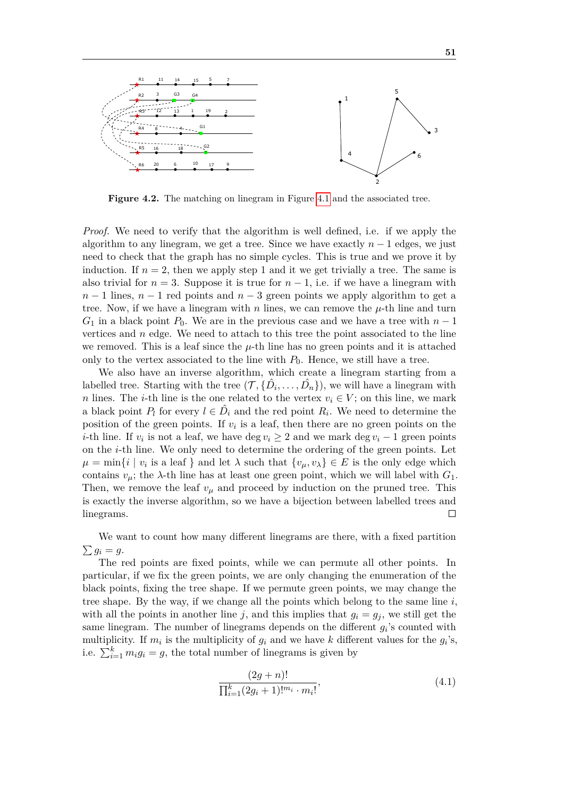<span id="page-66-0"></span>

**Figure 4.2.** The matching on linegram in Figure [4.1](#page-65-0) and the associated tree.

*Proof.* We need to verify that the algorithm is well defined, i.e. if we apply the algorithm to any linegram, we get a tree. Since we have exactly  $n-1$  edges, we just need to check that the graph has no simple cycles. This is true and we prove it by induction. If  $n = 2$ , then we apply step 1 and it we get trivially a tree. The same is also trivial for  $n = 3$ . Suppose it is true for  $n - 1$ , i.e. if we have a linegram with  $n-1$  lines,  $n-1$  red points and  $n-3$  green points we apply algorithm to get a tree. Now, if we have a linegram with *n* lines, we can remove the  $\mu$ -th line and turn  $G_1$  in a black point  $P_0$ . We are in the previous case and we have a tree with  $n-1$ vertices and *n* edge. We need to attach to this tree the point associated to the line we removed. This is a leaf since the  $\mu$ -th line has no green points and it is attached only to the vertex associated to the line with  $P_0$ . Hence, we still have a tree.

We also have an inverse algorithm, which create a linegram starting from a labelled tree. Starting with the tree  $(\mathcal{T}, {\{\hat{D}_i, \ldots, \hat{D}_n\}})$ , we will have a linegram with *n* lines. The *i*-th line is the one related to the vertex  $v_i \in V$ ; on this line, we mark a black point  $P_l$  for every  $l \in \hat{D}_i$  and the red point  $R_i$ . We need to determine the position of the green points. If  $v_i$  is a leaf, then there are no green points on the *i*-th line. If  $v_i$  is not a leaf, we have deg  $v_i \geq 2$  and we mark deg  $v_i - 1$  green points on the *i*-th line. We only need to determine the ordering of the green points. Let  $\mu = \min\{i \mid v_i \text{ is a leaf }\}$  and let  $\lambda$  such that  $\{v_\mu, v_\lambda\} \in E$  is the only edge which contains  $v_\mu$ ; the  $\lambda$ -th line has at least one green point, which we will label with  $G_1$ . Then, we remove the leaf  $v_{\mu}$  and proceed by induction on the pruned tree. This is exactly the inverse algorithm, so we have a bijection between labelled trees and  $\Box$ linegrams.

We want to count how many different linegrams are there, with a fixed partition  $\sum g_i = g$ .

The red points are fixed points, while we can permute all other points. In particular, if we fix the green points, we are only changing the enumeration of the black points, fixing the tree shape. If we permute green points, we may change the tree shape. By the way, if we change all the points which belong to the same line  $i$ , with all the points in another line *j*, and this implies that  $g_i = g_j$ , we still get the same linegram. The number of linegrams depends on the different  $g_i$ 's counted with multiplicity. If  $m_i$  is the multiplicity of  $g_i$  and we have  $k$  different values for the  $g_i$ 's, i.e.  $\sum_{i=1}^{k} m_i g_i = g$ , the total number of linegrams is given by

<span id="page-66-1"></span>
$$
\frac{(2g+n)!}{\prod_{i=1}^{k}(2g_i+1)!^{m_i} \cdot m_i!},\tag{4.1}
$$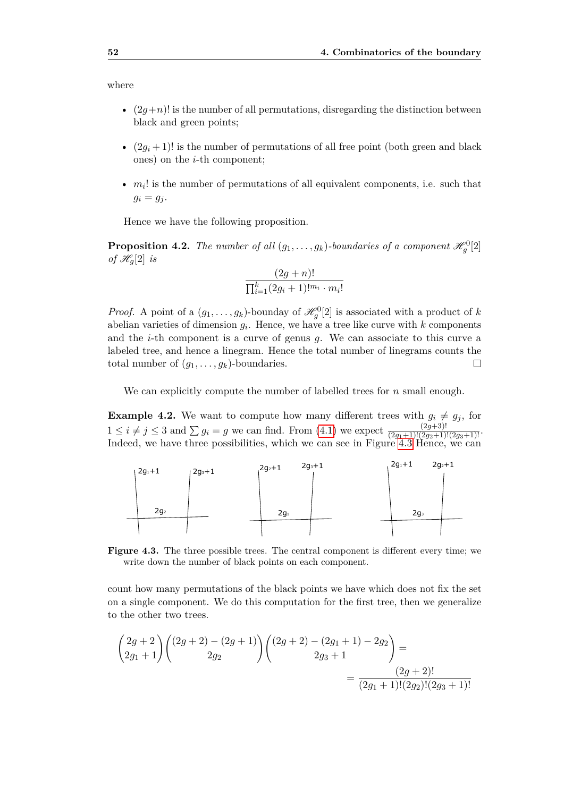where

- $(2g+n)!$  is the number of all permutations, disregarding the distinction between black and green points;
- $(2g_i+1)!$  is the number of permutations of all free point (both green and black ones) on the *i*-th component;
- $m<sub>i</sub>$ ! is the number of permutations of all equivalent components, i.e. such that  $g_i = g_j$ .

Hence we have the following proposition.

**Proposition 4.2.** The number of all  $(g_1, \ldots, g_k)$ -boundaries of a component  $\mathscr{H}_g^0[2]$ *of*  $\mathscr{H}_q[2]$  *is* 

$$
\frac{(2g+n)!}{\prod_{i=1}^k (2g_i+1)!^{m_i} \cdot m_i!}
$$

*Proof.* A point of a  $(g_1, \ldots, g_k)$ -bounday of  $\mathcal{H}_g^0[2]$  is associated with a product of *k* abelian varieties of dimension *g<sup>i</sup>* . Hence, we have a tree like curve with *k* components and the *i*-th component is a curve of genus *g*. We can associate to this curve a labeled tree, and hence a linegram. Hence the total number of linegrams counts the total number of  $(g_1, \ldots, g_k)$ -boundaries.  $\Box$ 

We can explicitly compute the number of labelled trees for *n* small enough.

**Example 4.2.** We want to compute how many different trees with  $g_i \neq g_j$ , for  $1 \leq i \neq j \leq 3$  and  $\sum g_i = g$  we can find. From [\(4.1\)](#page-66-1) we expect  $\frac{(2g+3)!}{(2g_1+1)!(2g_2+1)!(2g_3+1)!}$ . Indeed, we have three possibilities, which we can see in Figure [4.3](#page-67-0) Hence, we can

<span id="page-67-0"></span>

**Figure 4.3.** The three possible trees. The central component is different every time; we write down the number of black points on each component.

count how many permutations of the black points we have which does not fix the set on a single component. We do this computation for the first tree, then we generalize to the other two trees.

$$
\begin{pmatrix} 2g+2 \ 2g_1+1 \end{pmatrix} \begin{pmatrix} (2g+2) - (2g+1) \ 2g_2 \end{pmatrix} \begin{pmatrix} (2g+2) - (2g_1+1) - 2g_2 \ 2g_3+1 \end{pmatrix} = \frac{(2g+2)!}{(2g_1+1)!(2g_2)!(2g_3+1)!}
$$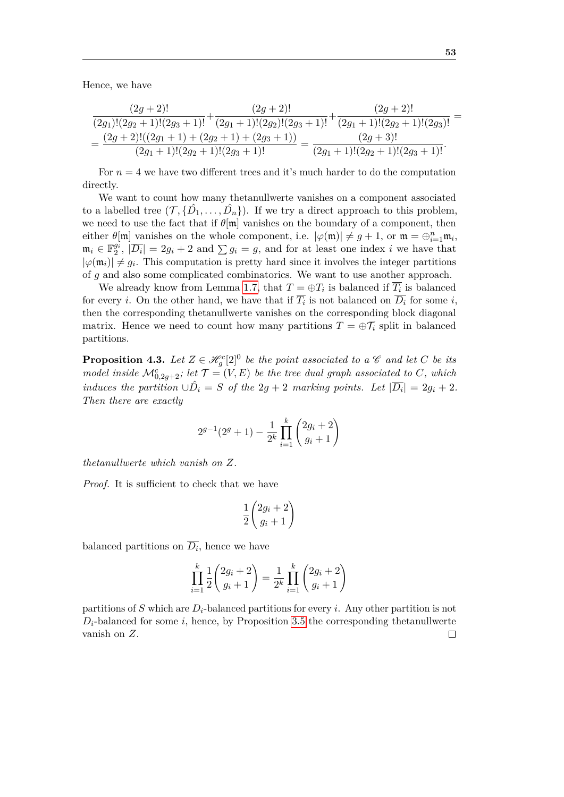Hence, we have

$$
\frac{(2g+2)!}{(2g_1)!(2g_2+1)!(2g_3+1)!}+\frac{(2g+2)!}{(2g_1+1)!(2g_2)!(2g_3+1)!}+\frac{(2g+2)!}{(2g_1+1)!(2g_2+1)!(2g_3)!}=\n\qquad\nonumber\\=\n\frac{(2g+2)!((2g_1+1)+(2g_2+1)+(2g_3+1))}{(2g_1+1)!(2g_2+1)!(2g_3+1)!}=\n\frac{(2g+3)!}{(2g_1+1)!(2g_2+1)!(2g_3+1)!}.
$$

For  $n = 4$  we have two different trees and it's much harder to do the computation directly.

We want to count how many thetanullwerte vanishes on a component associated to a labelled tree  $(\mathcal{T}, {\{\hat{D}_1, \ldots, \hat{D}_n\}})$ . If we try a direct approach to this problem, we need to use the fact that if  $\theta$ [m] vanishes on the boundary of a component, then either  $\theta[\mathfrak{m}]$  vanishes on the whole component, i.e.  $|\varphi(\mathfrak{m})| \neq g+1$ , or  $\mathfrak{m} = \bigoplus_{i=1}^n \mathfrak{m}_i$ ,  $\mathfrak{m}_i \in \mathbb{F}_2^{g_i}, \quad |\overline{D_i}| = 2g_i + 2 \text{ and } \sum g_i = g$ , and for at least one index *i* we have that  $|\varphi(\mathfrak{m}_i)| \neq g_i$ . This computation is pretty hard since it involves the integer partitions of *g* and also some complicated combinatorics. We want to use another approach.

We already know from Lemma [1.7,](#page-27-0) that  $T = \bigoplus T_i$  is balanced if  $\overline{T_i}$  is balanced for every *i*. On the other hand, we have that if  $T_i$  is not balanced on  $D_i$  for some *i*, then the corresponding thetanullwerte vanishes on the corresponding block diagonal matrix. Hence we need to count how many partitions  $T = \bigoplus T_i$  split in balanced partitions.

**Proposition 4.3.** Let  $Z \in \mathcal{H}^c_g[2]^0$  be the point associated to a  $\mathcal C$  and let  $C$  be its *model inside*  $\mathcal{M}_{0,2g+2}^c$ ; let  $\mathcal{T} = (V, E)$  be the tree dual graph associated to C, which *induces the partition*  $\cup \hat{D}_i = S$  *of the*  $2g + 2$  *marking points. Let*  $|\overline{D_i}| = 2g_i + 2$ *. Then there are exactly*

$$
2^{g-1}(2^g+1) - \frac{1}{2^k} \prod_{i=1}^k \binom{2g_i+2}{g_i+1}
$$

*thetanullwerte which vanish on Z.*

*Proof.* It is sufficient to check that we have

$$
\frac{1}{2}\binom{2g_i+2}{g_i+1}
$$

balanced partitions on  $\overline{D_i}$ , hence we have

$$
\prod_{i=1}^{k} \frac{1}{2} {2g_i + 2 \choose g_i + 1} = \frac{1}{2^k} \prod_{i=1}^{k} {2g_i + 2 \choose g_i + 1}
$$

partitions of *S* which are *Di*-balanced partitions for every *i*. Any other partition is not  $D_i$ -balanced for some *i*, hence, by Proposition [3.5](#page-63-0) the corresponding thetanullwerte vanish on *Z*. $\Box$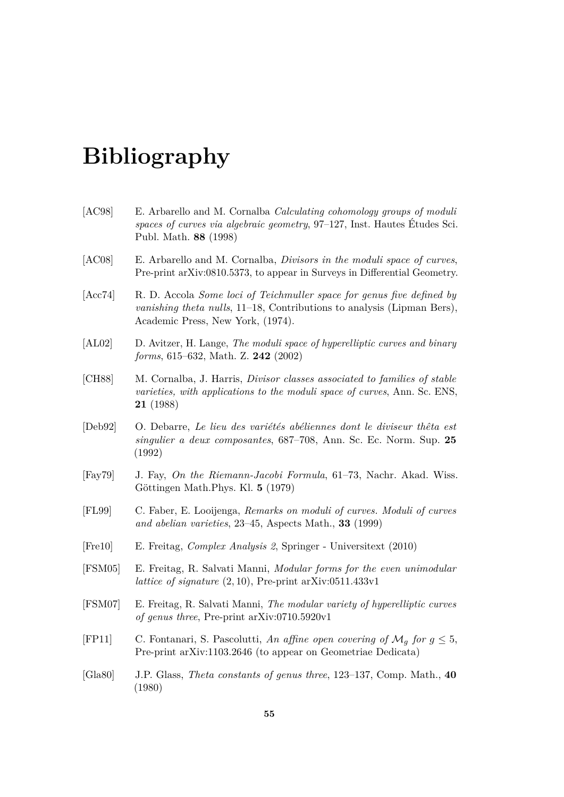## **Bibliography**

- <span id="page-70-8"></span><span id="page-70-7"></span><span id="page-70-4"></span><span id="page-70-3"></span><span id="page-70-0"></span>[AC98] E. Arbarello and M. Cornalba *Calculating cohomology groups of moduli spaces of curves via algebraic geometry*, 97–127, Inst. Hautes Études Sci. Publ. Math. **88** (1998) [AC08] E. Arbarello and M. Cornalba, *Divisors in the moduli space of curves*, Pre-print arXiv:0810.5373, to appear in Surveys in Differential Geometry. [Acc74] R. D. Accola *Some loci of Teichmuller space for genus five defined by vanishing theta nulls*, 11–18, Contributions to analysis (Lipman Bers), Academic Press, New York, (1974). [AL02] D. Avitzer, H. Lange, *The moduli space of hyperelliptic curves and binary forms*, 615–632, Math. Z. **242** (2002) [CH88] M. Cornalba, J. Harris, *Divisor classes associated to families of stable varieties, with applications to the moduli space of curves*, Ann. Sc. ENS, **21** (1988) [Deb92] O. Debarre, *Le lieu des variétés abéliennes dont le diviseur thêta est singulier a deux composantes*, 687–708, Ann. Sc. Ec. Norm. Sup. **25** (1992) [Fay79] J. Fay, *On the Riemann-Jacobi Formula*, 61–73, Nachr. Akad. Wiss. Göttingen Math.Phys. Kl. **5** (1979) [FL99] C. Faber, E. Looijenga, *Remarks on moduli of curves. Moduli of curves and abelian varieties*, 23–45, Aspects Math., **33** (1999)
- <span id="page-70-6"></span><span id="page-70-5"></span><span id="page-70-1"></span>[Fre10] E. Freitag, *Complex Analysis 2*, Springer - Universitext (2010)
- [FSM05] E. Freitag, R. Salvati Manni, *Modular forms for the even unimodular lattice of signature* (2*,* 10), Pre-print arXiv:0511.433v1
- [FSM07] E. Freitag, R. Salvati Manni, *The modular variety of hyperelliptic curves of genus three*, Pre-print arXiv:0710.5920v1
- <span id="page-70-2"></span>[FP11] C. Fontanari, S. Pascolutti, An affine open covering of  $\mathcal{M}_q$  for  $q \leq 5$ , Pre-print arXiv:1103.2646 (to appear on Geometriae Dedicata)
- [Gla80] J.P. Glass, *Theta constants of genus three*, 123–137, Comp. Math., **40** (1980)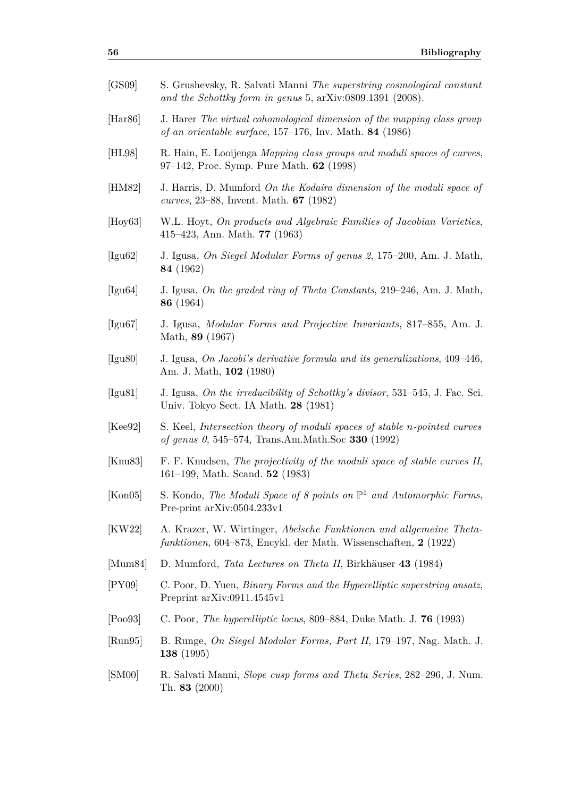<span id="page-71-10"></span><span id="page-71-9"></span><span id="page-71-8"></span><span id="page-71-7"></span><span id="page-71-6"></span><span id="page-71-5"></span><span id="page-71-4"></span><span id="page-71-3"></span><span id="page-71-2"></span><span id="page-71-1"></span><span id="page-71-0"></span>

| [GS09]                       | S. Grushevsky, R. Salvati Manni The superstring cosmological constant<br>and the Schottky form in genus 5, arXiv:0809.1391 (2008).                   |
|------------------------------|------------------------------------------------------------------------------------------------------------------------------------------------------|
| [Har86]                      | J. Harer The virtual cohomological dimension of the mapping class group<br><i>of an orientable surface</i> , $157-176$ , Inv. Math. <b>84</b> (1986) |
| [HL98]                       | R. Hain, E. Looijenga Mapping class groups and moduli spaces of curves,<br>97–142, Proc. Symp. Pure Math. 62 (1998)                                  |
| [HM82]                       | J. Harris, D. Mumford On the Kodaira dimension of the moduli space of<br><i>curves</i> , 23–88, Invent. Math. $67$ (1982)                            |
| $[\text{Hoy63}]$             | W.L. Hoyt, On products and Algebraic Families of Jacobian Varieties,<br>415–423, Ann. Math. $77$ (1963)                                              |
| $[\text{Igu62}]$             | J. Igusa, On Siegel Modular Forms of genus 2, 175–200, Am. J. Math,<br>84 (1962)                                                                     |
| $[\text{Igu64}]$             | J. Igusa, On the graded ring of Theta Constants, 219–246, Am. J. Math,<br>86 (1964)                                                                  |
| [Igu67]                      | J. Igusa, Modular Forms and Projective Invariants, 817–855, Am. J.<br>Math, 89 (1967)                                                                |
| $[I$ gu $80]$                | J. Igusa, On Jacobi's derivative formula and its generalizations, 409-446,<br>Am. J. Math, 102 (1980)                                                |
| [Igu81]                      | J. Igusa, On the irreducibility of Schottky's divisor, 531–545, J. Fac. Sci.<br>Univ. Tokyo Sect. IA Math. 28 (1981)                                 |
| [Kee92]                      | S. Keel, Intersection theory of moduli spaces of stable n-pointed curves<br>of genus 0, 545–574, Trans.Am.Math.Soc 330 (1992)                        |
| [Knu83]                      | F. F. Knudsen, The projectivity of the moduli space of stable curves II,<br>161–199, Math. Scand. $52$ (1983)                                        |
| [Kon05]                      | S. Kondo, The Moduli Space of 8 points on $\mathbb{P}^1$ and Automorphic Forms,<br>Pre-print arXiv:0504.233v1                                        |
| [KW22]                       | A. Krazer, W. Wirtinger, Abelsche Funktionen und allgemeine Theta-<br>funktionen, 604–873, Encykl. der Math. Wissenschaften, 2 (1922)                |
| $\left[ \text{Mum}84\right]$ | D. Mumford, <i>Tata Lectures on Theta II</i> , Birkhäuser 43 (1984)                                                                                  |
| [PY09]                       | C. Poor, D. Yuen, <i>Binary Forms and the Hyperelliptic superstring ansatz</i> ,<br>Preprint arXiv:0911.4545v1                                       |
| [Pool3]                      | C. Poor, The hyperelliptic locus, 809–884, Duke Math. J. $76$ (1993)                                                                                 |
| $\left[\text{Run}95\right]$  | B. Runge, On Siegel Modular Forms, Part II, 179–197, Nag. Math. J.<br><b>138</b> (1995)                                                              |
| [SM00]                       | R. Salvati Manni, <i>Slope cusp forms and Theta Series</i> , 282–296, J. Num.<br>Th. 83 $(2000)$                                                     |